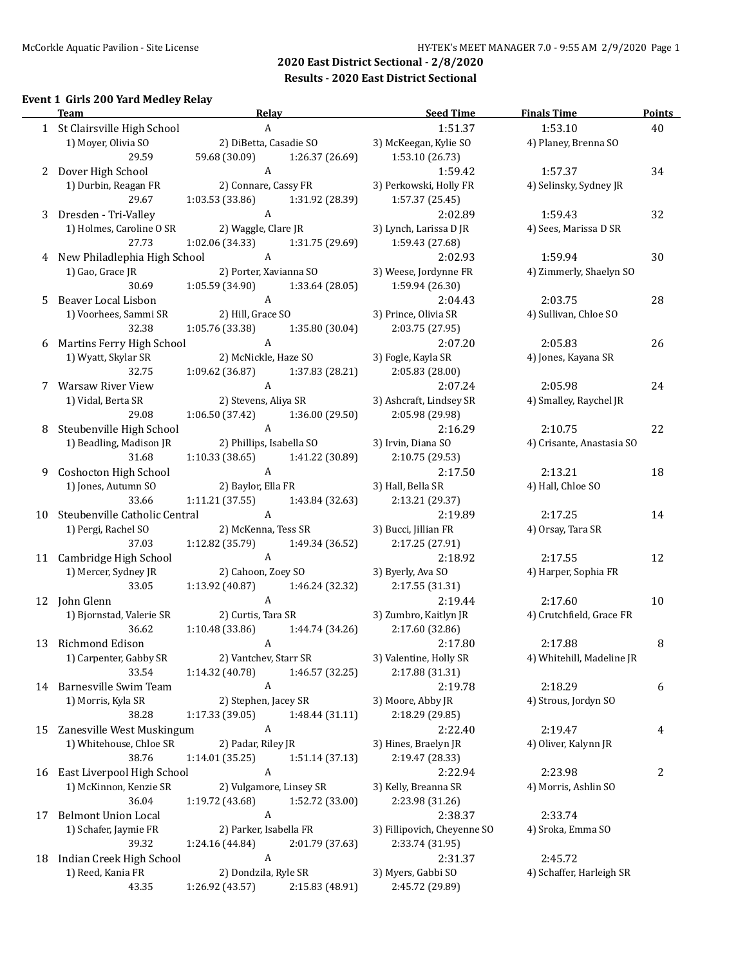#### **Event 1 Girls 200 Yard Medley Relay**

 $\overline{\phantom{0}}$ 

|    | <b>Team</b>                      | Relay                                             |                    | <b>Seed Time</b>              | <b>Finals Time</b>                   | <b>Points</b> |
|----|----------------------------------|---------------------------------------------------|--------------------|-------------------------------|--------------------------------------|---------------|
|    | 1 St Clairsville High School     | $\mathbf{A}$                                      |                    | 1:51.37                       | 1:53.10                              | 40            |
|    | 1) Moyer, Olivia SO              | 2) DiBetta, Casadie SO                            |                    | 3) McKeegan, Kylie SO         | 4) Planey, Brenna SO                 |               |
|    | 29.59                            | 59.68 (30.09)                                     | 1:26.37 (26.69)    | 1:53.10 (26.73)               |                                      |               |
| 2  | Dover High School                | A                                                 |                    | 1:59.42                       | 1:57.37                              | 34            |
|    | 1) Durbin, Reagan FR             | 2) Connare, Cassy FR                              |                    | 3) Perkowski, Holly FR        | 4) Selinsky, Sydney JR               |               |
|    | 29.67                            | 1:03.53(33.86)                                    | 1:31.92 (28.39)    | 1:57.37 (25.45)               |                                      |               |
| 3  | Dresden - Tri-Valley             | A                                                 |                    | 2:02.89                       | 1:59.43                              | 32            |
|    | 1) Holmes, Caroline O SR         | 2) Waggle, Clare JR                               |                    | 3) Lynch, Larissa D JR        | 4) Sees, Marissa D SR                |               |
|    | 27.73                            | 1:02.06 (34.33)                                   | 1:31.75 (29.69)    | 1:59.43 (27.68)               |                                      |               |
|    | New Philadlephia High School     | A                                                 |                    | 2:02.93                       | 1:59.94                              | 30            |
|    | 1) Gao, Grace JR                 | 2) Porter, Xavianna SO                            |                    | 3) Weese, Jordynne FR         | 4) Zimmerly, Shaelyn SO              |               |
|    | 30.69                            | $1:05.59(34.90)$ $1:33.64(28.05)$                 |                    | 1:59.94 (26.30)               |                                      |               |
| 5. | Beaver Local Lisbon              | A                                                 |                    | 2:04.43                       | 2:03.75                              | 28            |
|    | 1) Voorhees, Sammi SR            | 2) Hill, Grace SO                                 |                    | 3) Prince, Olivia SR          | 4) Sullivan, Chloe SO                |               |
|    | 32.38                            | 1:05.76 (33.38)                                   | 1:35.80 (30.04)    | 2:03.75 (27.95)               |                                      |               |
| 6  | Martins Ferry High School        | $\mathbf{A}$                                      |                    | 2:07.20                       | 2:05.83                              | 26            |
|    | 1) Wyatt, Skylar SR              | 2) McNickle, Haze SO                              |                    | 3) Fogle, Kayla SR            | 4) Jones, Kayana SR                  |               |
|    | 32.75                            | 1:09.62 (36.87)                                   | 1:37.83 (28.21)    | 2:05.83 (28.00)               |                                      |               |
| 7  | Warsaw River View                | $\mathbf{A}$                                      |                    | 2:07.24                       | 2:05.98                              | 24            |
|    | 1) Vidal, Berta SR<br>29.08      | 2) Stevens, Aliya SR                              |                    | 3) Ashcraft, Lindsey SR       | 4) Smalley, Raychel JR               |               |
|    | Steubenville High School         | $1:06.50(37.42)$ $1:36.00(29.50)$<br>$\mathbf{A}$ |                    | 2:05.98 (29.98)               |                                      | 22            |
| 8  | 2) Phillips, Isabella SO         |                                                   |                    | 2:16.29<br>3) Irvin, Diana SO | 2:10.75<br>4) Crisante, Anastasia SO |               |
|    | 1) Beadling, Madison JR<br>31.68 | $1:10.33$ (38.65) $1:41.22$ (30.89)               |                    | 2:10.75 (29.53)               |                                      |               |
| 9  | Coshocton High School            | $\mathbf{A}$                                      |                    | 2:17.50                       | 2:13.21                              | 18            |
|    | 1) Jones, Autumn SO              | 2) Baylor, Ella FR                                |                    | 3) Hall, Bella SR             | 4) Hall, Chloe SO                    |               |
|    | 33.66                            | $1:11.21(37.55)$ $1:43.84(32.63)$                 |                    | 2:13.21 (29.37)               |                                      |               |
| 10 | Steubenville Catholic Central    | $\overline{A}$                                    |                    | 2:19.89                       | 2:17.25                              | 14            |
|    | 1) Pergi, Rachel SO              | 2) McKenna, Tess SR                               |                    | 3) Bucci, Jillian FR          | 4) Orsay, Tara SR                    |               |
|    | 37.03                            | $1:12.82(35.79)$ $1:49.34(36.52)$                 |                    | 2:17.25 (27.91)               |                                      |               |
| 11 | Cambridge High School            | $\mathbf{A}$                                      |                    | 2:18.92                       | 2:17.55                              | 12            |
|    | 1) Mercer, Sydney JR             |                                                   | 2) Cahoon, Zoey SO | 3) Byerly, Ava SO             | 4) Harper, Sophia FR                 |               |
|    | 33.05                            | 1:13.92 (40.87) 1:46.24 (32.32)                   |                    | 2:17.55 (31.31)               |                                      |               |
|    | 12 John Glenn                    | $\mathbf{A}$                                      |                    | 2:19.44                       | 2:17.60                              | 10            |
|    | 1) Bjornstad, Valerie SR         | 2) Curtis, Tara SR                                |                    | 3) Zumbro, Kaitlyn JR         | 4) Crutchfield, Grace FR             |               |
|    | 36.62                            | 1:10.48 (33.86)                                   | 1:44.74 (34.26)    | 2:17.60 (32.86)               |                                      |               |
|    | 13 Richmond Edison               | $\mathbf{A}$                                      |                    | 2:17.80                       | 2:17.88                              | 8             |
|    | 1) Carpenter, Gabby SR           | 2) Vantchev, Starr SR                             |                    | 3) Valentine, Holly SR        | 4) Whitehill, Madeline JR            |               |
|    | 33.54                            | 1:14.32 (40.78)                                   | 1:46.57 (32.25)    | 2:17.88 (31.31)               |                                      |               |
|    | 14 Barnesville Swim Team         | $\boldsymbol{\mathsf{A}}$                         |                    | 2:19.78                       | 2:18.29                              | 6             |
|    | 1) Morris, Kyla SR               | 2) Stephen, Jacey SR                              |                    | 3) Moore, Abby JR             | 4) Strous, Jordyn SO                 |               |
|    | 38.28                            | 1:17.33 (39.05)                                   | 1:48.44 (31.11)    | 2:18.29 (29.85)               |                                      |               |
| 15 | Zanesville West Muskingum        | $\boldsymbol{A}$                                  |                    | 2:22.40                       | 2:19.47                              | 4             |
|    | 1) Whitehouse, Chloe SR          | 2) Padar, Riley JR                                |                    | 3) Hines, Braelyn JR          | 4) Oliver, Kalynn JR                 |               |
|    | 38.76                            | 1:14.01(35.25)                                    | 1:51.14 (37.13)    | 2:19.47 (28.33)               |                                      |               |
| 16 | East Liverpool High School       | A                                                 |                    | 2:22.94                       | 2:23.98                              | 2             |
|    | 1) McKinnon, Kenzie SR           | 2) Vulgamore, Linsey SR                           |                    | 3) Kelly, Breanna SR          | 4) Morris, Ashlin SO                 |               |
|    | 36.04                            | 1:19.72 (43.68)                                   | 1:52.72 (33.00)    | 2:23.98 (31.26)               |                                      |               |
| 17 | <b>Belmont Union Local</b>       | $\boldsymbol{A}$                                  |                    | 2:38.37                       | 2:33.74                              |               |
|    | 1) Schafer, Jaymie FR            | 2) Parker, Isabella FR                            |                    | 3) Fillipovich, Cheyenne SO   | 4) Sroka, Emma SO                    |               |
|    | 39.32                            | 1:24.16 (44.84)                                   | 2:01.79 (37.63)    | 2:33.74 (31.95)               |                                      |               |
| 18 | Indian Creek High School         | A                                                 |                    | 2:31.37                       | 2:45.72                              |               |
|    | 1) Reed, Kania FR                | 2) Dondzila, Ryle SR                              |                    | 3) Myers, Gabbi SO            | 4) Schaffer, Harleigh SR             |               |
|    | 43.35                            | 1:26.92 (43.57)                                   | 2:15.83 (48.91)    | 2:45.72 (29.89)               |                                      |               |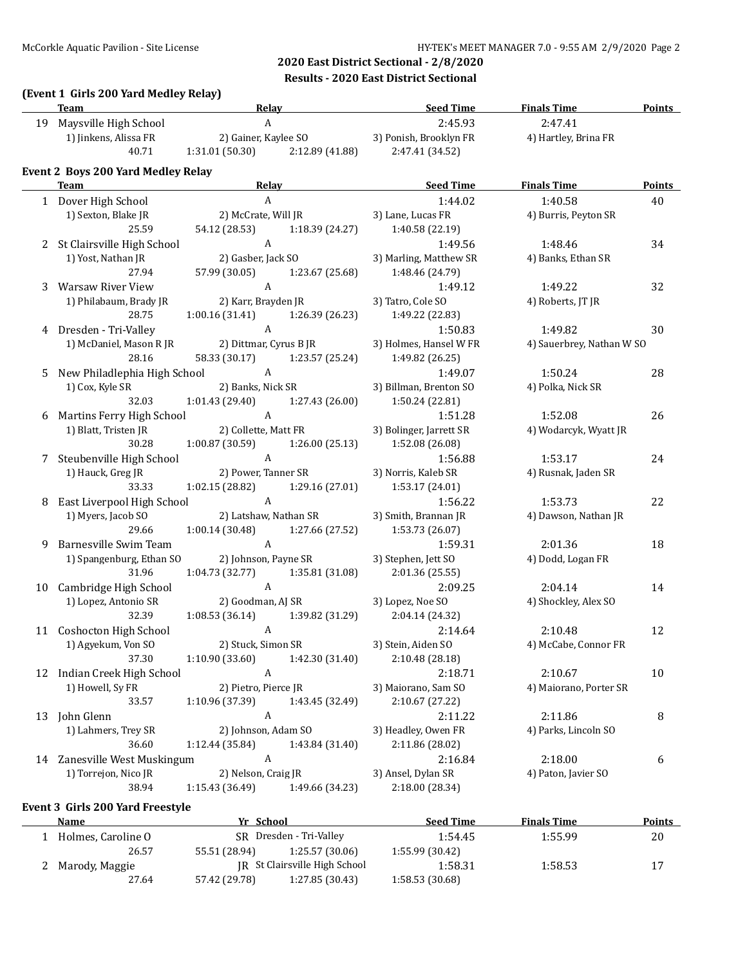### **(Event 1 Girls 200 Yard Medley Relay)**

|    | <b>Team</b>                                          | <b>Relay</b>              |                                   | <b>Seed Time</b>           | <b>Finals Time</b>        | <b>Points</b> |
|----|------------------------------------------------------|---------------------------|-----------------------------------|----------------------------|---------------------------|---------------|
|    | 19 Maysville High School                             | $\boldsymbol{\mathsf{A}}$ |                                   | 2:45.93                    | 2:47.41                   |               |
|    | 1) Jinkens, Alissa FR                                | 2) Gainer, Kaylee SO      |                                   | 3) Ponish, Brooklyn FR     | 4) Hartley, Brina FR      |               |
|    | 40.71                                                |                           | $1:31.01(50.30)$ $2:12.89(41.88)$ | 2:47.41 (34.52)            |                           |               |
|    | <b>Event 2 Boys 200 Yard Medley Relay</b>            |                           |                                   |                            |                           |               |
|    | <b>Team Example 2018 Contract 2018 Contract 2018</b> | Relay                     |                                   | <b>Example 2 Seed Time</b> | <b>Finals Time</b>        | <b>Points</b> |
|    | 1 Dover High School                                  | $\boldsymbol{A}$          |                                   | 1:44.02                    | 1:40.58                   | 40            |
|    | 1) Sexton, Blake JR                                  | 2) McCrate, Will JR       |                                   | 3) Lane, Lucas FR          | 4) Burris, Peyton SR      |               |
|    | 25.59                                                | 54.12 (28.53)             | 1:18.39 (24.27)                   | 1:40.58 (22.19)            |                           |               |
|    | 2 St Clairsville High School                         | A                         |                                   | 1:49.56                    | 1:48.46                   | 34            |
|    | 1) Yost, Nathan JR                                   | 2) Gasber, Jack SO        |                                   | 3) Marling, Matthew SR     | 4) Banks, Ethan SR        |               |
|    | 27.94                                                | 57.99 (30.05)             | 1:23.67(25.68)                    | 1:48.46 (24.79)            |                           |               |
| 3  | Warsaw River View                                    | $\mathbf{A}$              |                                   | 1:49.12                    | 1:49.22                   | 32            |
|    | 1) Philabaum, Brady JR                               | 2) Karr, Brayden JR       |                                   | 3) Tatro, Cole SO          | 4) Roberts, JT JR         |               |
|    | 28.75                                                |                           | $1:00.16(31.41)$ $1:26.39(26.23)$ | 1:49.22 (22.83)            |                           |               |
|    | 4 Dresden - Tri-Valley                               | $\mathbf{A}$              |                                   | 1:50.83                    | 1:49.82                   | 30            |
|    | 1) McDaniel, Mason R JR                              | 2) Dittmar, Cyrus B JR    |                                   | 3) Holmes, Hansel W FR     | 4) Sauerbrey, Nathan W SO |               |
|    | 28.16                                                |                           | 58.33 (30.17) 1:23.57 (25.24)     | 1:49.82 (26.25)            |                           |               |
| 5  | New Philadlephia High School                         | $\mathbf{A}$              |                                   | 1:49.07                    | 1:50.24                   | 28            |
|    | 1) Cox, Kyle SR                                      | 2) Banks, Nick SR         |                                   | 3) Billman, Brenton SO     | 4) Polka, Nick SR         |               |
|    | 32.03                                                | 1:01.43(29.40)            | 1:27.43 (26.00)                   | 1:50.24 (22.81)            |                           |               |
| 6  | Martins Ferry High School                            | $\mathbf{A}$              |                                   | 1:51.28                    | 1:52.08                   | 26            |
|    | 1) Blatt, Tristen JR                                 | 2) Collette, Matt FR      |                                   | 3) Bolinger, Jarrett SR    | 4) Wodarcyk, Wyatt JR     |               |
|    | 30.28                                                | 1:00.87 (30.59)           | 1:26.00(25.13)                    | 1:52.08 (26.08)            |                           |               |
| 7  | Steubenville High School                             | $\mathbf{A}$              |                                   | 1:56.88                    | 1:53.17                   | 24            |
|    | 1) Hauck, Greg JR                                    | 2) Power, Tanner SR       |                                   | 3) Norris, Kaleb SR        | 4) Rusnak, Jaden SR       |               |
|    | 33.33                                                |                           | $1:02.15(28.82)$ $1:29.16(27.01)$ | 1:53.17 (24.01)            |                           |               |
| 8  | East Liverpool High School                           | $\mathbf{A}$              |                                   | 1:56.22                    | 1:53.73                   | 22            |
|    | 1) Myers, Jacob SO                                   |                           | 2) Latshaw, Nathan SR             | 3) Smith, Brannan JR       | 4) Dawson, Nathan JR      |               |
|    | 29.66                                                |                           | $1:00.14(30.48)$ $1:27.66(27.52)$ | 1:53.73 (26.07)            |                           |               |
| 9  | Barnesville Swim Team                                | $\mathbf{A}$              |                                   | 1:59.31                    | 2:01.36                   | 18            |
|    | 1) Spangenburg, Ethan SO                             | 2) Johnson, Payne SR      |                                   | 3) Stephen, Jett SO        | 4) Dodd, Logan FR         |               |
|    | 31.96                                                |                           | $1:04.73(32.77)$ $1:35.81(31.08)$ | 2:01.36 (25.55)            |                           |               |
| 10 | Cambridge High School                                | A                         |                                   | 2:09.25                    | 2:04.14                   | 14            |
|    | 1) Lopez, Antonio SR                                 | 2) Goodman, AJ SR         |                                   | 3) Lopez, Noe SO           | 4) Shockley, Alex SO      |               |
|    | 32.39                                                |                           | $1:08.53(36.14)$ $1:39.82(31.29)$ | 2:04.14 (24.32)            |                           |               |
|    | 11 Coshocton High School                             | A                         |                                   | 2:14.64                    | 2:10.48                   | 12            |
|    | 1) Agyekum, Von SO                                   | 2) Stuck, Simon SR        |                                   | 3) Stein, Aiden SO         | 4) McCabe, Connor FR      |               |
|    | 37.30                                                | 1:10.90 (33.60)           | 1:42.30 (31.40)                   | 2:10.48 (28.18)            |                           |               |
|    | 12 Indian Creek High School                          | A                         |                                   | 2:18.71                    | 2:10.67                   | 10            |
|    | 1) Howell, Sy FR                                     | 2) Pietro, Pierce JR      |                                   | 3) Maiorano, Sam SO        | 4) Maiorano, Porter SR    |               |
|    | 33.57                                                | 1:10.96 (37.39)           | 1:43.45 (32.49)                   | 2:10.67 (27.22)            |                           |               |
| 13 | John Glenn                                           | A                         |                                   | 2:11.22                    | 2:11.86                   | $\, 8$        |
|    | 1) Lahmers, Trey SR                                  | 2) Johnson, Adam SO       |                                   | 3) Headley, Owen FR        | 4) Parks, Lincoln SO      |               |
|    | 36.60                                                | 1:12.44 (35.84)           | 1:43.84 (31.40)                   | 2:11.86 (28.02)            |                           |               |
|    | 14 Zanesville West Muskingum                         | A                         |                                   | 2:16.84                    | 2:18.00                   | 6             |
|    | 1) Torrejon, Nico JR                                 | 2) Nelson, Craig JR       |                                   | 3) Ansel, Dylan SR         | 4) Paton, Javier SO       |               |
|    | 38.94                                                | 1:15.43 (36.49)           | 1:49.66 (34.23)                   | 2:18.00 (28.34)            |                           |               |
|    |                                                      |                           |                                   |                            |                           |               |

### **Event 3 Girls 200 Yard Freestyle**

| <b>Name</b>        | Yr School     |                               | <b>Seed Time</b> | <b>Finals Time</b> | Points |
|--------------------|---------------|-------------------------------|------------------|--------------------|--------|
| Holmes, Caroline O |               | SR Dresden - Tri-Valley       | 1:54.45          | 1:55.99            | 20     |
| 26.57              | 55.51 (28.94) | 1:25.57 (30.06)               | 1:55.99 (30.42)  |                    |        |
| 2 Marody, Maggie   |               | IR St Clairsville High School | 1:58.31          | 1:58.53            |        |
| 27.64              | 57.42 (29.78) | 1:27.85(30.43)                | 1:58.53(30.68)   |                    |        |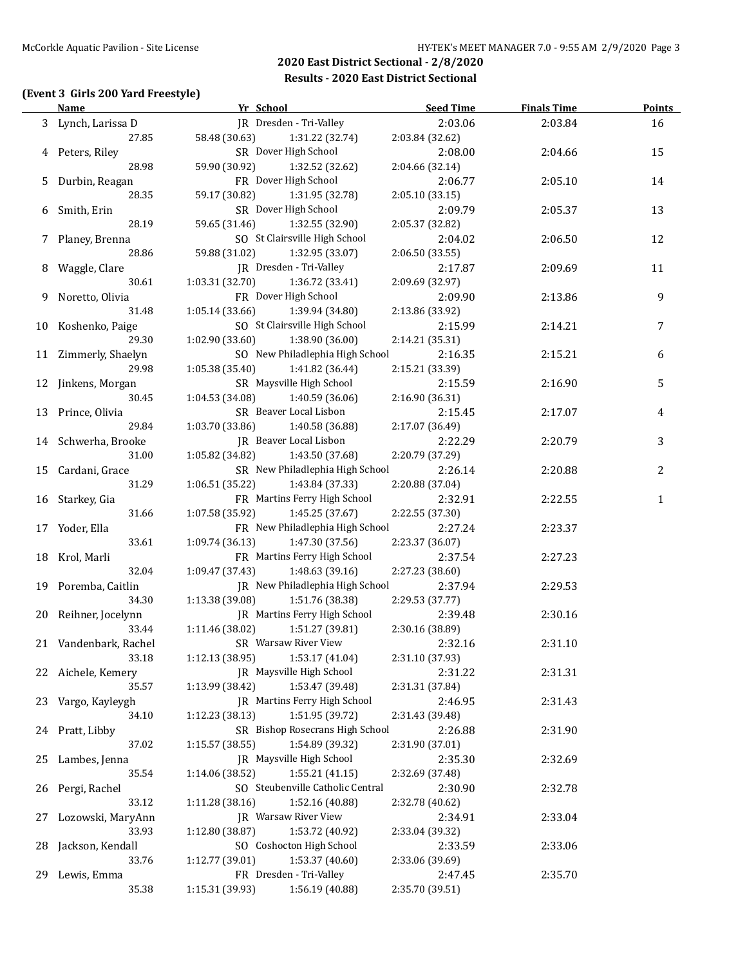### **(Event 3 Girls 200 Yard Freestyle)**

|    | <b>Name</b>                   | Yr School                          | <b>Seed Time</b> | <b>Finals Time</b> | Points       |
|----|-------------------------------|------------------------------------|------------------|--------------------|--------------|
|    | 3 Lynch, Larissa D            | JR Dresden - Tri-Valley            | 2:03.06          | 2:03.84            | 16           |
|    | 27.85                         | 58.48 (30.63)<br>1:31.22 (32.74)   | 2:03.84 (32.62)  |                    |              |
|    | 4 Peters, Riley               | SR Dover High School               | 2:08.00          | 2:04.66            | 15           |
|    | 28.98                         | 59.90 (30.92)<br>1:32.52 (32.62)   | 2:04.66 (32.14)  |                    |              |
| 5. | Durbin, Reagan                | FR Dover High School               | 2:06.77          | 2:05.10            | 14           |
|    | 28.35                         | 59.17 (30.82)<br>1:31.95 (32.78)   | 2:05.10 (33.15)  |                    |              |
| 6  | Smith, Erin                   | SR Dover High School               | 2:09.79          | 2:05.37            | 13           |
|    | 28.19                         | 59.65 (31.46)<br>1:32.55 (32.90)   | 2:05.37 (32.82)  |                    |              |
|    | 7 Planey, Brenna              | SO St Clairsville High School      | 2:04.02          | 2:06.50            | 12           |
|    | 28.86                         | 59.88 (31.02)<br>1:32.95 (33.07)   | 2:06.50 (33.55)  |                    |              |
|    | 8 Waggle, Clare               | JR Dresden - Tri-Valley            | 2:17.87          | 2:09.69            | 11           |
|    | 30.61                         | 1:03.31(32.70)<br>1:36.72 (33.41)  | 2:09.69 (32.97)  |                    |              |
| 9  | Noretto, Olivia               | FR Dover High School               | 2:09.90          | 2:13.86            | 9            |
|    | 31.48                         | 1:05.14(33.66)<br>1:39.94 (34.80)  | 2:13.86 (33.92)  |                    |              |
|    | 10 Koshenko, Paige            | SO St Clairsville High School      | 2:15.99          | 2:14.21            | 7            |
|    | 29.30                         | 1:02.90(33.60)<br>1:38.90 (36.00)  | 2:14.21 (35.31)  |                    |              |
|    |                               | SO New Philadlephia High School    | 2:16.35          |                    |              |
|    | 11 Zimmerly, Shaelyn<br>29.98 | 1:41.82 (36.44)                    |                  | 2:15.21            | 6            |
|    |                               | 1:05.38(35.40)                     | 2:15.21 (33.39)  |                    |              |
|    | 12 Jinkens, Morgan            | SR Maysville High School           | 2:15.59          | 2:16.90            | 5            |
|    | 30.45                         | 1:04.53 (34.08)<br>1:40.59 (36.06) | 2:16.90 (36.31)  |                    |              |
|    | 13 Prince, Olivia             | SR Beaver Local Lisbon             | 2:15.45          | 2:17.07            | 4            |
|    | 29.84                         | 1:03.70(33.86)<br>1:40.58 (36.88)  | 2:17.07 (36.49)  |                    |              |
|    | 14 Schwerha, Brooke           | JR Beaver Local Lisbon             | 2:22.29          | 2:20.79            | 3            |
|    | 31.00                         | 1:05.82(34.82)<br>1:43.50 (37.68)  | 2:20.79 (37.29)  |                    |              |
|    | 15 Cardani, Grace             | SR New Philadlephia High School    | 2:26.14          | 2:20.88            | 2            |
|    | 31.29                         | 1:06.51 (35.22)<br>1:43.84 (37.33) | 2:20.88 (37.04)  |                    |              |
|    | 16 Starkey, Gia               | FR Martins Ferry High School       | 2:32.91          | 2:22.55            | $\mathbf{1}$ |
|    | 31.66                         | 1:07.58 (35.92)<br>1:45.25 (37.67) | 2:22.55 (37.30)  |                    |              |
|    | 17 Yoder, Ella                | FR New Philadlephia High School    | 2:27.24          | 2:23.37            |              |
|    | 33.61                         | 1:09.74 (36.13)<br>1:47.30 (37.56) | 2:23.37 (36.07)  |                    |              |
|    | 18 Krol, Marli                | FR Martins Ferry High School       | 2:37.54          | 2:27.23            |              |
|    | 32.04                         | 1:09.47 (37.43)<br>1:48.63 (39.16) | 2:27.23 (38.60)  |                    |              |
|    | 19 Poremba, Caitlin           | JR New Philadlephia High School    | 2:37.94          | 2:29.53            |              |
|    | 34.30                         | 1:13.38 (39.08)<br>1:51.76 (38.38) | 2:29.53 (37.77)  |                    |              |
|    | 20 Reihner, Jocelynn          | JR Martins Ferry High School       | 2:39.48          | 2:30.16            |              |
|    | 33.44                         | 1:11.46 (38.02)<br>1:51.27 (39.81) | 2:30.16 (38.89)  |                    |              |
|    | 21 Vandenbark, Rachel         | SR Warsaw River View               | 2:32.16          | 2:31.10            |              |
|    | 33.18                         | 1:12.13 (38.95)<br>1:53.17 (41.04) | 2:31.10 (37.93)  |                    |              |
|    | 22 Aichele, Kemery            | JR Maysville High School           | 2:31.22          | 2:31.31            |              |
|    | 35.57                         | 1:53.47 (39.48)<br>1:13.99 (38.42) | 2:31.31 (37.84)  |                    |              |
|    | 23 Vargo, Kayleygh            | IR Martins Ferry High School       | 2:46.95          | 2:31.43            |              |
|    | 34.10                         | 1:51.95 (39.72)<br>1:12.23 (38.13) | 2:31.43 (39.48)  |                    |              |
|    | 24 Pratt, Libby               | SR Bishop Rosecrans High School    | 2:26.88          | 2:31.90            |              |
|    | 37.02                         | 1:54.89 (39.32)<br>1:15.57(38.55)  | 2:31.90 (37.01)  |                    |              |
| 25 | Lambes, Jenna                 | JR Maysville High School           | 2:35.30          | 2:32.69            |              |
|    | 35.54                         | 1:55.21(41.15)<br>1:14.06 (38.52)  | 2:32.69 (37.48)  |                    |              |
| 26 | Pergi, Rachel                 | SO Steubenville Catholic Central   | 2:30.90          | 2:32.78            |              |
|    | 33.12                         | 1:52.16 (40.88)<br>1:11.28 (38.16) | 2:32.78 (40.62)  |                    |              |
|    |                               |                                    |                  |                    |              |
| 27 | Lozowski, MaryAnn             | JR Warsaw River View               | 2:34.91          | 2:33.04            |              |
|    | 33.93                         | 1:12.80 (38.87)<br>1:53.72 (40.92) | 2:33.04 (39.32)  |                    |              |
| 28 | Jackson, Kendall              | SO Coshocton High School           | 2:33.59          | 2:33.06            |              |
|    | 33.76                         | 1:53.37 (40.60)<br>1:12.77 (39.01) | 2:33.06 (39.69)  |                    |              |
| 29 | Lewis, Emma                   | FR Dresden - Tri-Valley            | 2:47.45          | 2:35.70            |              |
|    | 35.38                         | 1:15.31 (39.93)<br>1:56.19 (40.88) | 2:35.70 (39.51)  |                    |              |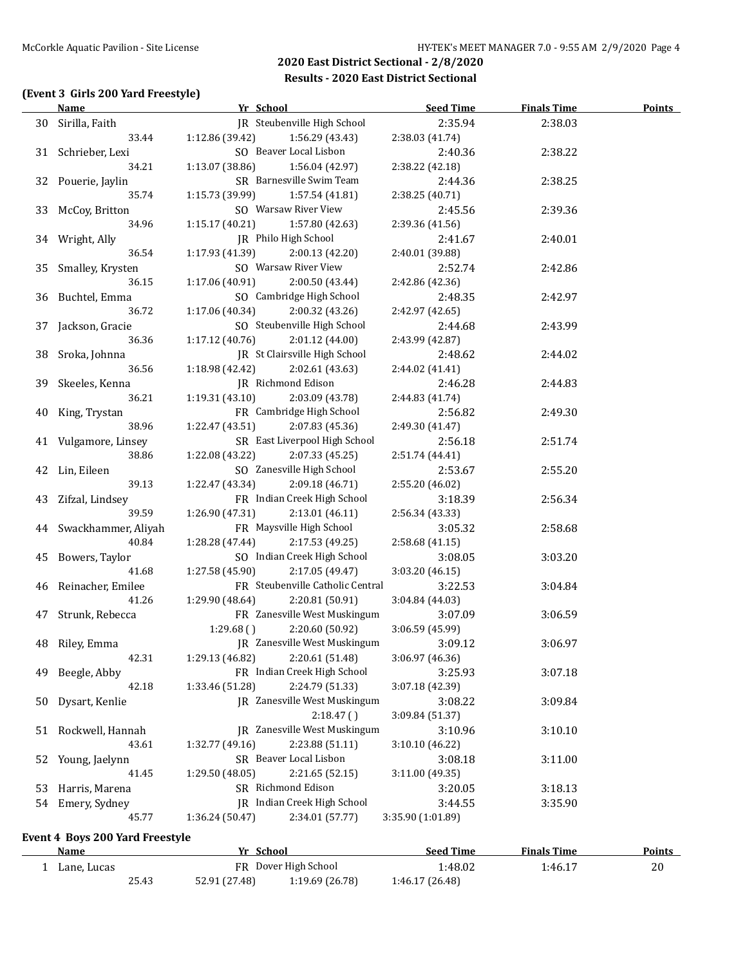# **(Event 3 Girls 200 Yard Freestyle)**

|    | <b>Name</b>                            | Yr School       |                                     | <b>Seed Time</b>  | <b>Finals Time</b> | <b>Points</b> |
|----|----------------------------------------|-----------------|-------------------------------------|-------------------|--------------------|---------------|
|    | 30 Sirilla, Faith                      |                 | IR Steubenville High School         | 2:35.94           | 2:38.03            |               |
|    | 33.44                                  | 1:12.86 (39.42) | 1:56.29 (43.43)                     | 2:38.03 (41.74)   |                    |               |
|    | 31 Schrieber, Lexi                     |                 | SO Beaver Local Lisbon              | 2:40.36           | 2:38.22            |               |
|    | 34.21                                  | 1:13.07 (38.86) | 1:56.04 (42.97)                     | 2:38.22 (42.18)   |                    |               |
|    | 32 Pouerie, Jaylin                     |                 | SR Barnesville Swim Team            | 2:44.36           | 2:38.25            |               |
|    | 35.74                                  | 1:15.73 (39.99) | 1:57.54 (41.81)                     | 2:38.25 (40.71)   |                    |               |
|    | 33 McCoy, Britton                      |                 | SO Warsaw River View                | 2:45.56           | 2:39.36            |               |
|    | 34.96                                  | 1:15.17(40.21)  | 1:57.80 (42.63)                     | 2:39.36 (41.56)   |                    |               |
|    | 34 Wright, Ally                        |                 | JR Philo High School                | 2:41.67           | 2:40.01            |               |
|    | 36.54                                  | 1:17.93 (41.39) | 2:00.13(42.20)                      | 2:40.01 (39.88)   |                    |               |
|    | 35 Smalley, Krysten                    |                 | SO Warsaw River View                | 2:52.74           | 2:42.86            |               |
|    | 36.15                                  | 1:17.06(40.91)  | 2:00.50 (43.44)                     |                   |                    |               |
|    |                                        |                 |                                     | 2:42.86 (42.36)   |                    |               |
|    | 36 Buchtel, Emma                       |                 | SO Cambridge High School            | 2:48.35           | 2:42.97            |               |
|    | 36.72                                  | 1:17.06 (40.34) | 2:00.32 (43.26)                     | 2:42.97 (42.65)   |                    |               |
|    | 37 Jackson, Gracie                     |                 | SO Steubenville High School         | 2:44.68           | 2:43.99            |               |
|    | 36.36                                  | 1:17.12(40.76)  | 2:01.12 (44.00)                     | 2:43.99 (42.87)   |                    |               |
|    | 38 Sroka, Johnna                       |                 | JR St Clairsville High School       | 2:48.62           | 2:44.02            |               |
|    | 36.56                                  | 1:18.98 (42.42) | 2:02.61 (43.63)                     | 2:44.02 (41.41)   |                    |               |
|    | 39 Skeeles, Kenna                      |                 | JR Richmond Edison                  | 2:46.28           | 2:44.83            |               |
|    | 36.21                                  | 1:19.31(43.10)  | 2:03.09 (43.78)                     | 2:44.83 (41.74)   |                    |               |
|    | 40 King, Trystan                       |                 | FR Cambridge High School            | 2:56.82           | 2:49.30            |               |
|    | 38.96                                  | 1:22.47 (43.51) | 2:07.83 (45.36)                     | 2:49.30 (41.47)   |                    |               |
|    | 41 Vulgamore, Linsey                   |                 | SR East Liverpool High School       | 2:56.18           | 2:51.74            |               |
|    | 38.86                                  | 1:22.08 (43.22) | 2:07.33 (45.25)                     | 2:51.74 (44.41)   |                    |               |
|    | 42 Lin, Eileen                         |                 | SO Zanesville High School           | 2:53.67           | 2:55.20            |               |
|    | 39.13                                  | 1:22.47 (43.34) | 2:09.18 (46.71)                     | 2:55.20 (46.02)   |                    |               |
|    | 43 Zifzal, Lindsey                     |                 | FR Indian Creek High School         | 3:18.39           | 2:56.34            |               |
|    | 39.59                                  | 1:26.90 (47.31) | 2:13.01 (46.11)                     |                   |                    |               |
|    |                                        |                 |                                     | 2:56.34 (43.33)   |                    |               |
|    | 44 Swackhammer, Aliyah                 |                 | FR Maysville High School            | 3:05.32           | 2:58.68            |               |
|    | 40.84                                  | 1:28.28 (47.44) | 2:17.53 (49.25)                     | 2:58.68 (41.15)   |                    |               |
|    | 45 Bowers, Taylor                      |                 | SO Indian Creek High School         | 3:08.05           | 3:03.20            |               |
|    | 41.68                                  | 1:27.58 (45.90) | 2:17.05 (49.47)                     | 3:03.20 (46.15)   |                    |               |
|    | 46 Reinacher, Emilee                   |                 | FR Steubenville Catholic Central    | 3:22.53           | 3:04.84            |               |
|    | 41.26                                  | 1:29.90 (48.64) | 2:20.81 (50.91)                     | 3:04.84 (44.03)   |                    |               |
|    | 47 Strunk, Rebecca                     |                 | FR Zanesville West Muskingum        | 3:07.09           | 3:06.59            |               |
|    |                                        | 1:29.68()       | 2:20.60 (50.92)                     | 3:06.59 (45.99)   |                    |               |
|    | 48 Riley, Emma                         |                 | JR Zanesville West Muskingum        | 3:09.12           | 3:06.97            |               |
|    | 42.31                                  | 1:29.13 (46.82) | 2:20.61 (51.48)                     | 3:06.97 (46.36)   |                    |               |
| 49 | Beegle, Abby                           |                 | FR Indian Creek High School         | 3:25.93           | 3:07.18            |               |
|    | 42.18                                  | 1:33.46 (51.28) | 2:24.79 (51.33)                     | 3:07.18 (42.39)   |                    |               |
| 50 | Dysart, Kenlie                         |                 | JR Zanesville West Muskingum        | 3:08.22           | 3:09.84            |               |
|    |                                        |                 | 2:18.47()                           | 3:09.84 (51.37)   |                    |               |
| 51 | Rockwell, Hannah                       |                 | <b>IR</b> Zanesville West Muskingum | 3:10.96           | 3:10.10            |               |
|    | 43.61                                  | 1:32.77 (49.16) | 2:23.88 (51.11)                     | 3:10.10 (46.22)   |                    |               |
|    |                                        |                 | SR Beaver Local Lisbon              |                   |                    |               |
| 52 | Young, Jaelynn                         |                 |                                     | 3:08.18           | 3:11.00            |               |
|    | 41.45                                  | 1:29.50 (48.05) | 2:21.65(52.15)                      | 3:11.00 (49.35)   |                    |               |
| 53 | Harris, Marena                         |                 | SR Richmond Edison                  | 3:20.05           | 3:18.13            |               |
| 54 | Emery, Sydney                          |                 | JR Indian Creek High School         | 3:44.55           | 3:35.90            |               |
|    | 45.77                                  | 1:36.24 (50.47) | 2:34.01 (57.77)                     | 3:35.90 (1:01.89) |                    |               |
|    | <b>Event 4 Boys 200 Yard Freestyle</b> |                 |                                     |                   |                    |               |
|    | Namo                                   | Vr School       |                                     | Sood Timo         | Finale Time        | <b>Dointe</b> |

| Name        |       | Yr School     |                      | Seed Time       | <b>Finals Time</b> | <b>Points</b> |
|-------------|-------|---------------|----------------------|-----------------|--------------------|---------------|
| Lane, Lucas |       |               | FR Dover High School | l:48.02         | 1:46.17            | 20            |
|             | 25.43 | 52.91 (27.48) | 1:19.69 (26.78)      | 1:46.17 (26.48) |                    |               |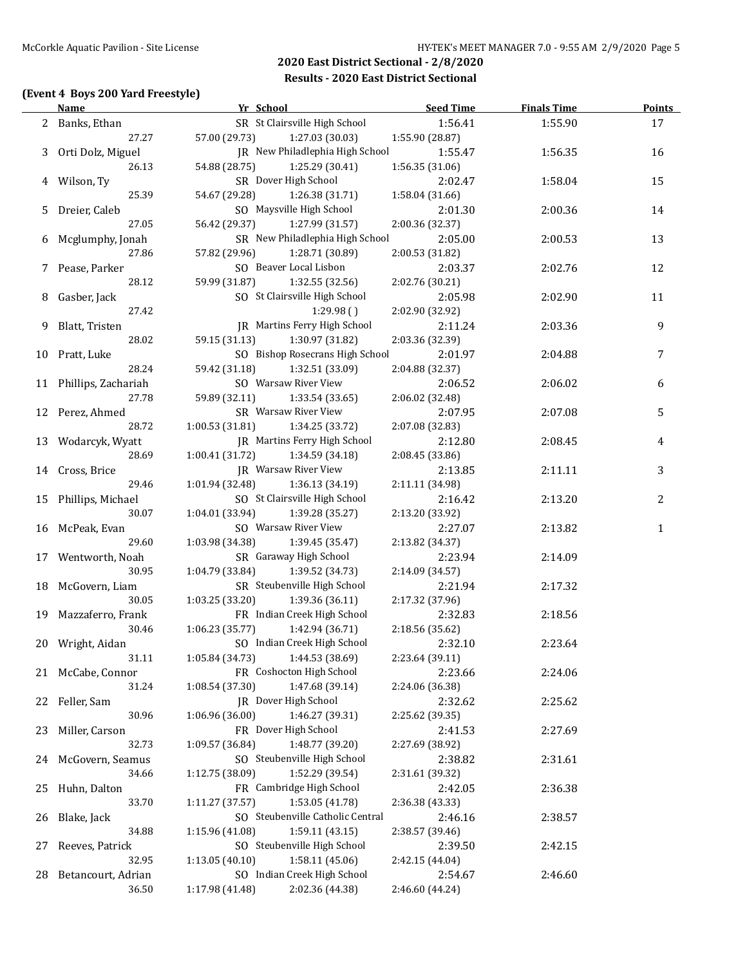### **(Event 4 Boys 200 Yard Freestyle)**

|    | <b>Name</b>            | Yr School                                                         | <b>Seed Time</b> | <b>Finals Time</b> | <b>Points</b> |
|----|------------------------|-------------------------------------------------------------------|------------------|--------------------|---------------|
|    | 2 Banks, Ethan         | SR St Clairsville High School                                     | 1:56.41          | 1:55.90            | 17            |
|    | 27.27                  | 57.00 (29.73)<br>1:27.03 (30.03)                                  | 1:55.90 (28.87)  |                    |               |
|    | 3 Orti Dolz, Miguel    | JR New Philadlephia High School                                   | 1:55.47          | 1:56.35            | 16            |
|    | 26.13                  | 54.88 (28.75)<br>1:25.29 (30.41)                                  | 1:56.35 (31.06)  |                    |               |
|    | 4 Wilson, Ty           | SR Dover High School                                              | 2:02.47          | 1:58.04            | 15            |
|    | 25.39                  | 54.67 (29.28)<br>1:26.38 (31.71)                                  | 1:58.04 (31.66)  |                    |               |
| 5. | Dreier, Caleb          | SO Maysville High School                                          | 2:01.30          | 2:00.36            | 14            |
|    | 27.05                  | 56.42 (29.37)<br>1:27.99 (31.57)                                  | 2:00.36 (32.37)  |                    |               |
| 6  | Mcglumphy, Jonah       | SR New Philadlephia High School                                   | 2:05.00          | 2:00.53            | 13            |
|    | 27.86                  | 1:28.71 (30.89)<br>57.82 (29.96)                                  | 2:00.53 (31.82)  |                    |               |
|    | 7 Pease, Parker        | SO Beaver Local Lisbon                                            | 2:03.37          | 2:02.76            | 12            |
|    | 28.12                  | 59.99 (31.87)<br>1:32.55 (32.56)                                  | 2:02.76 (30.21)  |                    |               |
| 8  | Gasber, Jack           | SO St Clairsville High School                                     | 2:05.98          | 2:02.90            | 11            |
|    | 27.42                  | 1:29.98()                                                         | 2:02.90 (32.92)  |                    |               |
| 9  | Blatt, Tristen         | JR Martins Ferry High School                                      | 2:11.24          | 2:03.36            | 9             |
|    | 28.02                  | 59.15 (31.13)<br>1:30.97 (31.82)                                  | 2:03.36 (32.39)  |                    |               |
|    | 10 Pratt, Luke         | SO Bishop Rosecrans High School                                   | 2:01.97          | 2:04.88            | 7             |
|    | 28.24                  | 59.42 (31.18)<br>1:32.51 (33.09)                                  | 2:04.88 (32.37)  |                    |               |
|    | 11 Phillips, Zachariah | SO Warsaw River View                                              | 2:06.52          | 2:06.02            | 6             |
|    | 27.78                  | 59.89 (32.11)<br>1:33.54(33.65)                                   | 2:06.02 (32.48)  |                    |               |
|    | 12 Perez, Ahmed        | SR Warsaw River View                                              | 2:07.95          | 2:07.08            | 5             |
|    | 28.72                  | 1:34.25 (33.72)<br>1:00.53(31.81)                                 | 2:07.08 (32.83)  |                    |               |
| 13 | Wodarcyk, Wyatt        | <b>IR</b> Martins Ferry High School                               | 2:12.80          | 2:08.45            | 4             |
|    | 28.69                  | 1:00.41(31.72)<br>1:34.59 (34.18)                                 | 2:08.45 (33.86)  |                    |               |
| 14 | Cross, Brice           | <b>IR</b> Warsaw River View                                       | 2:13.85          | 2:11.11            | 3             |
|    | 29.46                  | 1:01.94 (32.48)<br>1:36.13 (34.19)                                | 2:11.11 (34.98)  |                    |               |
| 15 | Phillips, Michael      | SO St Clairsville High School                                     | 2:16.42          | 2:13.20            | 2             |
|    | 30.07                  | 1:04.01(33.94)<br>1:39.28 (35.27)                                 | 2:13.20 (33.92)  |                    |               |
|    | McPeak, Evan           | SO Warsaw River View                                              | 2:27.07          |                    | $\mathbf{1}$  |
| 16 | 29.60                  | 1:39.45 (35.47)                                                   |                  | 2:13.82            |               |
|    |                        | 1:03.98 (34.38)<br>SR Garaway High School                         | 2:13.82 (34.37)  |                    |               |
| 17 | Wentworth, Noah        |                                                                   | 2:23.94          | 2:14.09            |               |
|    | 30.95                  | 1:04.79 (33.84)<br>1:39.52 (34.73)<br>SR Steubenville High School | 2:14.09 (34.57)  |                    |               |
| 18 | McGovern, Liam         |                                                                   | 2:21.94          | 2:17.32            |               |
|    | 30.05                  | 1:03.25(33.20)<br>1:39.36 (36.11)                                 | 2:17.32 (37.96)  |                    |               |
|    | 19 Mazzaferro, Frank   | FR Indian Creek High School                                       | 2:32.83          | 2:18.56            |               |
|    | 30.46                  | 1:06.23 (35.77)<br>1:42.94 (36.71)                                | 2:18.56 (35.62)  |                    |               |
|    | 20 Wright, Aidan       | SO Indian Creek High School                                       | 2:32.10          | 2:23.64            |               |
|    | 31.11                  | 1:05.84 (34.73)<br>1:44.53 (38.69)                                | 2:23.64 (39.11)  |                    |               |
|    | 21 McCabe, Connor      | FR Coshocton High School                                          | 2:23.66          | 2:24.06            |               |
|    | 31.24                  | 1:08.54 (37.30)<br>1:47.68 (39.14)                                | 2:24.06 (36.38)  |                    |               |
| 22 | Feller, Sam            | JR Dover High School                                              | 2:32.62          | 2:25.62            |               |
|    | 30.96                  | 1:06.96 (36.00)<br>1:46.27 (39.31)                                | 2:25.62 (39.35)  |                    |               |
| 23 | Miller, Carson         | FR Dover High School                                              | 2:41.53          | 2:27.69            |               |
|    | 32.73                  | 1:48.77 (39.20)<br>1:09.57 (36.84)                                | 2:27.69 (38.92)  |                    |               |
| 24 | McGovern, Seamus       | SO Steubenville High School                                       | 2:38.82          | 2:31.61            |               |
|    | 34.66                  | 1:52.29 (39.54)<br>1:12.75 (38.09)                                | 2:31.61 (39.32)  |                    |               |
| 25 | Huhn, Dalton           | FR Cambridge High School                                          | 2:42.05          | 2:36.38            |               |
|    | 33.70                  | 1:53.05 (41.78)<br>1:11.27 (37.57)                                | 2:36.38 (43.33)  |                    |               |
| 26 | Blake, Jack            | SO Steubenville Catholic Central                                  | 2:46.16          | 2:38.57            |               |
|    | 34.88                  | 1:15.96 (41.08)<br>1:59.11(43.15)                                 | 2:38.57 (39.46)  |                    |               |
| 27 | Reeves, Patrick        | SO Steubenville High School                                       | 2:39.50          | 2:42.15            |               |
|    | 32.95                  | 1:13.05 (40.10)<br>1:58.11 (45.06)                                | 2:42.15 (44.04)  |                    |               |
| 28 | Betancourt, Adrian     | SO Indian Creek High School                                       | 2:54.67          | 2:46.60            |               |
|    | 36.50                  | 1:17.98 (41.48)<br>2:02.36 (44.38)                                | 2:46.60 (44.24)  |                    |               |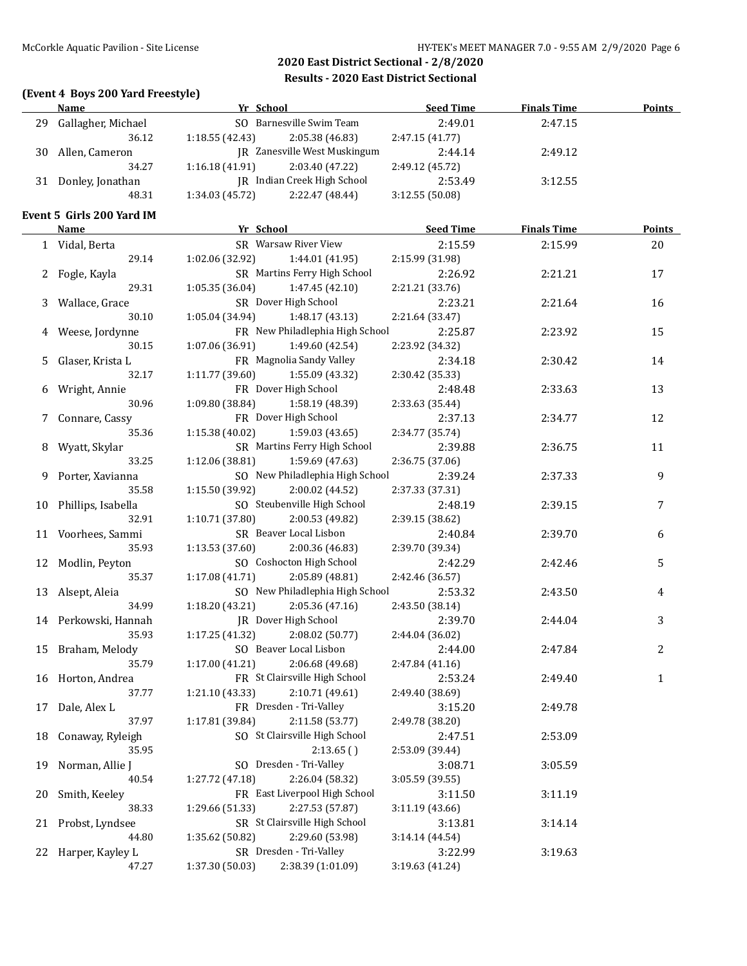|    | (Event 4 Boys 200 Yard Freestyle)<br><b>Name</b> | <b>Example 21 Yr School</b>                                    | Seed Time       | <b>Finals Time</b> | Points         |
|----|--------------------------------------------------|----------------------------------------------------------------|-----------------|--------------------|----------------|
| 29 | Gallagher, Michael                               | SO Barnesville Swim Team                                       | 2:49.01         | 2:47.15            |                |
|    | 36.12                                            | 1:18.55(42.43)<br>2:05.38 (46.83)                              | 2:47.15 (41.77) |                    |                |
|    | 30 Allen, Cameron                                | JR Zanesville West Muskingum                                   | 2:44.14         | 2:49.12            |                |
|    | 34.27                                            | 1:16.18(41.91)<br>2:03.40 (47.22)                              | 2:49.12 (45.72) |                    |                |
|    | 31 Donley, Jonathan                              | JR Indian Creek High School                                    | 2:53.49         | 3:12.55            |                |
|    | 48.31                                            | 1:34.03 (45.72)<br>2:22.47 (48.44)                             | 3:12.55(50.08)  |                    |                |
|    | Event 5 Girls 200 Yard IM                        |                                                                |                 |                    |                |
|    | <b>Name</b>                                      | Yr School                                                      | Seed Time       | <b>Finals Time</b> | <b>Points</b>  |
|    | 1 Vidal, Berta                                   | SR Warsaw River View                                           | 2:15.59         | 2:15.99            | 20             |
|    | 29.14                                            | 1:02.06 (32.92)<br>1:44.01 (41.95)                             | 2:15.99 (31.98) |                    |                |
|    |                                                  | SR Martins Ferry High School                                   | 2:26.92         | 2:21.21            | 17             |
|    | 2 Fogle, Kayla<br>29.31                          | 1:05.35(36.04)<br>1:47.45 (42.10)                              | 2:21.21 (33.76) |                    |                |
|    |                                                  | SR Dover High School                                           |                 |                    |                |
|    | 3 Wallace, Grace                                 | 1:48.17 (43.13)                                                | 2:23.21         | 2:21.64            | 16             |
|    | 30.10                                            | 1:05.04 (34.94)<br>FR New Philadlephia High School             | 2:21.64 (33.47) |                    |                |
|    | 4 Weese, Jordynne                                |                                                                | 2:25.87         | 2:23.92            | 15             |
|    | 30.15                                            | 1:49.60 (42.54)<br>1:07.06 (36.91)<br>FR Magnolia Sandy Valley | 2:23.92 (34.32) |                    |                |
| 5. | Glaser, Krista L                                 |                                                                | 2:34.18         | 2:30.42            | 14             |
|    | 32.17                                            | 1:11.77(39.60)<br>1:55.09 (43.32)                              | 2:30.42 (35.33) |                    |                |
|    | 6 Wright, Annie                                  | FR Dover High School                                           | 2:48.48         | 2:33.63            | 13             |
|    | 30.96                                            | 1:09.80 (38.84)<br>1:58.19 (48.39)                             | 2:33.63 (35.44) |                    |                |
|    | 7 Connare, Cassy                                 | FR Dover High School                                           | 2:37.13         | 2:34.77            | 12             |
|    | 35.36                                            | 1:15.38 (40.02)<br>1:59.03 (43.65)                             | 2:34.77 (35.74) |                    |                |
| 8  | Wyatt, Skylar                                    | SR Martins Ferry High School                                   | 2:39.88         | 2:36.75            | 11             |
|    | 33.25                                            | 1:12.06(38.81)<br>1:59.69 (47.63)                              | 2:36.75 (37.06) |                    |                |
|    | 9 Porter, Xavianna                               | SO New Philadlephia High School                                | 2:39.24         | 2:37.33            | $\overline{9}$ |
|    | 35.58                                            | 1:15.50(39.92)<br>2:00.02 (44.52)                              | 2:37.33 (37.31) |                    |                |
|    | 10 Phillips, Isabella                            | SO Steubenville High School                                    | 2:48.19         | 2:39.15            | 7              |
|    | 32.91                                            | 1:10.71 (37.80)<br>2:00.53 (49.82)                             | 2:39.15 (38.62) |                    |                |
|    | 11 Voorhees, Sammi                               | SR Beaver Local Lisbon                                         | 2:40.84         | 2:39.70            | 6              |
|    | 35.93                                            | 1:13.53 (37.60)<br>2:00.36 (46.83)                             | 2:39.70 (39.34) |                    |                |
|    | 12 Modlin, Peyton                                | SO Coshocton High School                                       | 2:42.29         | 2:42.46            | 5              |
|    | 35.37                                            | 1:17.08 (41.71)<br>2:05.89 (48.81)                             | 2:42.46 (36.57) |                    |                |
|    | 13 Alsept, Aleia                                 | SO New Philadlephia High School                                | 2:53.32         | 2:43.50            | 4              |
|    | 34.99                                            | 1:18.20 (43.21)<br>2:05.36(47.16)                              | 2:43.50 (38.14) |                    |                |
|    | 14 Perkowski, Hannah                             | JR Dover High School                                           | 2:39.70         | 2:44.04            | 3              |
|    | 35.93                                            | $1:17.25(41.32)$ $2:08.02(50.77)$                              | 2:44.04 (36.02) |                    |                |
|    | 15 Braham, Melody                                | SO Beaver Local Lisbon                                         | 2:44.00         | 2:47.84            | 2              |
|    | 35.79                                            | 1:17.00 (41.21)<br>2:06.68 (49.68)                             | 2:47.84 (41.16) |                    |                |
|    | 16 Horton, Andrea                                | FR St Clairsville High School                                  | 2:53.24         | 2:49.40            | 1              |
|    | 37.77                                            | 1:21.10 (43.33)<br>2:10.71 (49.61)                             | 2:49.40 (38.69) |                    |                |
| 17 | Dale, Alex L                                     | FR Dresden - Tri-Valley                                        | 3:15.20         | 2:49.78            |                |
|    | 37.97                                            | 1:17.81 (39.84)<br>2:11.58 (53.77)                             | 2:49.78 (38.20) |                    |                |
| 18 | Conaway, Ryleigh                                 | SO St Clairsville High School                                  | 2:47.51         | 2:53.09            |                |
|    | 35.95                                            | 2:13.65()                                                      | 2:53.09 (39.44) |                    |                |
| 19 | Norman, Allie J                                  | SO Dresden - Tri-Valley                                        | 3:08.71         | 3:05.59            |                |
|    | 40.54                                            | 1:27.72 (47.18)<br>2:26.04 (58.32)                             | 3:05.59 (39.55) |                    |                |
| 20 | Smith, Keeley                                    | FR East Liverpool High School                                  | 3:11.50         | 3:11.19            |                |
|    | 38.33                                            | 1:29.66 (51.33)<br>2:27.53 (57.87)                             | 3:11.19 (43.66) |                    |                |
| 21 | Probst, Lyndsee                                  | SR St Clairsville High School                                  | 3:13.81         | 3:14.14            |                |
|    | 44.80                                            | 1:35.62 (50.82)<br>2:29.60 (53.98)                             | 3:14.14 (44.54) |                    |                |
| 22 | Harper, Kayley L                                 | SR Dresden - Tri-Valley                                        | 3:22.99         | 3:19.63            |                |
|    | 47.27                                            | 1:37.30 (50.03)<br>2:38.39 (1:01.09)                           | 3:19.63 (41.24) |                    |                |
|    |                                                  |                                                                |                 |                    |                |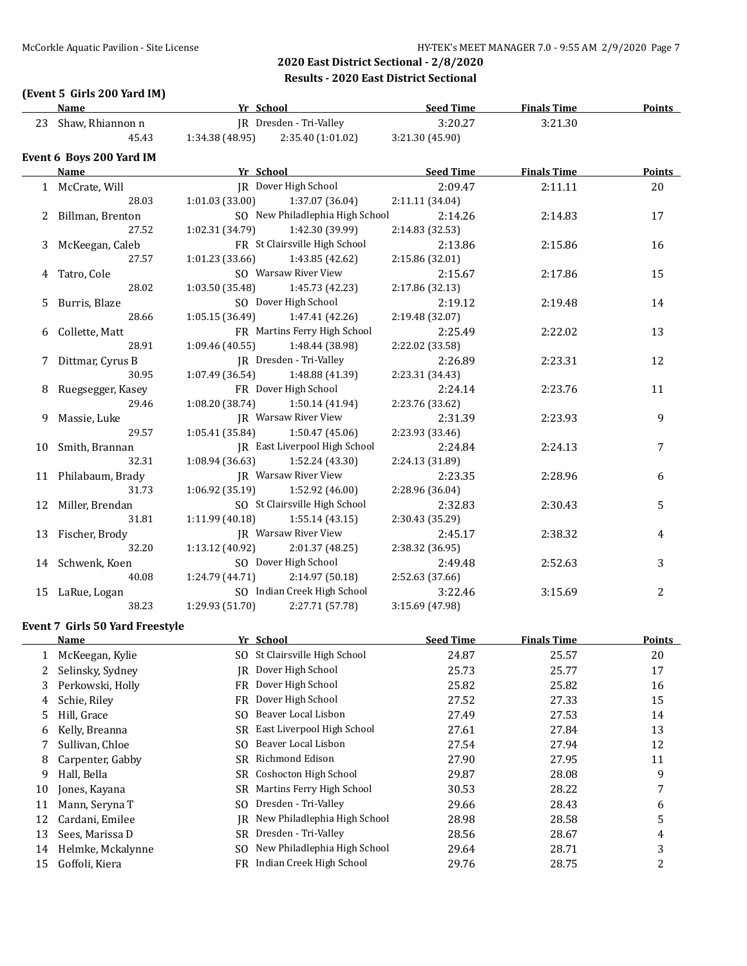### **(Event 5 Girls 200 Yard IM)**

|    | <b>Name</b>                     | Yr School       |                                 | <b>Seed Time</b> | <b>Finals Time</b> | <u>Points</u>  |
|----|---------------------------------|-----------------|---------------------------------|------------------|--------------------|----------------|
|    | 23 Shaw, Rhiannon n             |                 | IR Dresden - Tri-Valley         | 3:20.27          | 3:21.30            |                |
|    | 45.43                           | 1:34.38(48.95)  | 2:35.40 (1:01.02)               | 3:21.30 (45.90)  |                    |                |
|    | Event 6 Boys 200 Yard IM        |                 |                                 |                  |                    |                |
|    | Name                            | Yr School       |                                 | <b>Seed Time</b> | <b>Finals Time</b> | Points         |
|    | 1 McCrate, Will                 |                 | JR Dover High School            | 2:09.47          | 2:11.11            | 20             |
|    | 28.03                           | 1:01.03 (33.00) | 1:37.07 (36.04)                 | 2:11.11 (34.04)  |                    |                |
| 2  | Billman, Brenton                |                 | SO New Philadlephia High School | 2:14.26          | 2:14.83            | 17             |
|    | 27.52                           | 1:02.31 (34.79) | 1:42.30 (39.99)                 | 2:14.83 (32.53)  |                    |                |
| 3  | McKeegan, Caleb                 |                 | FR St Clairsville High School   | 2:13.86          | 2:15.86            | 16             |
|    | 27.57                           | 1:01.23 (33.66) | 1:43.85 (42.62)                 | 2:15.86 (32.01)  |                    |                |
| 4  | Tatro, Cole                     |                 | SO Warsaw River View            | 2:15.67          | 2:17.86            | 15             |
|    | 28.02                           | 1:03.50 (35.48) | 1:45.73 (42.23)                 | 2:17.86 (32.13)  |                    |                |
| 5  | Burris, Blaze                   |                 | SO Dover High School            | 2:19.12          | 2:19.48            | 14             |
|    | 28.66                           | 1:05.15 (36.49) | 1:47.41 (42.26)                 | 2:19.48 (32.07)  |                    |                |
| 6  | Collette, Matt                  |                 | FR Martins Ferry High School    | 2:25.49          | 2:22.02            | 13             |
|    | 28.91                           | 1:09.46 (40.55) | 1:48.44 (38.98)                 | 2:22.02 (33.58)  |                    |                |
| 7  | Dittmar, Cyrus B                |                 | JR Dresden - Tri-Valley         | 2:26.89          | 2:23.31            | 12             |
|    | 30.95                           | 1:07.49 (36.54) | 1:48.88 (41.39)                 | 2:23.31 (34.43)  |                    |                |
| 8  | Ruegsegger, Kasey               |                 | FR Dover High School            | 2:24.14          | 2:23.76            | 11             |
|    | 29.46                           | 1:08.20 (38.74) | 1:50.14(41.94)                  | 2:23.76 (33.62)  |                    |                |
| 9  | Massie, Luke                    |                 | JR Warsaw River View            | 2:31.39          | 2:23.93            | 9              |
|    | 29.57                           | 1:05.41 (35.84) | 1:50.47(45.06)                  | 2:23.93 (33.46)  |                    |                |
| 10 | Smith, Brannan                  |                 | JR East Liverpool High School   | 2:24.84          | 2:24.13            | 7              |
|    | 32.31                           | 1:08.94(36.63)  | 1:52.24 (43.30)                 | 2:24.13 (31.89)  |                    |                |
|    | 11 Philabaum, Brady             |                 | JR Warsaw River View            | 2:23.35          | 2:28.96            | 6              |
|    | 31.73                           | 1:06.92 (35.19) | 1:52.92 (46.00)                 | 2:28.96 (36.04)  |                    |                |
| 12 | Miller, Brendan                 |                 | SO St Clairsville High School   | 2:32.83          | 2:30.43            | 5              |
|    | 31.81                           | 1:11.99(40.18)  | 1:55.14(43.15)                  | 2:30.43 (35.29)  |                    |                |
| 13 | Fischer, Brody                  |                 | <b>IR</b> Warsaw River View     | 2:45.17          | 2:38.32            | 4              |
|    | 32.20                           | 1:13.12 (40.92) | 2:01.37 (48.25)                 | 2:38.32 (36.95)  |                    |                |
| 14 | Schwenk, Koen                   |                 | SO Dover High School            | 2:49.48          | 2:52.63            | 3              |
|    | 40.08                           | 1:24.79 (44.71) | 2:14.97 (50.18)                 | 2:52.63 (37.66)  |                    |                |
| 15 | LaRue, Logan                    |                 | SO Indian Creek High School     | 3:22.46          | 3:15.69            | $\overline{2}$ |
|    | 38.23                           | 1:29.93 (51.70) | 2:27.71 (57.78)                 | 3:15.69 (47.98)  |                    |                |
|    | Event 7 Girls 50 Yard Freestyle |                 |                                 |                  |                    |                |
|    | Name                            | Yr School       |                                 | <b>Seed Time</b> | <b>Finals Time</b> | Points         |
|    | 1 McKeegan, Kylie               |                 | SO St Clairsville High School   | 24.87            | 25.57              | $20\,$         |
| 2  | Selinsky, Sydney                |                 | IR Dover High School            | 25.73            | 25.77              | 17             |
| 3  | Perkowski, Holly                |                 | FR Dover High School            | 25.82            | 25.82              | 16             |
| 4  | Schie, Riley                    |                 | FR Dover High School            | 27.52            | 27.33              | 15             |
| 5  | Hill, Grace                     |                 | SO Beaver Local Lisbon          | 27.49            | 27.53              | 14             |

6 Kelly, Breanna SR East Liverpool High School 27.61 27.84 13 7 Sullivan, Chloe SO Beaver Local Lisbon 27.54 27.94 27.94 12 8 Carpenter, Gabby SR Richmond Edison 27.90 27.95 27.95 11 9 Hall, Bella SR Coshocton High School 29.87 28.08 9 10 Jones, Kayana SR Martins Ferry High School 30.53 28.22 7 11 Mann, Seryna T SO Dresden - Tri-Valley 29.66 28.43 6 12 Cardani, Emilee Sandani, Emilee JR New Philadlephia High School 28.98 28.58 28.58 5 13 Sees, Marissa D SR Dresden - Tri-Valley 28.56 28.67 28.67 4 14 Helmke, Mckalynne SO New Philadlephia High School 29.64 28.71 28.71 15 Goffoli, Kiera **FR** Indian Creek High School 29.76 28.75 2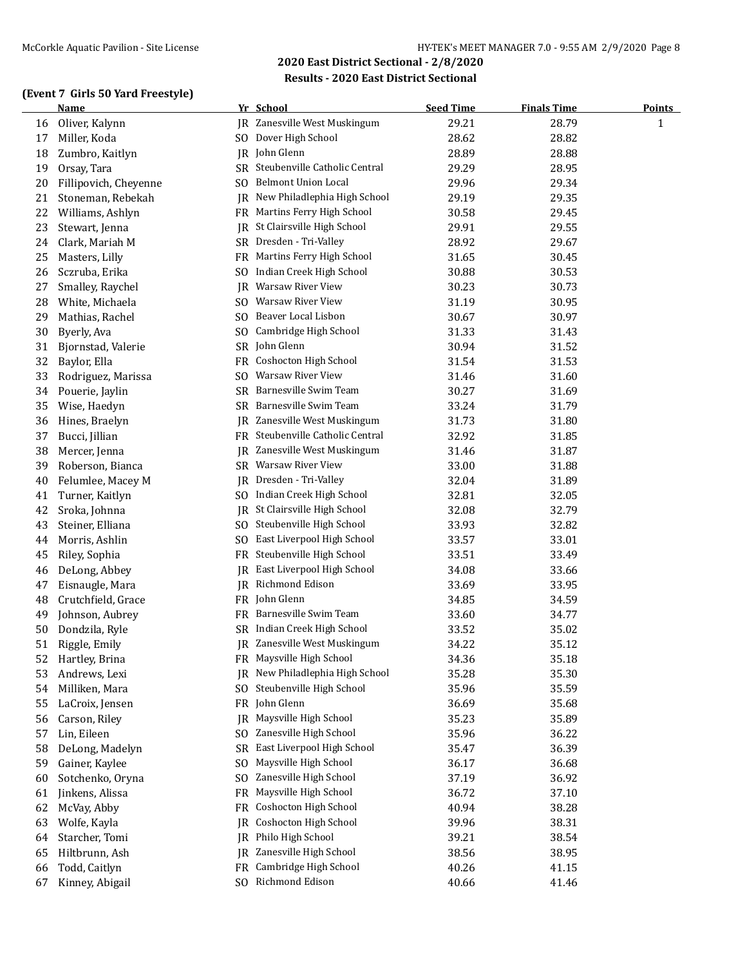### **(Event 7 Girls 50 Yard Freestyle)**

|    | <b>Name</b>           |                | Yr School                        | <b>Seed Time</b> | <b>Finals Time</b> | <b>Points</b> |
|----|-----------------------|----------------|----------------------------------|------------------|--------------------|---------------|
| 16 | Oliver, Kalynn        |                | JR Zanesville West Muskingum     | 29.21            | 28.79              | $\mathbf{1}$  |
| 17 | Miller, Koda          |                | SO Dover High School             | 28.62            | 28.82              |               |
| 18 | Zumbro, Kaitlyn       |                | JR John Glenn                    | 28.89            | 28.88              |               |
| 19 | Orsay, Tara           |                | SR Steubenville Catholic Central | 29.29            | 28.95              |               |
| 20 | Fillipovich, Cheyenne | SO             | <b>Belmont Union Local</b>       | 29.96            | 29.34              |               |
| 21 | Stoneman, Rebekah     | IR             | New Philadlephia High School     | 29.19            | 29.35              |               |
| 22 | Williams, Ashlyn      | FR             | Martins Ferry High School        | 30.58            | 29.45              |               |
| 23 | Stewart, Jenna        | JR.            | St Clairsville High School       | 29.91            | 29.55              |               |
| 24 | Clark, Mariah M       | SR             | Dresden - Tri-Valley             | 28.92            | 29.67              |               |
| 25 | Masters, Lilly        | FR             | Martins Ferry High School        | 31.65            | 30.45              |               |
| 26 | Sczruba, Erika        | SO             | Indian Creek High School         | 30.88            | 30.53              |               |
| 27 | Smalley, Raychel      | JR             | Warsaw River View                | 30.23            | 30.73              |               |
| 28 | White, Michaela       | SO.            | Warsaw River View                | 31.19            | 30.95              |               |
| 29 | Mathias, Rachel       | S <sub>O</sub> | Beaver Local Lisbon              | 30.67            | 30.97              |               |
| 30 | Byerly, Ava           | SO.            | Cambridge High School            | 31.33            | 31.43              |               |
| 31 | Bjornstad, Valerie    |                | SR John Glenn                    | 30.94            | 31.52              |               |
| 32 | Baylor, Ella          | FR             | Coshocton High School            | 31.54            | 31.53              |               |
| 33 | Rodriguez, Marissa    | SO             | Warsaw River View                | 31.46            | 31.60              |               |
| 34 | Pouerie, Jaylin       | SR             | Barnesville Swim Team            | 30.27            | 31.69              |               |
| 35 | Wise, Haedyn          | SR             | Barnesville Swim Team            | 33.24            | 31.79              |               |
| 36 | Hines, Braelyn        |                | JR Zanesville West Muskingum     | 31.73            | 31.80              |               |
| 37 | Bucci, Jillian        |                | FR Steubenville Catholic Central | 32.92            | 31.85              |               |
| 38 | Mercer, Jenna         | IR             | Zanesville West Muskingum        | 31.46            | 31.87              |               |
| 39 | Roberson, Bianca      |                | SR Warsaw River View             | 33.00            | 31.88              |               |
| 40 | Felumlee, Macey M     | IR             | Dresden - Tri-Valley             | 32.04            | 31.89              |               |
| 41 | Turner, Kaitlyn       |                | SO Indian Creek High School      | 32.81            | 32.05              |               |
| 42 | Sroka, Johnna         | IR             | St Clairsville High School       | 32.08            | 32.79              |               |
| 43 | Steiner, Elliana      | SO.            | Steubenville High School         | 33.93            | 32.82              |               |
| 44 | Morris, Ashlin        | S <sub>O</sub> | East Liverpool High School       | 33.57            | 33.01              |               |
| 45 | Riley, Sophia         | FR             | Steubenville High School         | 33.51            | 33.49              |               |
| 46 | DeLong, Abbey         | IR             | East Liverpool High School       | 34.08            | 33.66              |               |
| 47 | Eisnaugle, Mara       |                | JR Richmond Edison               | 33.69            | 33.95              |               |
| 48 | Crutchfield, Grace    |                | FR John Glenn                    | 34.85            | 34.59              |               |
| 49 | Johnson, Aubrey       |                | FR Barnesville Swim Team         | 33.60            | 34.77              |               |
| 50 | Dondzila, Ryle        |                | SR Indian Creek High School      | 33.52            | 35.02              |               |
| 51 | Riggle, Emily         |                | IR Zanesville West Muskingum     | 34.22            | 35.12              |               |
| 52 | Hartley, Brina        |                | FR Maysville High School         | 34.36            | 35.18              |               |
| 53 | Andrews, Lexi         | JR.            | New Philadlephia High School     | 35.28            | 35.30              |               |
| 54 | Milliken, Mara        | SO             | Steubenville High School         | 35.96            | 35.59              |               |
| 55 | LaCroix, Jensen       | FR             | John Glenn                       | 36.69            | 35.68              |               |
| 56 | Carson, Riley         | <b>IR</b>      | Maysville High School            | 35.23            | 35.89              |               |
| 57 | Lin, Eileen           | SO.            | Zanesville High School           | 35.96            | 36.22              |               |
| 58 | DeLong, Madelyn       | <b>SR</b>      | East Liverpool High School       | 35.47            | 36.39              |               |
| 59 | Gainer, Kaylee        | S <sub>0</sub> | Maysville High School            | 36.17            | 36.68              |               |
| 60 | Sotchenko, Oryna      | S <sub>0</sub> | Zanesville High School           | 37.19            | 36.92              |               |
| 61 | Jinkens, Alissa       | FR             | Maysville High School            | 36.72            | 37.10              |               |
| 62 | McVay, Abby           | FR             | Coshocton High School            | 40.94            | 38.28              |               |
| 63 | Wolfe, Kayla          | IR             | Coshocton High School            | 39.96            | 38.31              |               |
| 64 | Starcher, Tomi        | IR             | Philo High School                | 39.21            | 38.54              |               |
| 65 | Hiltbrunn, Ash        | IR             | Zanesville High School           | 38.56            | 38.95              |               |
| 66 | Todd, Caitlyn         | FR             | Cambridge High School            | 40.26            | 41.15              |               |
| 67 | Kinney, Abigail       | S <sub>0</sub> | Richmond Edison                  | 40.66            | 41.46              |               |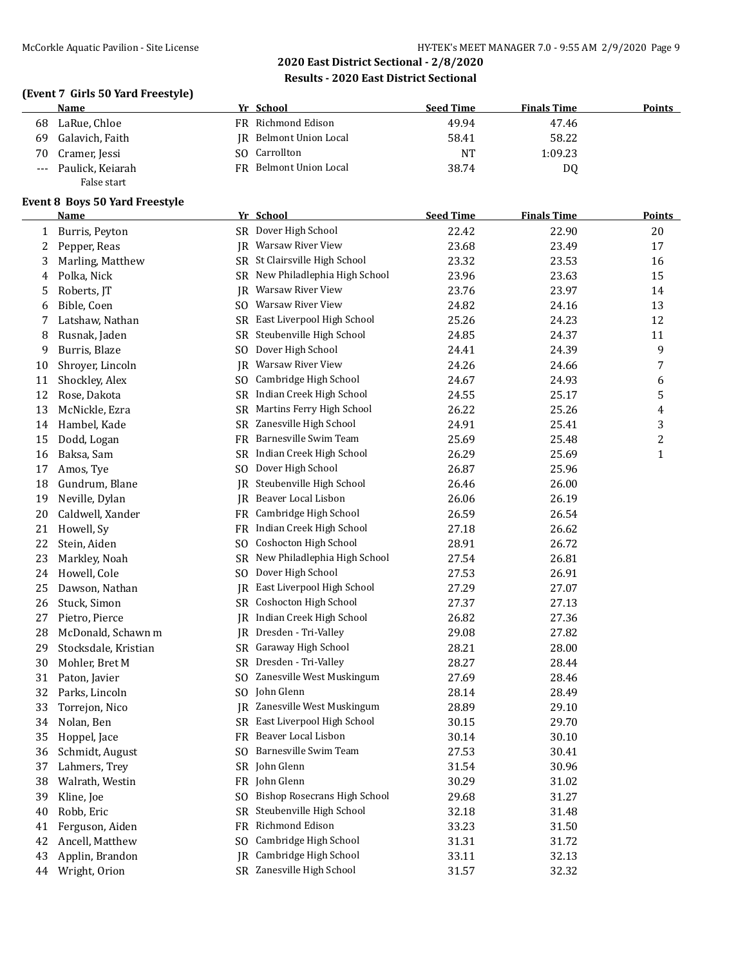### **(Event 7 Girls 50 Yard Freestyle)**

|       | Name             | Yr School              | <b>Seed Time</b> | <b>Finals Time</b> | <b>Points</b> |
|-------|------------------|------------------------|------------------|--------------------|---------------|
| 68    | LaRue, Chloe     | FR Richmond Edison     | 49.94            | 47.46              |               |
| 69    | Galavich, Faith  | IR Belmont Union Local | 58.41            | 58.22              |               |
| 70    | Cramer, Jessi    | SO Carrollton          | NT               | 1:09.23            |               |
| $---$ | Paulick, Keiarah | FR Belmont Union Local | 38.74            | D0                 |               |
|       | False start      |                        |                  |                    |               |

#### **Event 8 Boys 50 Yard Freestyle**

|    | Name                 |     | Yr School                           | <b>Seed Time</b> | <b>Finals Time</b> | <b>Points</b>  |
|----|----------------------|-----|-------------------------------------|------------------|--------------------|----------------|
| 1  | Burris, Peyton       |     | SR Dover High School                | 22.42            | 22.90              | 20             |
| 2  | Pepper, Reas         | IR  | Warsaw River View                   | 23.68            | 23.49              | 17             |
| 3  | Marling, Matthew     |     | SR St Clairsville High School       | 23.32            | 23.53              | 16             |
| 4  | Polka, Nick          | SR  | New Philadlephia High School        | 23.96            | 23.63              | 15             |
| 5  | Roberts, JT          | IR  | <b>Warsaw River View</b>            | 23.76            | 23.97              | 14             |
| 6  | Bible, Coen          | SO. | Warsaw River View                   | 24.82            | 24.16              | 13             |
| 7  | Latshaw, Nathan      | SR  | East Liverpool High School          | 25.26            | 24.23              | 12             |
| 8  | Rusnak, Jaden        | SR  | Steubenville High School            | 24.85            | 24.37              | 11             |
| 9  | Burris, Blaze        | SO. | Dover High School                   | 24.41            | 24.39              | 9              |
| 10 | Shroyer, Lincoln     | JR  | Warsaw River View                   | 24.26            | 24.66              | 7              |
| 11 | Shockley, Alex       | SO. | Cambridge High School               | 24.67            | 24.93              | 6              |
| 12 | Rose, Dakota         | SR  | Indian Creek High School            | 24.55            | 25.17              | 5              |
| 13 | McNickle, Ezra       | SR  | Martins Ferry High School           | 26.22            | 25.26              | 4              |
| 14 | Hambel, Kade         | SR  | Zanesville High School              | 24.91            | 25.41              | 3              |
| 15 | Dodd, Logan          | FR  | Barnesville Swim Team               | 25.69            | 25.48              | $\overline{c}$ |
| 16 | Baksa, Sam           | SR  | Indian Creek High School            | 26.29            | 25.69              | $\mathbf{1}$   |
| 17 | Amos, Tye            | SO. | Dover High School                   | 26.87            | 25.96              |                |
| 18 | Gundrum, Blane       | IR  | Steubenville High School            | 26.46            | 26.00              |                |
| 19 | Neville, Dylan       | IR  | Beaver Local Lisbon                 | 26.06            | 26.19              |                |
| 20 | Caldwell, Xander     | FR. | Cambridge High School               | 26.59            | 26.54              |                |
| 21 | Howell, Sy           | FR  | Indian Creek High School            | 27.18            | 26.62              |                |
| 22 | Stein, Aiden         | SO. | Coshocton High School               | 28.91            | 26.72              |                |
| 23 | Markley, Noah        | SR  | New Philadlephia High School        | 27.54            | 26.81              |                |
| 24 | Howell, Cole         | SO. | Dover High School                   | 27.53            | 26.91              |                |
| 25 | Dawson, Nathan       | IR  | East Liverpool High School          | 27.29            | 27.07              |                |
| 26 | Stuck, Simon         |     | SR Coshocton High School            | 27.37            | 27.13              |                |
| 27 | Pietro, Pierce       | IR  | Indian Creek High School            | 26.82            | 27.36              |                |
| 28 | McDonald, Schawn m   | IR  | Dresden - Tri-Valley                | 29.08            | 27.82              |                |
| 29 | Stocksdale, Kristian |     | SR Garaway High School              | 28.21            | 28.00              |                |
| 30 | Mohler, Bret M       | SR  | Dresden - Tri-Valley                | 28.27            | 28.44              |                |
| 31 | Paton, Javier        | SO. | Zanesville West Muskingum           | 27.69            | 28.46              |                |
| 32 | Parks, Lincoln       | SO. | John Glenn                          | 28.14            | 28.49              |                |
| 33 | Torrejon, Nico       | IR  | Zanesville West Muskingum           | 28.89            | 29.10              |                |
| 34 | Nolan, Ben           |     | SR East Liverpool High School       | 30.15            | 29.70              |                |
| 35 | Hoppel, Jace         |     | FR Beaver Local Lisbon              | 30.14            | 30.10              |                |
| 36 | Schmidt, August      |     | SO Barnesville Swim Team            | 27.53            | 30.41              |                |
| 37 | Lahmers, Trey        |     | SR John Glenn                       | 31.54            | 30.96              |                |
| 38 | Walrath, Westin      |     | FR John Glenn                       | 30.29            | 31.02              |                |
| 39 | Kline, Joe           | SO. | <b>Bishop Rosecrans High School</b> | 29.68            | 31.27              |                |
| 40 | Robb, Eric           | SR  | Steubenville High School            | 32.18            | 31.48              |                |
| 41 | Ferguson, Aiden      | FR  | Richmond Edison                     | 33.23            | 31.50              |                |
| 42 | Ancell, Matthew      | SO. | Cambridge High School               | 31.31            | 31.72              |                |
| 43 | Applin, Brandon      | IR  | Cambridge High School               | 33.11            | 32.13              |                |
| 44 | Wright, Orion        |     | SR Zanesville High School           | 31.57            | 32.32              |                |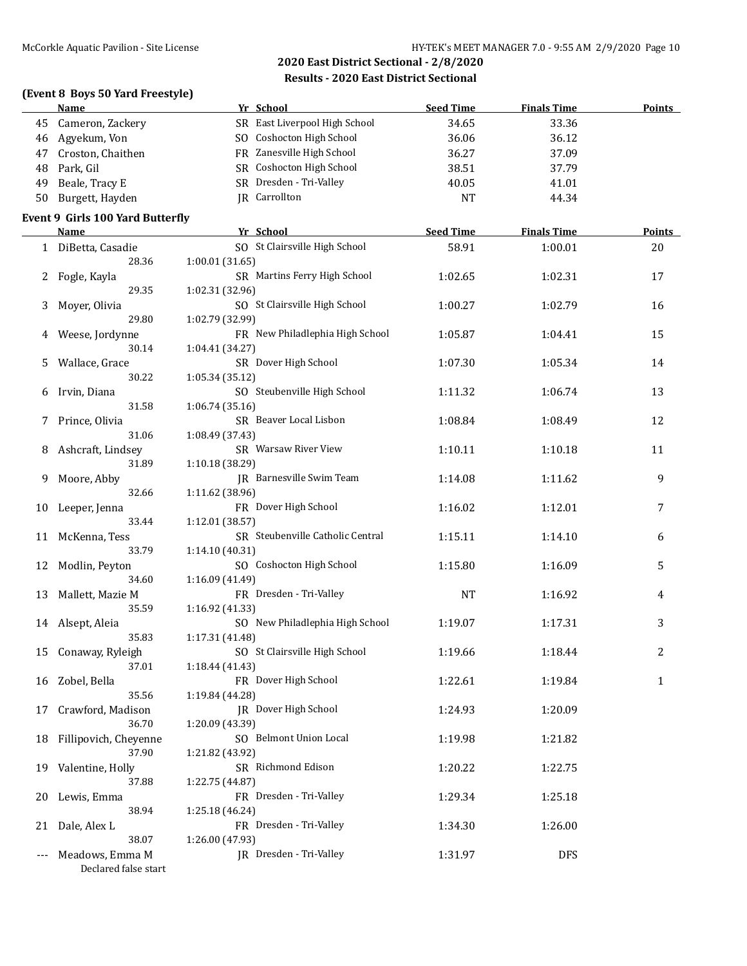|     | (Event 8 Boys 50 Yard Freestyle)<br>Name | Yr School                        | <b>Seed Time</b> | <b>Finals Time</b> | <b>Points</b> |
|-----|------------------------------------------|----------------------------------|------------------|--------------------|---------------|
| 45  | Cameron, Zackery                         | SR East Liverpool High School    | 34.65            | 33.36              |               |
| 46  | Agyekum, Von                             | SO Coshocton High School         | 36.06            | 36.12              |               |
| 47  | Croston, Chaithen                        | FR Zanesville High School        | 36.27            | 37.09              |               |
| 48  | Park, Gil                                | SR Coshocton High School         | 38.51            | 37.79              |               |
| 49  | Beale, Tracy E                           | SR Dresden - Tri-Valley          | 40.05            | 41.01              |               |
| 50  | Burgett, Hayden                          | JR Carrollton                    | <b>NT</b>        | 44.34              |               |
|     | <b>Event 9 Girls 100 Yard Butterfly</b>  |                                  |                  |                    |               |
|     | Name                                     | Yr School                        | <b>Seed Time</b> | <b>Finals Time</b> | Points        |
|     | 1 DiBetta, Casadie                       | SO St Clairsville High School    | 58.91            | 1:00.01            | 20            |
|     | 28.36                                    | 1:00.01 (31.65)                  |                  |                    |               |
| 2   | Fogle, Kayla                             | SR Martins Ferry High School     | 1:02.65          | 1:02.31            | 17            |
|     | 29.35                                    | 1:02.31 (32.96)                  |                  |                    |               |
| 3   | Moyer, Olivia                            | SO St Clairsville High School    | 1:00.27          | 1:02.79            | 16            |
|     | 29.80                                    | 1:02.79 (32.99)                  |                  |                    |               |
| 4   | Weese, Jordynne                          | FR New Philadlephia High School  | 1:05.87          | 1:04.41            | 15            |
|     | 30.14                                    | 1:04.41 (34.27)                  |                  |                    |               |
| 5   | Wallace, Grace                           | SR Dover High School             | 1:07.30          | 1:05.34            | 14            |
|     | 30.22                                    | 1:05.34 (35.12)                  |                  |                    |               |
| 6   | Irvin, Diana                             | SO Steubenville High School      | 1:11.32          | 1:06.74            | 13            |
|     | 31.58                                    | 1:06.74(35.16)                   |                  |                    |               |
| 7   | Prince, Olivia                           | SR Beaver Local Lisbon           | 1:08.84          | 1:08.49            | 12            |
|     | 31.06                                    | 1:08.49 (37.43)                  |                  |                    |               |
| 8   | Ashcraft, Lindsey                        | SR Warsaw River View             | 1:10.11          | 1:10.18            | 11            |
|     | 31.89                                    | 1:10.18 (38.29)                  |                  |                    |               |
| 9   | Moore, Abby                              | JR Barnesville Swim Team         | 1:14.08          | 1:11.62            | 9             |
|     | 32.66                                    | 1:11.62 (38.96)                  |                  |                    |               |
| 10  | Leeper, Jenna                            | FR Dover High School             | 1:16.02          | 1:12.01            | 7             |
|     | 33.44                                    | 1:12.01 (38.57)                  |                  |                    |               |
| 11  | McKenna, Tess                            | SR Steubenville Catholic Central | 1:15.11          | 1:14.10            | 6             |
|     | 33.79                                    | 1:14.10 (40.31)                  |                  |                    |               |
| 12  | Modlin, Peyton                           | SO Coshocton High School         | 1:15.80          | 1:16.09            | 5             |
|     | 34.60                                    | 1:16.09 (41.49)                  |                  |                    |               |
| 13  | Mallett, Mazie M                         | FR Dresden - Tri-Valley          | <b>NT</b>        | 1:16.92            | 4             |
|     | 35.59                                    | 1:16.92 (41.33)                  |                  |                    |               |
|     | 14 Alsept, Aleia                         | SO New Philadlephia High School  | 1:19.07          | 1:17.31            | 3             |
|     | 35.83                                    | 1:17.31 (41.48)                  |                  |                    |               |
| 15  | Conaway, Ryleigh                         | SO St Clairsville High School    | 1:19.66          | 1:18.44            | 2             |
|     | 37.01                                    | 1:18.44 (41.43)                  |                  |                    |               |
| 16  | Zobel, Bella                             | FR Dover High School             | 1:22.61          | 1:19.84            | $\mathbf{1}$  |
|     | 35.56                                    | 1:19.84 (44.28)                  |                  |                    |               |
| 17  | Crawford, Madison                        | JR Dover High School             | 1:24.93          | 1:20.09            |               |
|     | 36.70                                    | 1:20.09 (43.39)                  |                  |                    |               |
| 18  | Fillipovich, Cheyenne                    | SO Belmont Union Local           | 1:19.98          | 1:21.82            |               |
|     | 37.90                                    | 1:21.82 (43.92)                  |                  |                    |               |
| 19  | Valentine, Holly                         | SR Richmond Edison               | 1:20.22          | 1:22.75            |               |
|     | 37.88                                    | 1:22.75 (44.87)                  |                  |                    |               |
| 20  | Lewis, Emma                              | FR Dresden - Tri-Valley          | 1:29.34          | 1:25.18            |               |
|     | 38.94                                    | 1:25.18 (46.24)                  |                  |                    |               |
| 21  | Dale, Alex L                             | FR Dresden - Tri-Valley          | 1:34.30          | 1:26.00            |               |
|     | 38.07                                    | 1:26.00 (47.93)                  |                  |                    |               |
| --- | Meadows, Emma M<br>Declared false start  | JR Dresden - Tri-Valley          | 1:31.97          | <b>DFS</b>         |               |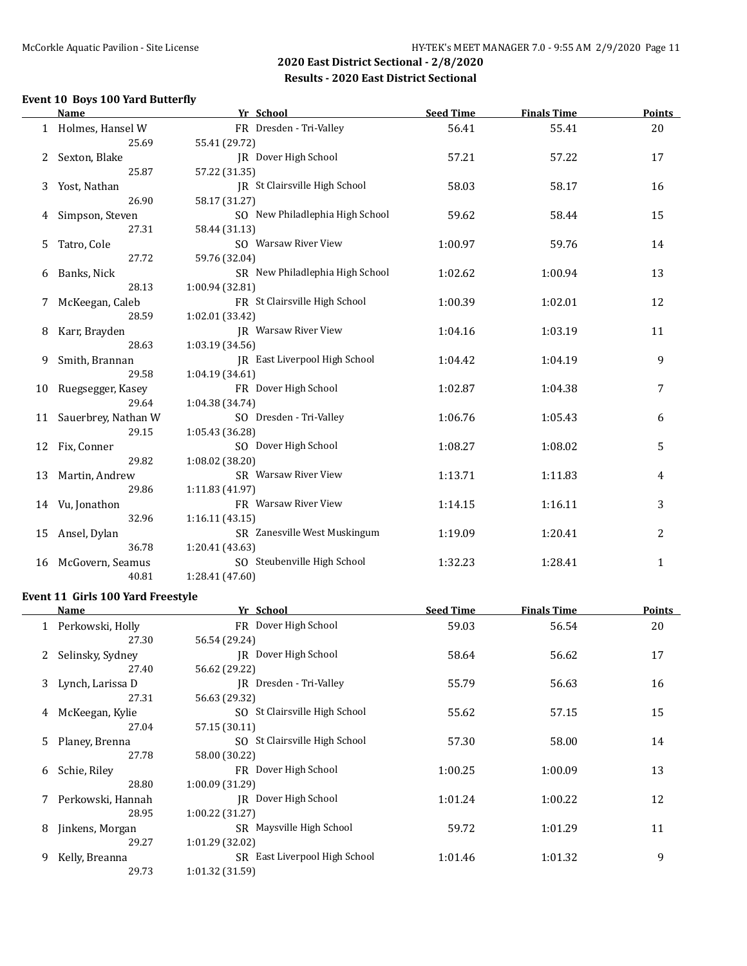### **Event 10 Boys 100 Yard Butterfly**

|    | <b>Name</b>         | Yr School                       | <b>Seed Time</b> | <b>Finals Time</b> | <b>Points</b> |
|----|---------------------|---------------------------------|------------------|--------------------|---------------|
|    | 1 Holmes, Hansel W  | FR Dresden - Tri-Valley         | 56.41            | 55.41              | 20            |
|    | 25.69               | 55.41 (29.72)                   |                  |                    |               |
|    | Sexton, Blake       | JR Dover High School            | 57.21            | 57.22              | 17            |
|    | 25.87               | 57.22 (31.35)                   |                  |                    |               |
| 3  | Yost, Nathan        | JR St Clairsville High School   | 58.03            | 58.17              | 16            |
|    | 26.90               | 58.17 (31.27)                   |                  |                    |               |
| 4  | Simpson, Steven     | SO New Philadlephia High School | 59.62            | 58.44              | 15            |
|    | 27.31               | 58.44 (31.13)                   |                  |                    |               |
| 5  | Tatro, Cole         | SO Warsaw River View            | 1:00.97          | 59.76              | 14            |
|    | 27.72               | 59.76 (32.04)                   |                  |                    |               |
| 6  | Banks, Nick         | SR New Philadlephia High School | 1:02.62          | 1:00.94            | 13            |
|    | 28.13               | 1:00.94 (32.81)                 |                  |                    |               |
| 7  | McKeegan, Caleb     | FR St Clairsville High School   | 1:00.39          | 1:02.01            | 12            |
|    | 28.59               | 1:02.01 (33.42)                 |                  |                    |               |
| 8  | Karr, Brayden       | <b>IR</b> Warsaw River View     | 1:04.16          | 1:03.19            | 11            |
|    | 28.63               | 1:03.19 (34.56)                 |                  |                    |               |
| 9  | Smith, Brannan      | JR East Liverpool High School   | 1:04.42          | 1:04.19            | 9             |
|    | 29.58               | 1:04.19 (34.61)                 |                  |                    |               |
| 10 | Ruegsegger, Kasey   | FR Dover High School            | 1:02.87          | 1:04.38            | 7             |
|    | 29.64               | 1:04.38 (34.74)                 |                  |                    |               |
| 11 | Sauerbrey, Nathan W | SO Dresden - Tri-Valley         | 1:06.76          | 1:05.43            | 6             |
|    | 29.15               | 1:05.43 (36.28)                 |                  |                    |               |
| 12 | Fix, Conner         | SO Dover High School            | 1:08.27          | 1:08.02            | 5             |
|    | 29.82               | 1:08.02 (38.20)                 |                  |                    |               |
| 13 | Martin, Andrew      | SR Warsaw River View            | 1:13.71          | 1:11.83            | 4             |
|    | 29.86               | 1:11.83 (41.97)                 |                  |                    |               |
|    | 14 Vu, Jonathon     | FR Warsaw River View            | 1:14.15          | 1:16.11            | 3             |
|    | 32.96               | 1:16.11(43.15)                  |                  |                    |               |
| 15 | Ansel, Dylan        | SR Zanesville West Muskingum    | 1:19.09          | 1:20.41            | 2             |
|    | 36.78               | 1:20.41 (43.63)                 |                  |                    |               |
| 16 | McGovern, Seamus    | SO Steubenville High School     | 1:32.23          | 1:28.41            | $\mathbf{1}$  |
|    | 40.81               | 1:28.41 (47.60)                 |                  |                    |               |
|    |                     |                                 |                  |                    |               |

#### **Event 11 Girls 100 Yard Freestyle**

|   | Name                | Yr School                     | <b>Seed Time</b> | <b>Finals Time</b> | <b>Points</b> |
|---|---------------------|-------------------------------|------------------|--------------------|---------------|
|   | 1 Perkowski, Holly  | FR Dover High School          | 59.03            | 56.54              | 20            |
|   | 27.30               | 56.54 (29.24)                 |                  |                    |               |
|   | Selinsky, Sydney    | <b>IR</b> Dover High School   | 58.64            | 56.62              | 17            |
|   | 27.40               | 56.62 (29.22)                 |                  |                    |               |
|   | 3 Lynch, Larissa D  | IR Dresden - Tri-Valley       | 55.79            | 56.63              | 16            |
|   | 27.31               | 56.63 (29.32)                 |                  |                    |               |
| 4 | McKeegan, Kylie     | SO St Clairsville High School | 55.62            | 57.15              | 15            |
|   | 27.04               | 57.15 (30.11)                 |                  |                    |               |
|   | 5 Planey, Brenna    | SO St Clairsville High School | 57.30            | 58.00              | 14            |
|   | 27.78               | 58.00 (30.22)                 |                  |                    |               |
| 6 | Schie, Riley        | FR Dover High School          | 1:00.25          | 1:00.09            | 13            |
|   | 28.80               | 1:00.09 (31.29)               |                  |                    |               |
|   | 7 Perkowski, Hannah | IR Dover High School          | 1:01.24          | 1:00.22            | 12            |
|   | 28.95               | 1:00.22 (31.27)               |                  |                    |               |
| 8 | Jinkens, Morgan     | SR Maysville High School      | 59.72            | 1:01.29            | 11            |
|   | 29.27               | 1:01.29 (32.02)               |                  |                    |               |
| 9 | Kelly, Breanna      | SR East Liverpool High School | 1:01.46          | 1:01.32            | 9             |
|   | 29.73               | 1:01.32 (31.59)               |                  |                    |               |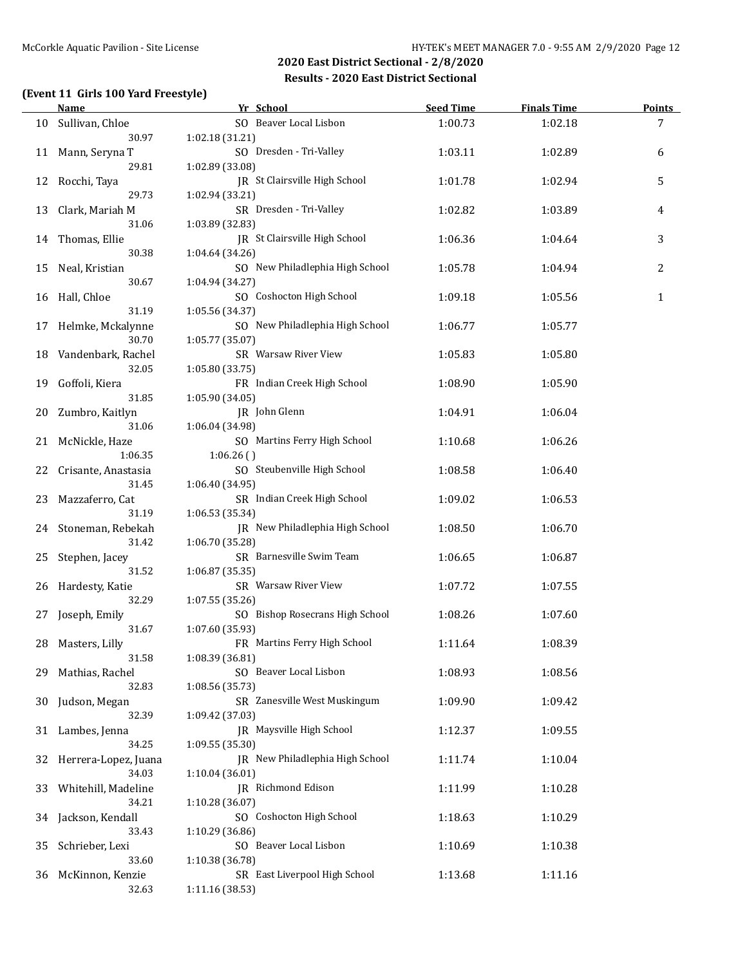### **(Event 11 Girls 100 Yard Freestyle)**

|    | Name                          | Yr School                                          | <b>Seed Time</b> | <b>Finals Time</b> | <b>Points</b> |
|----|-------------------------------|----------------------------------------------------|------------------|--------------------|---------------|
| 10 | Sullivan, Chloe               | SO Beaver Local Lisbon                             | 1:00.73          | 1:02.18            | 7             |
|    | 30.97                         | 1:02.18 (31.21)                                    |                  |                    |               |
| 11 | Mann, Seryna T                | SO Dresden - Tri-Valley                            | 1:03.11          | 1:02.89            | 6             |
|    | 29.81                         | 1:02.89 (33.08)                                    |                  |                    |               |
| 12 | Rocchi, Taya                  | JR St Clairsville High School                      | 1:01.78          | 1:02.94            | 5             |
|    | 29.73                         | 1:02.94 (33.21)                                    |                  |                    |               |
| 13 | Clark, Mariah M               | SR Dresden - Tri-Valley                            | 1:02.82          | 1:03.89            | 4             |
|    | 31.06                         | 1:03.89 (32.83)<br>JR St Clairsville High School   |                  |                    |               |
|    | 14 Thomas, Ellie<br>30.38     | 1:04.64 (34.26)                                    | 1:06.36          | 1:04.64            | 3             |
|    | Neal, Kristian                | SO New Philadlephia High School                    | 1:05.78          | 1:04.94            | 2             |
| 15 | 30.67                         | 1:04.94 (34.27)                                    |                  |                    |               |
| 16 | Hall, Chloe                   | SO Coshocton High School                           | 1:09.18          | 1:05.56            | 1             |
|    | 31.19                         | 1:05.56 (34.37)                                    |                  |                    |               |
| 17 | Helmke, Mckalynne             | SO New Philadlephia High School                    | 1:06.77          | 1:05.77            |               |
|    | 30.70                         | 1:05.77 (35.07)                                    |                  |                    |               |
|    | 18 Vandenbark, Rachel         | SR Warsaw River View                               | 1:05.83          | 1:05.80            |               |
|    | 32.05                         | 1:05.80 (33.75)                                    |                  |                    |               |
| 19 | Goffoli, Kiera                | FR Indian Creek High School                        | 1:08.90          | 1:05.90            |               |
|    | 31.85                         | 1:05.90 (34.05)                                    |                  |                    |               |
| 20 | Zumbro, Kaitlyn               | JR John Glenn                                      | 1:04.91          | 1:06.04            |               |
|    | 31.06                         | 1:06.04 (34.98)                                    |                  |                    |               |
| 21 | McNickle, Haze                | SO Martins Ferry High School                       | 1:10.68          | 1:06.26            |               |
|    | 1:06.35                       | 1:06.26()                                          |                  |                    |               |
| 22 | Crisante, Anastasia           | SO Steubenville High School                        | 1:08.58          | 1:06.40            |               |
|    |                               | 1:06.40 (34.95)<br>31.45                           |                  |                    |               |
| 23 | Mazzaferro, Cat               | SR Indian Creek High School                        | 1:09.02          | 1:06.53            |               |
|    | 31.19                         | 1:06.53 (35.34)                                    |                  |                    |               |
|    | 24 Stoneman, Rebekah<br>31.42 | JR New Philadlephia High School<br>1:06.70 (35.28) | 1:08.50          | 1:06.70            |               |
| 25 | Stephen, Jacey                | SR Barnesville Swim Team                           | 1:06.65          | 1:06.87            |               |
|    | 31.52                         | 1:06.87 (35.35)                                    |                  |                    |               |
| 26 | Hardesty, Katie               | SR Warsaw River View                               | 1:07.72          | 1:07.55            |               |
|    | 32.29                         | 1:07.55(35.26)                                     |                  |                    |               |
| 27 | Joseph, Emily                 | SO Bishop Rosecrans High School                    | 1:08.26          | 1:07.60            |               |
|    | 31.67                         | 1:07.60 (35.93)                                    |                  |                    |               |
|    | 28 Masters, Lilly             | FR Martins Ferry High School                       | 1:11.64          | 1:08.39            |               |
|    | 31.58                         | 1:08.39 (36.81)                                    |                  |                    |               |
| 29 | Mathias, Rachel               | SO Beaver Local Lisbon                             | 1:08.93          | 1:08.56            |               |
|    | 32.83                         | 1:08.56 (35.73)                                    |                  |                    |               |
| 30 | Judson, Megan                 | SR Zanesville West Muskingum                       | 1:09.90          | 1:09.42            |               |
|    | 32.39                         | 1:09.42 (37.03)                                    |                  |                    |               |
| 31 | Lambes, Jenna                 | JR Maysville High School                           | 1:12.37          | 1:09.55            |               |
|    | 34.25                         | 1:09.55 (35.30)                                    |                  |                    |               |
| 32 | Herrera-Lopez, Juana          | JR New Philadlephia High School                    | 1:11.74          | 1:10.04            |               |
|    | 34.03                         | 1:10.04 (36.01)<br>JR Richmond Edison              |                  |                    |               |
| 33 | Whitehill, Madeline<br>34.21  | 1:10.28(36.07)                                     | 1:11.99          | 1:10.28            |               |
|    | 34 Jackson, Kendall           | SO Coshocton High School                           | 1:18.63          | 1:10.29            |               |
|    | 33.43                         | 1:10.29 (36.86)                                    |                  |                    |               |
| 35 | Schrieber, Lexi               | SO Beaver Local Lisbon                             | 1:10.69          | 1:10.38            |               |
|    | 33.60                         | 1:10.38 (36.78)                                    |                  |                    |               |
| 36 | McKinnon, Kenzie              | SR East Liverpool High School                      | 1:13.68          | 1:11.16            |               |
|    | 32.63                         | 1:11.16 (38.53)                                    |                  |                    |               |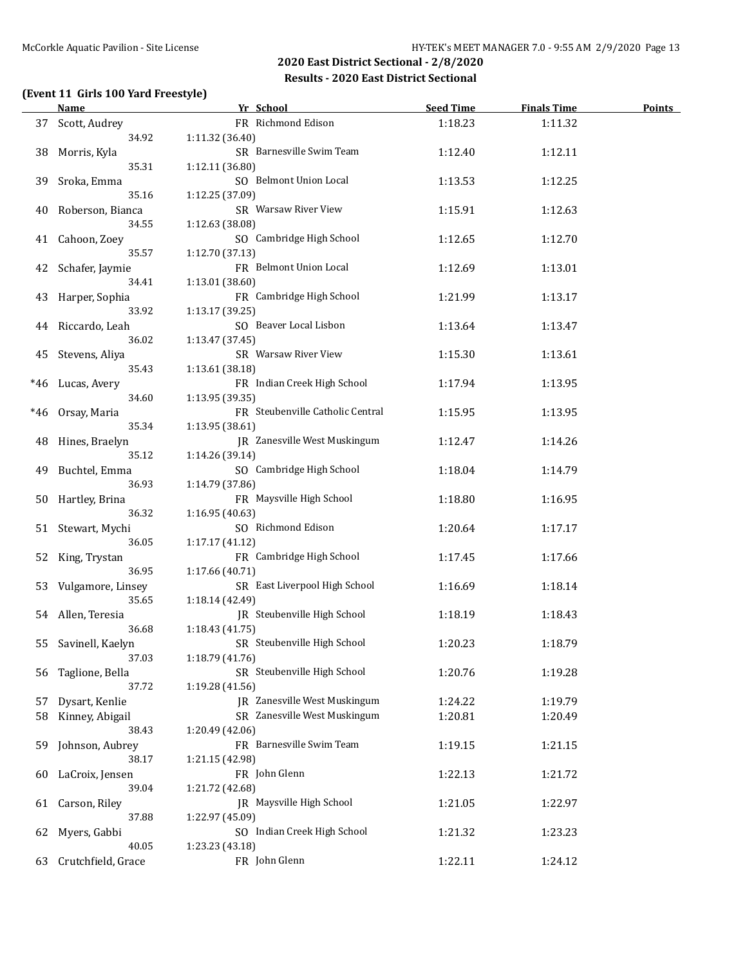### **(Event 11 Girls 100 Yard Freestyle)**

|     | <b>Name</b>         | Yr School                                 | <b>Seed Time</b> | <b>Finals Time</b> | <b>Points</b> |
|-----|---------------------|-------------------------------------------|------------------|--------------------|---------------|
|     | 37 Scott, Audrey    | FR Richmond Edison                        | 1:18.23          | 1:11.32            |               |
|     | 34.92               | 1:11.32 (36.40)                           |                  |                    |               |
| 38  | Morris, Kyla        | SR Barnesville Swim Team                  | 1:12.40          | 1:12.11            |               |
|     | 35.31               | 1:12.11 (36.80)                           |                  |                    |               |
| 39  | Sroka, Emma         | SO Belmont Union Local                    | 1:13.53          | 1:12.25            |               |
|     | 35.16               | 1:12.25 (37.09)                           |                  |                    |               |
| 40  | Roberson, Bianca    | SR Warsaw River View                      | 1:15.91          | 1:12.63            |               |
|     | 34.55               | 1:12.63 (38.08)                           |                  |                    |               |
| 41  | Cahoon, Zoey        | SO Cambridge High School                  | 1:12.65          | 1:12.70            |               |
|     | 35.57               | 1:12.70 (37.13)                           |                  |                    |               |
| 42  | Schafer, Jaymie     | FR Belmont Union Local                    | 1:12.69          | 1:13.01            |               |
|     | 34.41               | 1:13.01 (38.60)                           |                  |                    |               |
| 43  | Harper, Sophia      | FR Cambridge High School                  | 1:21.99          | 1:13.17            |               |
|     | 33.92               |                                           |                  |                    |               |
|     |                     | 1:13.17 (39.25)<br>SO Beaver Local Lisbon |                  |                    |               |
|     | 44 Riccardo, Leah   |                                           | 1:13.64          | 1:13.47            |               |
|     | 36.02               | 1:13.47 (37.45)                           |                  |                    |               |
| 45  | Stevens, Aliya      | SR Warsaw River View                      | 1:15.30          | 1:13.61            |               |
|     | 35.43               | 1:13.61 (38.18)                           |                  |                    |               |
| *46 | Lucas, Avery        | FR Indian Creek High School               | 1:17.94          | 1:13.95            |               |
|     | 34.60               | 1:13.95 (39.35)                           |                  |                    |               |
| *46 | Orsay, Maria        | FR Steubenville Catholic Central          | 1:15.95          | 1:13.95            |               |
|     | 35.34               | 1:13.95 (38.61)                           |                  |                    |               |
| 48  | Hines, Braelyn      | JR Zanesville West Muskingum              | 1:12.47          | 1:14.26            |               |
|     | 35.12               | 1:14.26 (39.14)                           |                  |                    |               |
| 49  | Buchtel, Emma       | SO Cambridge High School                  | 1:18.04          | 1:14.79            |               |
|     | 36.93               | 1:14.79 (37.86)                           |                  |                    |               |
| 50  | Hartley, Brina      | FR Maysville High School                  | 1:18.80          | 1:16.95            |               |
|     | 36.32               | 1:16.95 (40.63)                           |                  |                    |               |
| 51  | Stewart, Mychi      | SO Richmond Edison                        | 1:20.64          | 1:17.17            |               |
|     | 36.05               | 1:17.17 (41.12)                           |                  |                    |               |
| 52  | King, Trystan       | FR Cambridge High School                  | 1:17.45          | 1:17.66            |               |
|     | 36.95               | 1:17.66 (40.71)                           |                  |                    |               |
| 53  | Vulgamore, Linsey   | SR East Liverpool High School             | 1:16.69          | 1:18.14            |               |
|     | 35.65               | 1:18.14 (42.49)                           |                  |                    |               |
|     | 54 Allen, Teresia   | JR Steubenville High School               | 1:18.19          | 1:18.43            |               |
|     | 36.68               | 1:18.43 (41.75)                           |                  |                    |               |
|     | 55 Savinell, Kaelyn | SR Steubenville High School               | 1:20.23          | 1:18.79            |               |
|     | 37.03               | 1:18.79 (41.76)                           |                  |                    |               |
| 56  | Taglione, Bella     | SR Steubenville High School               | 1:20.76          | 1:19.28            |               |
|     | 37.72               | 1:19.28 (41.56)                           |                  |                    |               |
| 57  | Dysart, Kenlie      | JR Zanesville West Muskingum              | 1:24.22          | 1:19.79            |               |
| 58  | Kinney, Abigail     | SR Zanesville West Muskingum              | 1:20.81          | 1:20.49            |               |
|     | 38.43               | 1:20.49 (42.06)                           |                  |                    |               |
|     |                     | FR Barnesville Swim Team                  |                  |                    |               |
| 59  | Johnson, Aubrey     |                                           | 1:19.15          | 1:21.15            |               |
|     | 38.17               | 1:21.15 (42.98)                           |                  |                    |               |
| 60  | LaCroix, Jensen     | FR John Glenn                             | 1:22.13          | 1:21.72            |               |
|     | 39.04               | 1:21.72 (42.68)                           |                  |                    |               |
| 61  | Carson, Riley       | JR Maysville High School                  | 1:21.05          | 1:22.97            |               |
|     | 37.88               | 1:22.97 (45.09)                           |                  |                    |               |
| 62  | Myers, Gabbi        | SO Indian Creek High School               | 1:21.32          | 1:23.23            |               |
|     | 40.05               | 1:23.23 (43.18)                           |                  |                    |               |
| 63  | Crutchfield, Grace  | FR John Glenn                             | 1:22.11          | 1:24.12            |               |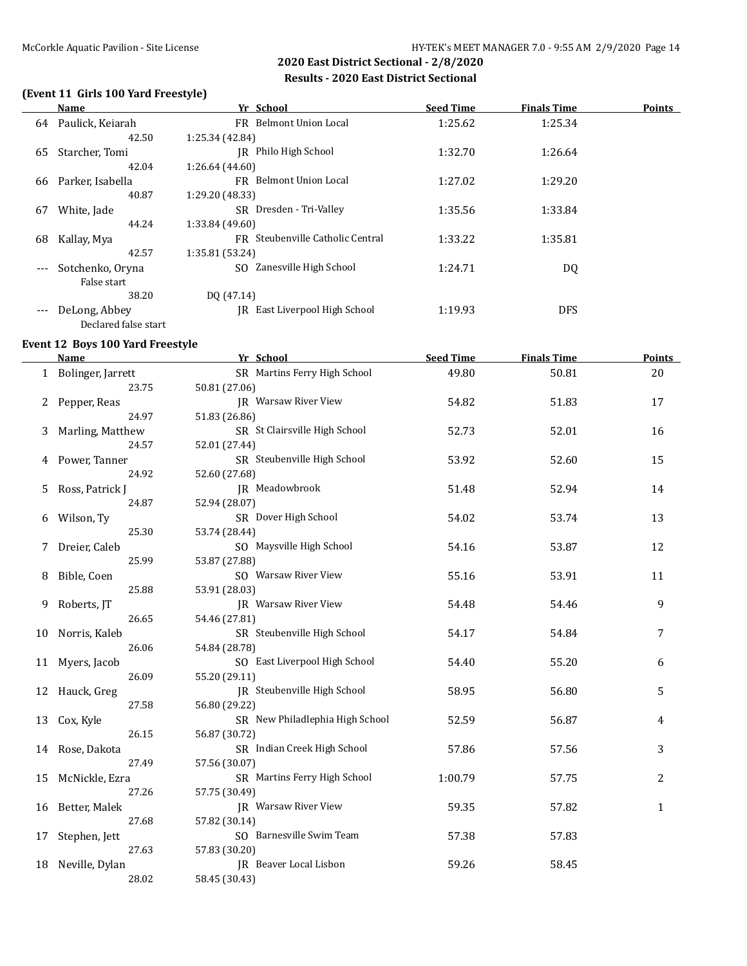### **(Event 11 Girls 100 Yard Freestyle)**

|          | <b>Name</b>          | Yr School                        | <b>Seed Time</b> | <b>Finals Time</b> | <b>Points</b> |
|----------|----------------------|----------------------------------|------------------|--------------------|---------------|
| 64       | Paulick, Keiarah     | FR Belmont Union Local           | 1:25.62          | 1:25.34            |               |
|          | 42.50                | 1:25.34 (42.84)                  |                  |                    |               |
| 65       | Starcher, Tomi       | Philo High School<br>IR          | 1:32.70          | 1:26.64            |               |
|          | 42.04                | 1:26.64 (44.60)                  |                  |                    |               |
| 66       | Parker, Isabella     | FR Belmont Union Local           | 1:27.02          | 1:29.20            |               |
|          | 40.87                | 1:29.20 (48.33)                  |                  |                    |               |
| 67       | White, Jade          | SR Dresden - Tri-Valley          | 1:35.56          | 1:33.84            |               |
|          | 44.24                | 1:33.84 (49.60)                  |                  |                    |               |
| 68       | Kallay, Mya          | FR Steubenville Catholic Central | 1:33.22          | 1:35.81            |               |
|          | 42.57                | 1:35.81 (53.24)                  |                  |                    |               |
| $\cdots$ | Sotchenko, Oryna     | Zanesville High School<br>SO.    | 1:24.71          | DQ                 |               |
|          | False start          |                                  |                  |                    |               |
|          | 38.20                | DO (47.14)                       |                  |                    |               |
| $---$    | DeLong, Abbey        | IR East Liverpool High School    | 1:19.93          | <b>DFS</b>         |               |
|          | Declared false start |                                  |                  |                    |               |

#### **Event 12 Boys 100 Yard Freestyle**

|    | <b>Name</b>         | Yr School                       | <b>Seed Time</b> | <b>Finals Time</b> | <b>Points</b> |
|----|---------------------|---------------------------------|------------------|--------------------|---------------|
|    | 1 Bolinger, Jarrett | SR Martins Ferry High School    | 49.80            | 50.81              | 20            |
|    | 23.75               | 50.81 (27.06)                   |                  |                    |               |
| 2  | Pepper, Reas        | JR Warsaw River View            | 54.82            | 51.83              | 17            |
|    | 24.97               | 51.83 (26.86)                   |                  |                    |               |
| 3  | Marling, Matthew    | SR St Clairsville High School   | 52.73            | 52.01              | 16            |
|    | 24.57               | 52.01 (27.44)                   |                  |                    |               |
| 4  | Power, Tanner       | SR Steubenville High School     | 53.92            | 52.60              | 15            |
|    | 24.92               | 52.60 (27.68)                   |                  |                    |               |
| 5. | Ross, Patrick J     | JR Meadowbrook                  | 51.48            | 52.94              | 14            |
|    | 24.87               | 52.94 (28.07)                   |                  |                    |               |
| 6  | Wilson, Ty          | SR Dover High School            | 54.02            | 53.74              | 13            |
|    | 25.30               | 53.74 (28.44)                   |                  |                    |               |
|    | Dreier, Caleb       | SO Maysville High School        | 54.16            | 53.87              | 12            |
|    | 25.99               | 53.87 (27.88)                   |                  |                    |               |
| 8  | Bible, Coen         | SO Warsaw River View            | 55.16            | 53.91              | 11            |
|    | 25.88               | 53.91 (28.03)                   |                  |                    |               |
| 9  | Roberts, JT         | JR Warsaw River View            | 54.48            | 54.46              | 9             |
|    | 26.65               | 54.46 (27.81)                   |                  |                    |               |
| 10 | Norris, Kaleb       | SR Steubenville High School     | 54.17            | 54.84              | 7             |
|    | 26.06               | 54.84 (28.78)                   |                  |                    |               |
| 11 | Myers, Jacob        | SO East Liverpool High School   | 54.40            | 55.20              | 6             |
|    | 26.09               | 55.20 (29.11)                   |                  |                    |               |
| 12 | Hauck, Greg         | JR Steubenville High School     | 58.95            | 56.80              | 5             |
|    | 27.58               | 56.80 (29.22)                   |                  |                    |               |
| 13 | Cox, Kyle           | SR New Philadlephia High School | 52.59            | 56.87              | 4             |
|    | 26.15               | 56.87 (30.72)                   |                  |                    |               |
| 14 | Rose, Dakota        | SR Indian Creek High School     | 57.86            | 57.56              | 3             |
|    | 27.49               | 57.56 (30.07)                   |                  |                    |               |
| 15 | McNickle, Ezra      | SR Martins Ferry High School    | 1:00.79          | 57.75              | 2             |
|    | 27.26               | 57.75 (30.49)                   |                  |                    |               |
| 16 | Better, Malek       | JR Warsaw River View            | 59.35            | 57.82              | $\mathbf{1}$  |
|    | 27.68               | 57.82 (30.14)                   |                  |                    |               |
| 17 | Stephen, Jett       | SO Barnesville Swim Team        | 57.38            | 57.83              |               |
|    | 27.63               | 57.83 (30.20)                   |                  |                    |               |
| 18 | Neville, Dylan      | JR Beaver Local Lisbon          | 59.26            | 58.45              |               |
|    | 28.02               | 58.45 (30.43)                   |                  |                    |               |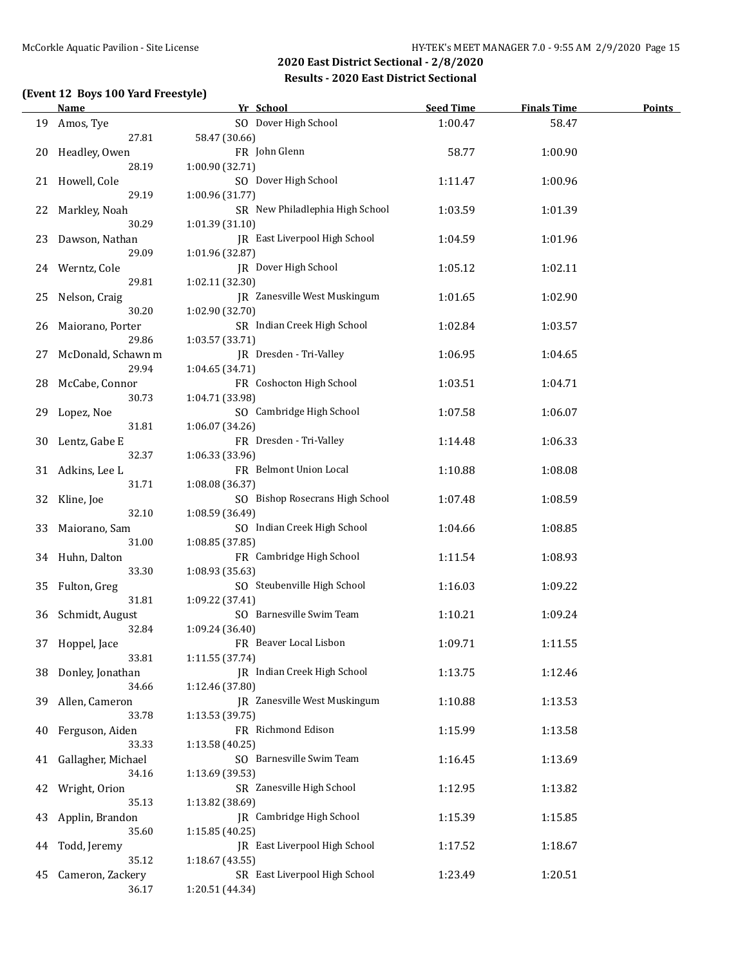### **(Event 12 Boys 100 Yard Freestyle)**

|    | <b>Name</b>        | Yr School                       | <b>Seed Time</b> | <b>Finals Time</b> | <b>Points</b> |
|----|--------------------|---------------------------------|------------------|--------------------|---------------|
|    | 19 Amos, Tye       | SO Dover High School            | 1:00.47          | 58.47              |               |
|    | 27.81              | 58.47 (30.66)                   |                  |                    |               |
| 20 | Headley, Owen      | FR John Glenn                   | 58.77            | 1:00.90            |               |
|    | 28.19              | 1:00.90 (32.71)                 |                  |                    |               |
|    | 21 Howell, Cole    | SO Dover High School            | 1:11.47          | 1:00.96            |               |
|    | 29.19              | 1:00.96 (31.77)                 |                  |                    |               |
| 22 | Markley, Noah      | SR New Philadlephia High School | 1:03.59          | 1:01.39            |               |
|    | 30.29              | 1:01.39 (31.10)                 |                  |                    |               |
| 23 | Dawson, Nathan     | JR East Liverpool High School   | 1:04.59          | 1:01.96            |               |
|    | 29.09              | 1:01.96 (32.87)                 |                  |                    |               |
|    | 24 Werntz, Cole    | JR Dover High School            | 1:05.12          | 1:02.11            |               |
|    | 29.81              | 1:02.11 (32.30)                 |                  |                    |               |
| 25 | Nelson, Craig      | JR Zanesville West Muskingum    | 1:01.65          | 1:02.90            |               |
|    | 30.20              |                                 |                  |                    |               |
|    |                    | 1:02.90 (32.70)                 |                  |                    |               |
| 26 | Maiorano, Porter   | SR Indian Creek High School     | 1:02.84          | 1:03.57            |               |
|    | 29.86              | 1:03.57 (33.71)                 |                  |                    |               |
| 27 | McDonald, Schawn m | JR Dresden - Tri-Valley         | 1:06.95          | 1:04.65            |               |
|    | 29.94              | 1:04.65 (34.71)                 |                  |                    |               |
| 28 | McCabe, Connor     | FR Coshocton High School        | 1:03.51          | 1:04.71            |               |
|    | 30.73              | 1:04.71 (33.98)                 |                  |                    |               |
| 29 | Lopez, Noe         | SO Cambridge High School        | 1:07.58          | 1:06.07            |               |
|    | 31.81              | 1:06.07 (34.26)                 |                  |                    |               |
| 30 | Lentz, Gabe E      | FR Dresden - Tri-Valley         | 1:14.48          | 1:06.33            |               |
|    | 32.37              | 1:06.33 (33.96)                 |                  |                    |               |
|    | 31 Adkins, Lee L   | FR Belmont Union Local          | 1:10.88          | 1:08.08            |               |
|    | 31.71              | 1:08.08 (36.37)                 |                  |                    |               |
| 32 | Kline, Joe         | SO Bishop Rosecrans High School | 1:07.48          | 1:08.59            |               |
|    | 32.10              | 1:08.59 (36.49)                 |                  |                    |               |
| 33 | Maiorano, Sam      | SO Indian Creek High School     | 1:04.66          | 1:08.85            |               |
|    | 31.00              | 1:08.85 (37.85)                 |                  |                    |               |
|    | 34 Huhn, Dalton    | FR Cambridge High School        | 1:11.54          | 1:08.93            |               |
|    | 33.30              | 1:08.93 (35.63)                 |                  |                    |               |
| 35 | Fulton, Greg       | SO Steubenville High School     | 1:16.03          | 1:09.22            |               |
|    | 31.81              | 1:09.22 (37.41)                 |                  |                    |               |
|    | 36 Schmidt, August | SO Barnesville Swim Team        | 1:10.21          | 1:09.24            |               |
|    | 32.84              | 1:09.24 (36.40)                 |                  |                    |               |
|    | 37 Hoppel, Jace    | FR Beaver Local Lisbon          | 1:09.71          | 1:11.55            |               |
|    | 33.81              | 1:11.55 (37.74)                 |                  |                    |               |
| 38 | Donley, Jonathan   | JR Indian Creek High School     | 1:13.75          | 1:12.46            |               |
|    | 34.66              | 1:12.46 (37.80)                 |                  |                    |               |
| 39 | Allen, Cameron     | JR Zanesville West Muskingum    | 1:10.88          | 1:13.53            |               |
|    | 33.78              | 1:13.53 (39.75)                 |                  |                    |               |
|    |                    | FR Richmond Edison              |                  |                    |               |
| 40 | Ferguson, Aiden    |                                 | 1:15.99          | 1:13.58            |               |
|    | 33.33              | 1:13.58 (40.25)                 |                  |                    |               |
| 41 | Gallagher, Michael | SO Barnesville Swim Team        | 1:16.45          | 1:13.69            |               |
|    | 34.16              | 1:13.69 (39.53)                 |                  |                    |               |
| 42 | Wright, Orion      | SR Zanesville High School       | 1:12.95          | 1:13.82            |               |
|    | 35.13              | 1:13.82 (38.69)                 |                  |                    |               |
| 43 | Applin, Brandon    | JR Cambridge High School        | 1:15.39          | 1:15.85            |               |
|    | 35.60              | 1:15.85 (40.25)                 |                  |                    |               |
| 44 | Todd, Jeremy       | JR East Liverpool High School   | 1:17.52          | 1:18.67            |               |
|    | 35.12              | 1:18.67 (43.55)                 |                  |                    |               |
| 45 | Cameron, Zackery   | SR East Liverpool High School   | 1:23.49          | 1:20.51            |               |
|    | 36.17              | 1:20.51 (44.34)                 |                  |                    |               |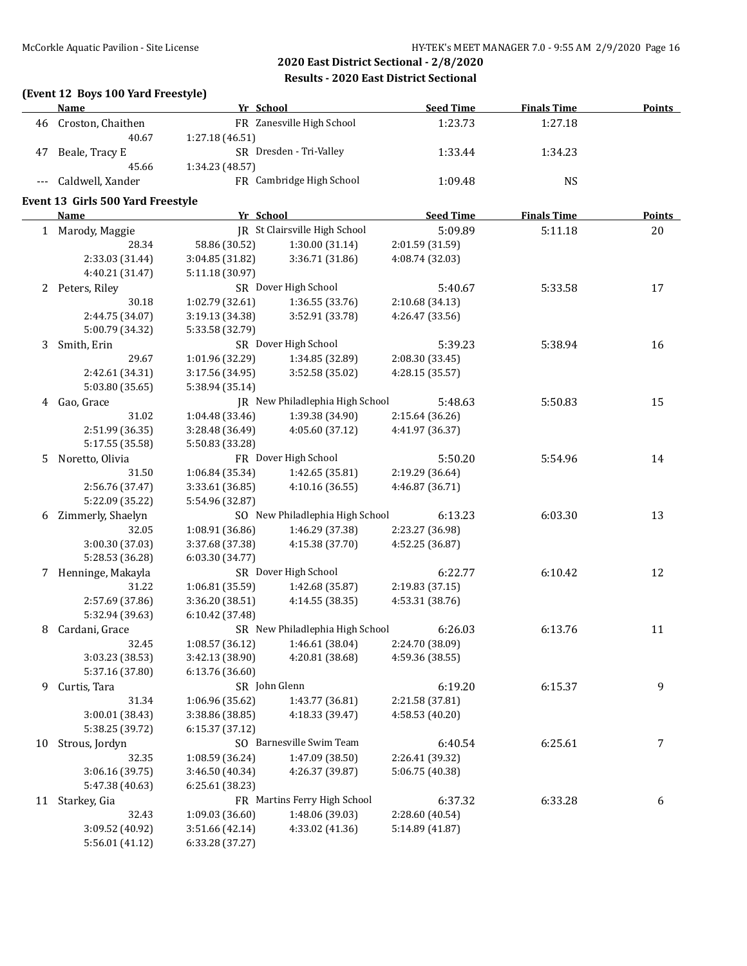### **(Event 12 Boys 100 Yard Freestyle)**

|    | <b>Name</b>                       | Yr School       |                                 | <b>Seed Time</b> | <b>Finals Time</b> | <b>Points</b> |
|----|-----------------------------------|-----------------|---------------------------------|------------------|--------------------|---------------|
|    | 46 Croston, Chaithen              |                 | FR Zanesville High School       | 1:23.73          | 1:27.18            |               |
|    | 40.67                             | 1:27.18 (46.51) |                                 |                  |                    |               |
| 47 | Beale, Tracy E                    |                 | SR Dresden - Tri-Valley         | 1:33.44          | 1:34.23            |               |
|    | 45.66                             | 1:34.23 (48.57) |                                 |                  |                    |               |
|    | Caldwell, Xander                  |                 | FR Cambridge High School        | 1:09.48          | <b>NS</b>          |               |
|    |                                   |                 |                                 |                  |                    |               |
|    | Event 13 Girls 500 Yard Freestyle |                 |                                 |                  |                    |               |
|    | <b>Name</b>                       | Yr School       |                                 | <b>Seed Time</b> | <b>Finals Time</b> | <b>Points</b> |
|    | 1 Marody, Maggie                  |                 | JR St Clairsville High School   | 5:09.89          | 5:11.18            | 20            |
|    | 28.34                             | 58.86 (30.52)   | 1:30.00 (31.14)                 | 2:01.59 (31.59)  |                    |               |
|    | 2:33.03 (31.44)                   | 3:04.85 (31.82) | 3:36.71 (31.86)                 | 4:08.74 (32.03)  |                    |               |
|    | 4:40.21 (31.47)                   | 5:11.18 (30.97) |                                 |                  |                    |               |
|    | 2 Peters, Riley                   |                 | SR Dover High School            | 5:40.67          | 5:33.58            | 17            |
|    | 30.18                             | 1:02.79 (32.61) | 1:36.55 (33.76)                 | 2:10.68 (34.13)  |                    |               |
|    | 2:44.75 (34.07)                   | 3:19.13 (34.38) | 3:52.91 (33.78)                 | 4:26.47 (33.56)  |                    |               |
|    | 5:00.79 (34.32)                   | 5:33.58 (32.79) |                                 |                  |                    |               |
| 3  | Smith, Erin                       |                 | SR Dover High School            | 5:39.23          | 5:38.94            | 16            |
|    | 29.67                             | 1:01.96 (32.29) | 1:34.85 (32.89)                 | 2:08.30 (33.45)  |                    |               |
|    | 2:42.61 (34.31)                   | 3:17.56 (34.95) | 3:52.58 (35.02)                 | 4:28.15 (35.57)  |                    |               |
|    | 5:03.80 (35.65)                   | 5:38.94 (35.14) |                                 |                  |                    |               |
|    | 4 Gao, Grace                      |                 | JR New Philadlephia High School | 5:48.63          | 5:50.83            | 15            |
|    | 31.02                             | 1:04.48 (33.46) | 1:39.38 (34.90)                 | 2:15.64 (36.26)  |                    |               |
|    | 2:51.99 (36.35)                   | 3:28.48 (36.49) | 4:05.60 (37.12)                 | 4:41.97 (36.37)  |                    |               |
|    | 5:17.55 (35.58)                   | 5:50.83 (33.28) |                                 |                  |                    |               |
| 5. | Noretto, Olivia                   |                 | FR Dover High School            | 5:50.20          | 5:54.96            | 14            |
|    | 31.50                             | 1:06.84 (35.34) | 1:42.65 (35.81)                 | 2:19.29 (36.64)  |                    |               |
|    | 2:56.76 (37.47)                   | 3:33.61 (36.85) | 4:10.16 (36.55)                 | 4:46.87 (36.71)  |                    |               |
|    | 5:22.09 (35.22)                   | 5:54.96 (32.87) |                                 |                  |                    |               |
| 6  | Zimmerly, Shaelyn                 |                 | SO New Philadlephia High School | 6:13.23          | 6:03.30            | 13            |
|    | 32.05                             | 1:08.91 (36.86) | 1:46.29 (37.38)                 | 2:23.27 (36.98)  |                    |               |
|    | 3:00.30 (37.03)                   | 3:37.68 (37.38) | 4:15.38 (37.70)                 | 4:52.25 (36.87)  |                    |               |
|    | 5:28.53 (36.28)                   | 6:03.30(34.77)  |                                 |                  |                    |               |
|    | 7 Henninge, Makayla               |                 | SR Dover High School            | 6:22.77          | 6:10.42            | 12            |
|    | 31.22                             | 1:06.81 (35.59) | 1:42.68 (35.87)                 | 2:19.83 (37.15)  |                    |               |
|    | 2:57.69 (37.86)                   | 3:36.20 (38.51) | 4:14.55 (38.35)                 | 4:53.31 (38.76)  |                    |               |
|    | 5:32.94 (39.63)                   | 6:10.42 (37.48) |                                 |                  |                    |               |
| 8  | Cardani, Grace                    |                 | SR New Philadlephia High School | 6:26.03          | 6:13.76            | 11            |
|    | 32.45                             | 1:08.57 (36.12) | 1:46.61 (38.04)                 | 2:24.70 (38.09)  |                    |               |
|    | 3:03.23 (38.53)                   | 3:42.13 (38.90) | 4:20.81 (38.68)                 | 4:59.36 (38.55)  |                    |               |
|    | 5:37.16 (37.80)                   | 6:13.76 (36.60) |                                 |                  |                    |               |
| 9  |                                   | SR John Glenn   |                                 | 6:19.20          |                    | 9             |
|    | Curtis, Tara<br>31.34             | 1:06.96 (35.62) | 1:43.77 (36.81)                 | 2:21.58 (37.81)  | 6:15.37            |               |
|    | 3:00.01 (38.43)                   |                 | 4:18.33 (39.47)                 |                  |                    |               |
|    |                                   | 3:38.86 (38.85) |                                 | 4:58.53 (40.20)  |                    |               |
|    | 5:38.25 (39.72)                   | 6:15.37 (37.12) | SO Barnesville Swim Team        |                  |                    |               |
| 10 | Strous, Jordyn                    |                 |                                 | 6:40.54          | 6:25.61            | 7             |
|    | 32.35                             | 1:08.59 (36.24) | 1:47.09 (38.50)                 | 2:26.41 (39.32)  |                    |               |
|    | 3:06.16 (39.75)                   | 3:46.50 (40.34) | 4:26.37 (39.87)                 | 5:06.75 (40.38)  |                    |               |
|    | 5:47.38 (40.63)                   | 6:25.61 (38.23) |                                 |                  |                    |               |
|    | 11 Starkey, Gia                   |                 | FR Martins Ferry High School    | 6:37.32          | 6:33.28            | 6             |
|    | 32.43                             | 1:09.03 (36.60) | 1:48.06 (39.03)                 | 2:28.60 (40.54)  |                    |               |
|    | 3:09.52 (40.92)                   | 3:51.66 (42.14) | 4:33.02 (41.36)                 | 5:14.89 (41.87)  |                    |               |
|    | 5:56.01 (41.12)                   | 6:33.28 (37.27) |                                 |                  |                    |               |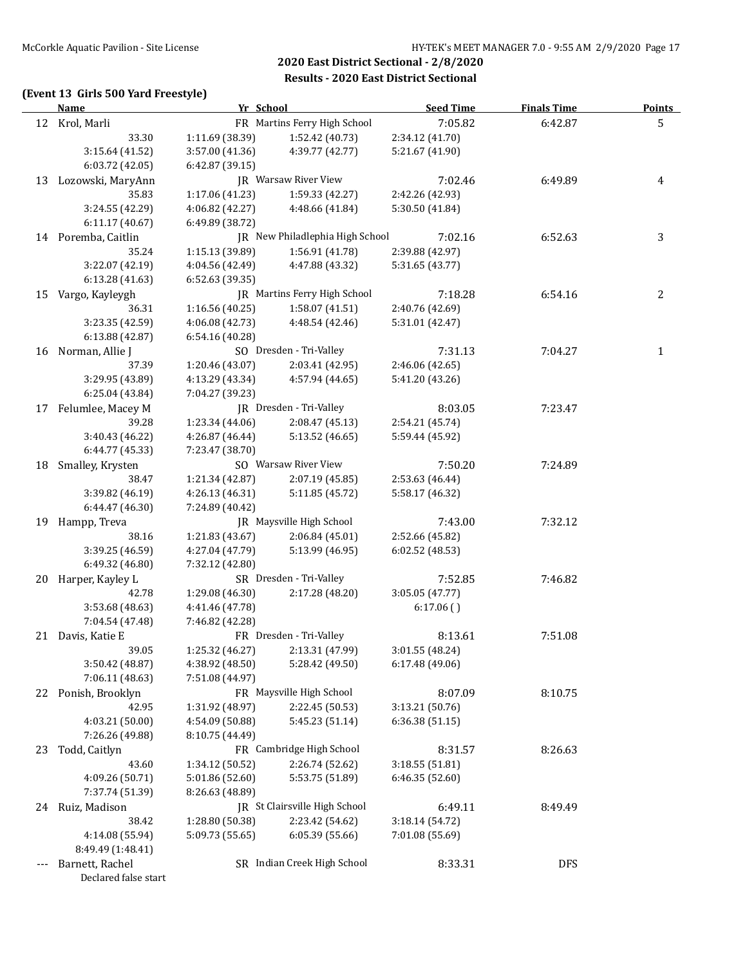### **(Event 13 Girls 500 Yard Freestyle)**

|     | Name                 | Yr School       |                                   | <b>Seed Time</b> | <b>Finals Time</b> | <b>Points</b> |
|-----|----------------------|-----------------|-----------------------------------|------------------|--------------------|---------------|
|     | 12 Krol, Marli       |                 | FR Martins Ferry High School      | 7:05.82          | 6:42.87            | 5             |
|     | 33.30                | 1:11.69 (38.39) | 1:52.42 (40.73)                   | 2:34.12 (41.70)  |                    |               |
|     | 3:15.64 (41.52)      | 3:57.00 (41.36) | 4:39.77 (42.77)                   | 5:21.67 (41.90)  |                    |               |
|     | 6:03.72 (42.05)      | 6:42.87 (39.15) |                                   |                  |                    |               |
|     | 13 Lozowski, MaryAnn |                 | <b>IR</b> Warsaw River View       | 7:02.46          | 6:49.89            | 4             |
|     | 35.83                | 1:17.06 (41.23) | 1:59.33 (42.27)                   | 2:42.26 (42.93)  |                    |               |
|     | 3:24.55 (42.29)      | 4:06.82 (42.27) | 4:48.66 (41.84)                   | 5:30.50 (41.84)  |                    |               |
|     | 6:11.17(40.67)       | 6:49.89 (38.72) |                                   |                  |                    |               |
|     | 14 Poremba, Caitlin  |                 | JR New Philadlephia High School   | 7:02.16          | 6:52.63            | 3             |
|     | 35.24                | 1:15.13 (39.89) | 1:56.91 (41.78)                   | 2:39.88 (42.97)  |                    |               |
|     | 3:22.07 (42.19)      | 4:04.56 (42.49) | 4:47.88 (43.32)                   | 5:31.65 (43.77)  |                    |               |
|     | 6:13.28 (41.63)      | 6:52.63 (39.35) |                                   |                  |                    |               |
|     | 15 Vargo, Kayleygh   |                 | JR Martins Ferry High School      | 7:18.28          | 6:54.16            | 2             |
|     | 36.31                | 1:16.56(40.25)  | 1:58.07 (41.51)                   | 2:40.76 (42.69)  |                    |               |
|     | 3:23.35 (42.59)      | 4:06.08 (42.73) | 4:48.54 (42.46)                   | 5:31.01 (42.47)  |                    |               |
|     |                      |                 |                                   |                  |                    |               |
|     | 6:13.88 (42.87)      | 6:54.16 (40.28) | SO Dresden - Tri-Valley           |                  |                    |               |
|     | 16 Norman, Allie J   |                 |                                   | 7:31.13          | 7:04.27            | $\mathbf{1}$  |
|     | 37.39                | 1:20.46 (43.07) | 2:03.41 (42.95)                   | 2:46.06 (42.65)  |                    |               |
|     | 3:29.95 (43.89)      | 4:13.29 (43.34) | 4:57.94 (44.65)                   | 5:41.20 (43.26)  |                    |               |
|     | 6:25.04 (43.84)      | 7:04.27 (39.23) |                                   |                  |                    |               |
|     | 17 Felumlee, Macey M |                 | JR Dresden - Tri-Valley           | 8:03.05          | 7:23.47            |               |
|     | 39.28                | 1:23.34 (44.06) | 2:08.47 (45.13)                   | 2:54.21 (45.74)  |                    |               |
|     | 3:40.43 (46.22)      | 4:26.87 (46.44) | 5:13.52 (46.65)                   | 5:59.44 (45.92)  |                    |               |
|     | 6:44.77 (45.33)      | 7:23.47 (38.70) |                                   |                  |                    |               |
|     | 18 Smalley, Krysten  |                 | SO Warsaw River View              | 7:50.20          | 7:24.89            |               |
|     | 38.47                | 1:21.34 (42.87) | 2:07.19 (45.85)                   | 2:53.63 (46.44)  |                    |               |
|     | 3:39.82 (46.19)      | 4:26.13 (46.31) | 5:11.85 (45.72)                   | 5:58.17 (46.32)  |                    |               |
|     | 6:44.47 (46.30)      | 7:24.89 (40.42) |                                   |                  |                    |               |
|     | 19 Hampp, Treva      |                 | JR Maysville High School          | 7:43.00          | 7:32.12            |               |
|     | 38.16                | 1:21.83 (43.67) | 2:06.84(45.01)                    | 2:52.66 (45.82)  |                    |               |
|     | 3:39.25 (46.59)      | 4:27.04 (47.79) | 5:13.99 (46.95)                   | 6:02.52 (48.53)  |                    |               |
|     | 6:49.32 (46.80)      | 7:32.12 (42.80) |                                   |                  |                    |               |
|     | 20 Harper, Kayley L  |                 | SR Dresden - Tri-Valley           | 7:52.85          | 7:46.82            |               |
|     | 42.78                | 1:29.08 (46.30) | 2:17.28 (48.20)                   | 3:05.05 (47.77)  |                    |               |
|     | 3:53.68 (48.63)      | 4:41.46 (47.78) |                                   | 6:17.06()        |                    |               |
|     | 7:04.54 (47.48)      | 7:46.82 (42.28) |                                   |                  |                    |               |
|     | 21 Davis, Katie E    |                 | FR Dresden - Tri-Valley           | 8:13.61          | 7:51.08            |               |
|     | 39.05                |                 | $1:25.32(46.27)$ $2:13.31(47.99)$ | 3:01.55 (48.24)  |                    |               |
|     | 3:50.42 (48.87)      | 4:38.92 (48.50) | 5:28.42 (49.50)                   | 6:17.48 (49.06)  |                    |               |
|     | 7:06.11 (48.63)      | 7:51.08 (44.97) |                                   |                  |                    |               |
|     | 22 Ponish, Brooklyn  |                 | FR Maysville High School          | 8:07.09          | 8:10.75            |               |
|     | 42.95                | 1:31.92 (48.97) | 2:22.45 (50.53)                   | 3:13.21 (50.76)  |                    |               |
|     | 4:03.21 (50.00)      | 4:54.09 (50.88) | 5:45.23 (51.14)                   | 6:36.38 (51.15)  |                    |               |
|     | 7:26.26 (49.88)      | 8:10.75 (44.49) |                                   |                  |                    |               |
| 23  | Todd, Caitlyn        |                 | FR Cambridge High School          | 8:31.57          | 8:26.63            |               |
|     | 43.60                | 1:34.12 (50.52) | 2:26.74 (52.62)                   | 3:18.55 (51.81)  |                    |               |
|     | 4:09.26 (50.71)      | 5:01.86 (52.60) | 5:53.75 (51.89)                   | 6:46.35 (52.60)  |                    |               |
|     | 7:37.74 (51.39)      | 8:26.63 (48.89) |                                   |                  |                    |               |
| 24  | Ruiz, Madison        |                 | JR St Clairsville High School     | 6:49.11          | 8:49.49            |               |
|     | 38.42                | 1:28.80 (50.38) | 2:23.42 (54.62)                   | 3:18.14 (54.72)  |                    |               |
|     | 4:14.08 (55.94)      | 5:09.73 (55.65) | 6:05.39 (55.66)                   | 7:01.08 (55.69)  |                    |               |
|     | 8:49.49 (1:48.41)    |                 |                                   |                  |                    |               |
| --- | Barnett, Rachel      |                 | SR Indian Creek High School       | 8:33.31          | <b>DFS</b>         |               |
|     | Declared false start |                 |                                   |                  |                    |               |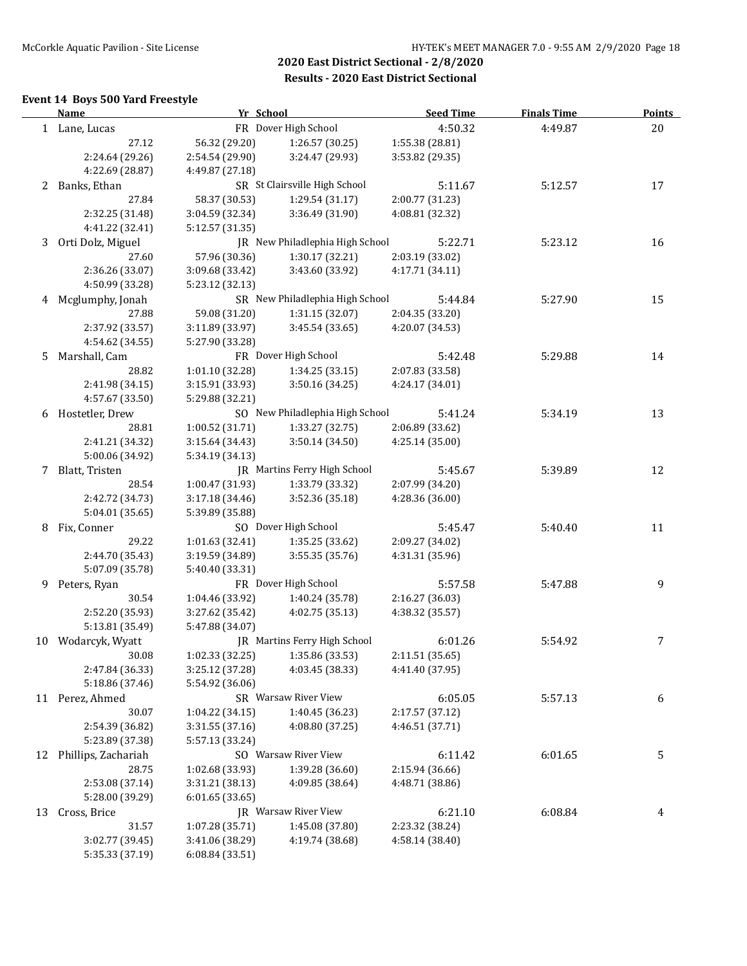### **Event 14 Boys 500 Yard Freestyle**

|    | <b>Name</b>         | Yr School       |                                   | <b>Seed Time</b> | <b>Finals Time</b> | <b>Points</b> |
|----|---------------------|-----------------|-----------------------------------|------------------|--------------------|---------------|
|    | 1 Lane, Lucas       |                 | FR Dover High School              | 4:50.32          | 4:49.87            | 20            |
|    | 27.12               | 56.32 (29.20)   | 1:26.57 (30.25)                   | 1:55.38 (28.81)  |                    |               |
|    | 2:24.64 (29.26)     | 2:54.54 (29.90) | 3:24.47 (29.93)                   | 3:53.82 (29.35)  |                    |               |
|    | 4:22.69 (28.87)     | 4:49.87 (27.18) |                                   |                  |                    |               |
|    | 2 Banks, Ethan      |                 | SR St Clairsville High School     | 5:11.67          | 5:12.57            | 17            |
|    | 27.84               | 58.37 (30.53)   | 1:29.54 (31.17)                   | 2:00.77 (31.23)  |                    |               |
|    | 2:32.25 (31.48)     | 3:04.59 (32.34) | 3:36.49 (31.90)                   | 4:08.81 (32.32)  |                    |               |
|    | 4:41.22 (32.41)     | 5:12.57 (31.35) |                                   |                  |                    |               |
| 3  | Orti Dolz, Miguel   |                 | JR New Philadlephia High School   | 5:22.71          | 5:23.12            | 16            |
|    | 27.60               | 57.96 (30.36)   | 1:30.17(32.21)                    | 2:03.19 (33.02)  |                    |               |
|    | 2:36.26 (33.07)     | 3:09.68 (33.42) | 3:43.60 (33.92)                   | 4:17.71 (34.11)  |                    |               |
|    | 4:50.99 (33.28)     | 5:23.12 (32.13) |                                   |                  |                    |               |
| 4  | Mcglumphy, Jonah    |                 | SR New Philadlephia High School   | 5:44.84          | 5:27.90            | 15            |
|    | 27.88               | 59.08 (31.20)   | 1:31.15(32.07)                    | 2:04.35 (33.20)  |                    |               |
|    | 2:37.92 (33.57)     | 3:11.89 (33.97) | 3:45.54 (33.65)                   | 4:20.07 (34.53)  |                    |               |
|    | 4:54.62 (34.55)     |                 |                                   |                  |                    |               |
|    |                     | 5:27.90 (33.28) | FR Dover High School              |                  |                    |               |
| 5  | Marshall, Cam       |                 |                                   | 5:42.48          | 5:29.88            | 14            |
|    | 28.82               | 1:01.10 (32.28) | 1:34.25(33.15)                    | 2:07.83 (33.58)  |                    |               |
|    | 2:41.98 (34.15)     | 3:15.91(33.93)  | 3:50.16(34.25)                    | 4:24.17 (34.01)  |                    |               |
|    | 4:57.67 (33.50)     | 5:29.88 (32.21) |                                   |                  |                    |               |
|    | 6 Hostetler, Drew   |                 | SO New Philadlephia High School   | 5:41.24          | 5:34.19            | 13            |
|    | 28.81               | 1:00.52 (31.71) | 1:33.27 (32.75)                   | 2:06.89 (33.62)  |                    |               |
|    | 2:41.21 (34.32)     | 3:15.64 (34.43) | 3:50.14 (34.50)                   | 4:25.14 (35.00)  |                    |               |
|    | 5:00.06 (34.92)     | 5:34.19 (34.13) |                                   |                  |                    |               |
| 7  | Blatt, Tristen      |                 | JR Martins Ferry High School      | 5:45.67          | 5:39.89            | 12            |
|    | 28.54               | 1:00.47 (31.93) | 1:33.79 (33.32)                   | 2:07.99 (34.20)  |                    |               |
|    | 2:42.72 (34.73)     | 3:17.18 (34.46) | 3:52.36 (35.18)                   | 4:28.36 (36.00)  |                    |               |
|    | 5:04.01 (35.65)     | 5:39.89 (35.88) |                                   |                  |                    |               |
| 8  | Fix, Conner         |                 | SO Dover High School              | 5:45.47          | 5:40.40            | 11            |
|    | 29.22               | 1:01.63 (32.41) | 1:35.25 (33.62)                   | 2:09.27 (34.02)  |                    |               |
|    | 2:44.70 (35.43)     | 3:19.59 (34.89) | 3:55.35 (35.76)                   | 4:31.31 (35.96)  |                    |               |
|    | 5:07.09 (35.78)     | 5:40.40 (33.31) |                                   |                  |                    |               |
| 9. | Peters, Ryan        |                 | FR Dover High School              | 5:57.58          | 5:47.88            | 9             |
|    | 30.54               | 1:04.46 (33.92) | 1:40.24 (35.78)                   | 2:16.27 (36.03)  |                    |               |
|    | 2:52.20 (35.93)     | 3:27.62 (35.42) | 4:02.75 (35.13)                   | 4:38.32 (35.57)  |                    |               |
|    | 5:13.81 (35.49)     | 5:47.88 (34.07) |                                   |                  |                    |               |
|    | 10 Wodarcyk, Wyatt  |                 | JR Martins Ferry High School      | 6:01.26          | 5:54.92            | 7             |
|    | 30.08               |                 | $1:02.33(32.25)$ $1:35.86(33.53)$ | 2:11.51 (35.65)  |                    |               |
|    | 2:47.84 (36.33)     | 3:25.12 (37.28) | 4:03.45 (38.33)                   | 4:41.40 (37.95)  |                    |               |
|    | 5:18.86 (37.46)     | 5:54.92 (36.06) |                                   |                  |                    |               |
|    | 11 Perez, Ahmed     |                 | SR Warsaw River View              | 6:05.05          | 5:57.13            | 6             |
|    | 30.07               | 1:04.22 (34.15) | 1:40.45 (36.23)                   | 2:17.57 (37.12)  |                    |               |
|    | 2:54.39 (36.82)     | 3:31.55 (37.16) | 4:08.80 (37.25)                   | 4:46.51 (37.71)  |                    |               |
|    | 5:23.89 (37.38)     | 5:57.13 (33.24) |                                   |                  |                    |               |
| 12 | Phillips, Zachariah |                 | SO Warsaw River View              | 6:11.42          | 6:01.65            | 5             |
|    | 28.75               | 1:02.68 (33.93) | 1:39.28 (36.60)                   | 2:15.94 (36.66)  |                    |               |
|    | 2:53.08 (37.14)     | 3:31.21 (38.13) | 4:09.85 (38.64)                   | 4:48.71 (38.86)  |                    |               |
|    | 5:28.00 (39.29)     | 6:01.65(33.65)  |                                   |                  |                    |               |
| 13 | Cross, Brice        |                 | JR Warsaw River View              | 6:21.10          | 6:08.84            | 4             |
|    | 31.57               | 1:07.28 (35.71) | 1:45.08 (37.80)                   | 2:23.32 (38.24)  |                    |               |
|    | 3:02.77 (39.45)     | 3:41.06 (38.29) | 4:19.74 (38.68)                   | 4:58.14 (38.40)  |                    |               |
|    | 5:35.33 (37.19)     | 6:08.84 (33.51) |                                   |                  |                    |               |
|    |                     |                 |                                   |                  |                    |               |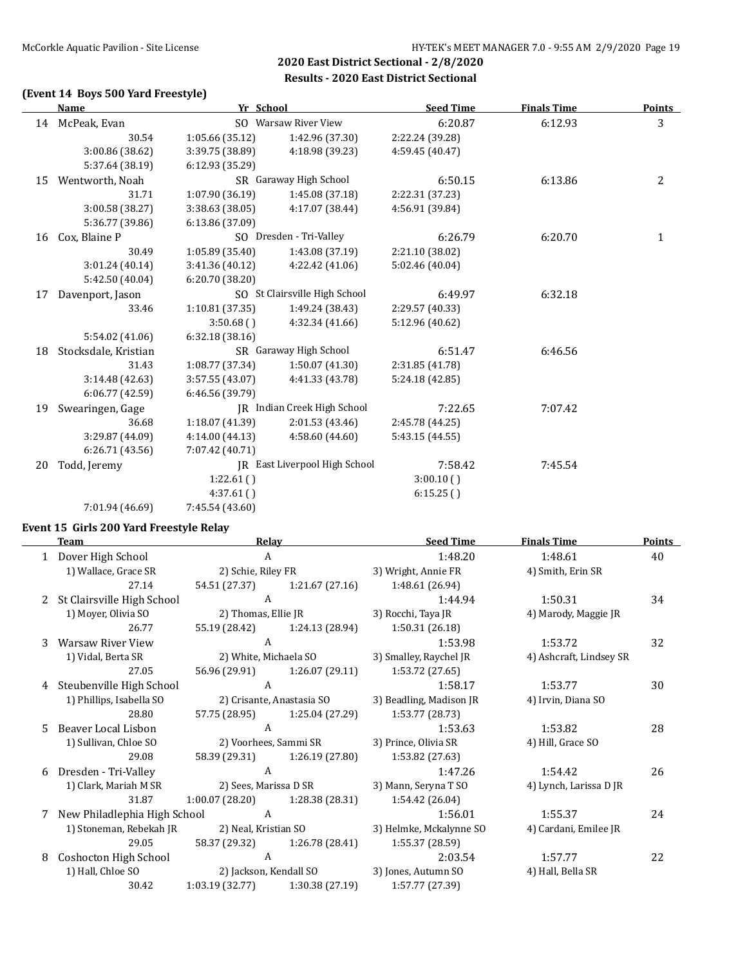### **(Event 14 Boys 500 Yard Freestyle)**

|    | <b>Name</b>          | Yr School       |                               | <b>Seed Time</b> | <b>Finals Time</b> | <b>Points</b>  |
|----|----------------------|-----------------|-------------------------------|------------------|--------------------|----------------|
|    | 14 McPeak, Evan      |                 | SO Warsaw River View          | 6:20.87          | 6:12.93            | 3              |
|    | 30.54                | 1:05.66 (35.12) | 1:42.96 (37.30)               | 2:22.24 (39.28)  |                    |                |
|    | 3:00.86 (38.62)      | 3:39.75 (38.89) | 4:18.98 (39.23)               | 4:59.45 (40.47)  |                    |                |
|    | 5:37.64 (38.19)      | 6:12.93(35.29)  |                               |                  |                    |                |
| 15 | Wentworth, Noah      |                 | SR Garaway High School        | 6:50.15          | 6:13.86            | $\overline{2}$ |
|    | 31.71                | 1:07.90 (36.19) | 1:45.08 (37.18)               | 2:22.31 (37.23)  |                    |                |
|    | 3:00.58 (38.27)      | 3:38.63 (38.05) | 4:17.07 (38.44)               | 4:56.91 (39.84)  |                    |                |
|    | 5:36.77 (39.86)      | 6:13.86 (37.09) |                               |                  |                    |                |
| 16 | Cox, Blaine P        |                 | SO Dresden - Tri-Valley       | 6:26.79          | 6:20.70            | $\mathbf{1}$   |
|    | 30.49                | 1:05.89 (35.40) | 1:43.08 (37.19)               | 2:21.10 (38.02)  |                    |                |
|    | 3:01.24(40.14)       | 3:41.36 (40.12) | 4:22.42 (41.06)               | 5:02.46 (40.04)  |                    |                |
|    | 5:42.50 (40.04)      | 6:20.70(38.20)  |                               |                  |                    |                |
| 17 | Davenport, Jason     |                 | SO St Clairsville High School | 6:49.97          | 6:32.18            |                |
|    | 33.46                | 1:10.81 (37.35) | 1:49.24 (38.43)               | 2:29.57 (40.33)  |                    |                |
|    |                      | 3:50.68()       | 4:32.34 (41.66)               | 5:12.96 (40.62)  |                    |                |
|    | 5:54.02 (41.06)      | 6:32.18(38.16)  |                               |                  |                    |                |
| 18 | Stocksdale, Kristian |                 | SR Garaway High School        | 6:51.47          | 6:46.56            |                |
|    | 31.43                | 1:08.77 (37.34) | 1:50.07 (41.30)               | 2:31.85 (41.78)  |                    |                |
|    | 3:14.48 (42.63)      | 3:57.55 (43.07) | 4:41.33 (43.78)               | 5:24.18 (42.85)  |                    |                |
|    | 6:06.77(42.59)       | 6:46.56 (39.79) |                               |                  |                    |                |
| 19 | Swearingen, Gage     |                 | IR Indian Creek High School   | 7:22.65          | 7:07.42            |                |
|    | 36.68                | 1:18.07 (41.39) | 2:01.53 (43.46)               | 2:45.78 (44.25)  |                    |                |
|    | 3:29.87 (44.09)      | 4:14.00(44.13)  | 4:58.60 (44.60)               | 5:43.15(44.55)   |                    |                |
|    | 6:26.71(43.56)       | 7:07.42 (40.71) |                               |                  |                    |                |
| 20 | Todd, Jeremy         |                 | IR East Liverpool High School | 7:58.42          | 7:45.54            |                |
|    |                      | 1:22.61()       |                               | 3:00.10()        |                    |                |
|    |                      | 4:37.61(        |                               | 6:15.25()        |                    |                |
|    | 7:01.94 (46.69)      | 7:45.54 (43.60) |                               |                  |                    |                |
|    |                      |                 |                               |                  |                    |                |

### **Event 15 Girls 200 Yard Freestyle Relay**

|    | Team                         | Relay                  |                           | <b>Seed Time</b>        | <b>Finals Time</b>      | <b>Points</b> |
|----|------------------------------|------------------------|---------------------------|-------------------------|-------------------------|---------------|
|    | Dover High School            | A                      |                           | 1:48.20                 | 1:48.61                 | 40            |
|    | 1) Wallace, Grace SR         | 2) Schie, Riley FR     |                           | 3) Wright, Annie FR     | 4) Smith, Erin SR       |               |
|    | 27.14                        | 54.51 (27.37)          | 1:21.67(27.16)            | 1:48.61 (26.94)         |                         |               |
| 2  | St Clairsville High School   | A                      |                           | 1:44.94                 | 1:50.31                 | 34            |
|    | 1) Moyer, Olivia SO          | 2) Thomas, Ellie JR    |                           | 3) Rocchi, Taya JR      | 4) Marody, Maggie JR    |               |
|    | 26.77                        | 55.19 (28.42)          | 1:24.13 (28.94)           | 1:50.31 (26.18)         |                         |               |
| 3  | Warsaw River View            | A                      |                           | 1:53.98                 | 1:53.72                 | 32            |
|    | 1) Vidal, Berta SR           | 2) White, Michaela SO  |                           | 3) Smalley, Raychel JR  | 4) Ashcraft, Lindsey SR |               |
|    | 27.05                        | 56.96 (29.91)          | 1:26.07 (29.11)           | 1:53.72 (27.65)         |                         |               |
| 4  | Steubenville High School     | A                      |                           | 1:58.17                 | 1:53.77                 | 30            |
|    | 1) Phillips, Isabella SO     |                        | 2) Crisante, Anastasia SO | 3) Beadling, Madison JR | 4) Irvin, Diana SO      |               |
|    | 28.80                        | 57.75 (28.95)          | 1:25.04 (27.29)           | 1:53.77 (28.73)         |                         |               |
| 5. | Beaver Local Lisbon          | A                      |                           | 1:53.63                 | 1:53.82                 | 28            |
|    | 1) Sullivan, Chloe SO        |                        | 2) Voorhees, Sammi SR     | 3) Prince, Olivia SR    | 4) Hill, Grace SO       |               |
|    | 29.08                        | 58.39 (29.31)          | 1:26.19 (27.80)           | 1:53.82 (27.63)         |                         |               |
| 6  | Dresden - Tri-Valley         | A                      |                           | 1:47.26                 | 1:54.42                 | 26            |
|    | 1) Clark, Mariah M SR        | 2) Sees, Marissa D SR  |                           | 3) Mann, Seryna T SO    | 4) Lynch, Larissa D JR  |               |
|    | 31.87                        | 1:00.07 (28.20)        | 1:28.38 (28.31)           | 1:54.42 (26.04)         |                         |               |
| 7  | New Philadlephia High School | A                      |                           | 1:56.01                 | 1:55.37                 | 24            |
|    | 1) Stoneman, Rebekah JR      | 2) Neal, Kristian SO   |                           | 3) Helmke, Mckalynne SO | 4) Cardani, Emilee JR   |               |
|    | 29.05                        | 58.37 (29.32)          | 1:26.78 (28.41)           | 1:55.37 (28.59)         |                         |               |
| 8  | Coshocton High School        | A                      |                           | 2:03.54                 | 1:57.77                 | 22            |
|    | 1) Hall, Chloe SO            | 2) Jackson, Kendall SO |                           | 3) Jones, Autumn SO     | 4) Hall, Bella SR       |               |
|    | 30.42                        | 1:03.19(32.77)         | 1:30.38 (27.19)           | 1:57.77 (27.39)         |                         |               |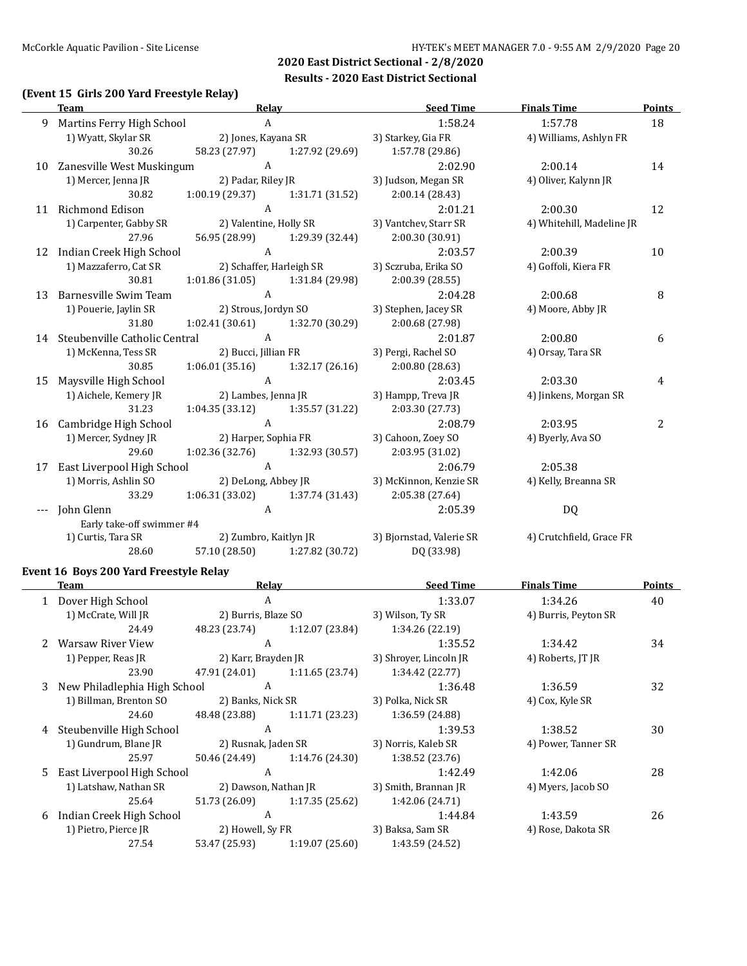### **(Event 15 Girls 200 Yard Freestyle Relay)**

|    | <b>Team</b>                      | Relay                 |                                   | <b>Seed Time</b>                                   | <b>Finals Time</b>        | <b>Points</b> |
|----|----------------------------------|-----------------------|-----------------------------------|----------------------------------------------------|---------------------------|---------------|
| 9  | Martins Ferry High School        | $\overline{A}$        |                                   | 1:58.24                                            | 1:57.78                   | 18            |
|    | 1) Wyatt, Skylar SR              | 2) Jones, Kayana SR   |                                   | 3) Starkey, Gia FR                                 | 4) Williams, Ashlyn FR    |               |
|    | 30.26                            |                       |                                   | 58.23 (27.97) 1:27.92 (29.69) 1:57.78 (29.86)      |                           |               |
|    | 10 Zanesville West Muskingum     | $\overline{A}$        |                                   | 2:02.90                                            | 2:00.14                   | 14            |
|    | 1) Mercer, Jenna JR              |                       | 2) Padar, Riley JR                | 3) Judson, Megan SR                                | 4) Oliver, Kalynn JR      |               |
|    | 30.82                            |                       | $1:00.19(29.37)$ $1:31.71(31.52)$ | 2:00.14(28.43)                                     |                           |               |
|    | 11 Richmond Edison               | $\overline{A}$        |                                   | 2:01.21                                            | 2:00.30                   | 12            |
|    | 1) Carpenter, Gabby SR           |                       | 2) Valentine, Holly SR            | 3) Vantchev, Starr SR                              | 4) Whitehill, Madeline JR |               |
|    | 27.96                            |                       | 56.95 (28.99) 1:29.39 (32.44)     | 2:00.30(30.91)                                     |                           |               |
|    | 12 Indian Creek High School      | $\mathbf{A}$          |                                   | 2:03.57                                            | 2:00.39                   | 10            |
|    | 1) Mazzaferro, Cat SR            |                       | 2) Schaffer, Harleigh SR          | 3) Sczruba, Erika SO                               | 4) Goffoli, Kiera FR      |               |
|    | 30.81                            |                       | $1:01.86(31.05)$ $1:31.84(29.98)$ | 2:00.39 (28.55)                                    |                           |               |
| 13 | Barnesville Swim Team            | $\mathsf{A}$          |                                   | 2:04.28                                            | 2:00.68                   | 8             |
|    | 1) Pouerie, Jaylin SR            |                       | 2) Strous, Jordyn SO              | 3) Stephen, Jacey SR                               | 4) Moore, Abby JR         |               |
|    | 31.80                            |                       | $1:02.41(30.61)$ $1:32.70(30.29)$ | 2:00.68 (27.98)                                    |                           |               |
|    | 14 Steubenville Catholic Central | A                     |                                   | 2:01.87                                            | 2:00.80                   | 6             |
|    | 1) McKenna, Tess SR              |                       | 2) Bucci, Jillian FR              | 3) Pergi, Rachel SO                                | 4) Orsay, Tara SR         |               |
|    | 30.85                            |                       |                                   | $1:06.01(35.16)$ $1:32.17(26.16)$ $2:00.80(28.63)$ |                           |               |
| 15 | Maysville High School            | $\mathbf{A}$          |                                   | 2:03.45                                            | 2:03.30                   | 4             |
|    | 1) Aichele, Kemery JR            | 2) Lambes, Jenna JR   |                                   | 3) Hampp, Treva JR                                 | 4) Jinkens, Morgan SR     |               |
|    | 31.23                            |                       | $1:04.35(33.12)$ $1:35.57(31.22)$ | 2:03.30 (27.73)                                    |                           |               |
|    | 16 Cambridge High School         | $\mathsf{A}$          |                                   | 2:08.79                                            | 2:03.95                   | 2             |
|    | 1) Mercer, Sydney JR             | 2) Harper, Sophia FR  |                                   | 3) Cahoon, Zoey SO                                 | 4) Byerly, Ava SO         |               |
|    | 29.60                            |                       |                                   | 1:02.36 (32.76) 1:32.93 (30.57) 2:03.95 (31.02)    |                           |               |
| 17 | East Liverpool High School       | A                     |                                   | 2:06.79                                            | 2:05.38                   |               |
|    | 1) Morris, Ashlin SO             | 2) DeLong, Abbey JR   |                                   | 3) McKinnon, Kenzie SR                             | 4) Kelly, Breanna SR      |               |
|    | 33.29                            |                       | $1:06.31(33.02)$ $1:37.74(31.43)$ | 2:05.38 (27.64)                                    |                           |               |
|    | John Glenn                       | A                     |                                   | 2:05.39                                            | DQ                        |               |
|    | Early take-off swimmer #4        |                       |                                   |                                                    |                           |               |
|    | 1) Curtis, Tara SR               | 2) Zumbro, Kaitlyn JR |                                   | 3) Bjornstad, Valerie SR                           | 4) Crutchfield, Grace FR  |               |
|    | 28.60                            |                       | 57.10 (28.50) 1:27.82 (30.72)     | DQ (33.98)                                         |                           |               |

### **Event 16 Boys 200 Yard Freestyle Relay**

|   | Team                           | Relay               |                                 | <b>Seed Time</b>       | <b>Finals Time</b>   | <b>Points</b> |
|---|--------------------------------|---------------------|---------------------------------|------------------------|----------------------|---------------|
|   | 1 Dover High School            | A                   |                                 | 1:33.07                | 1:34.26              | 40            |
|   | 1) McCrate, Will JR            | 2) Burris, Blaze SO |                                 | 3) Wilson, Ty SR       | 4) Burris, Peyton SR |               |
|   | 24.49                          | 48.23 (23.74)       | 1:12.07(23.84)                  | 1:34.26 (22.19)        |                      |               |
|   | <b>Warsaw River View</b>       | A                   |                                 | 1:35.52                | 1:34.42              | 34            |
|   | 1) Pepper, Reas JR             | 2) Karr, Brayden JR |                                 | 3) Shroyer, Lincoln JR | 4) Roberts, JT JR    |               |
|   | 23.90                          | 47.91 (24.01)       | 1:11.65 (23.74)                 | 1:34.42 (22.77)        |                      |               |
|   | 3 New Philadlephia High School | A                   |                                 | 1:36.48                | 1:36.59              | 32            |
|   | 1) Billman, Brenton SO         | 2) Banks, Nick SR   |                                 | 3) Polka, Nick SR      | 4) Cox, Kyle SR      |               |
|   | 24.60                          | 48.48 (23.88)       | 1:11.71 (23.23)                 | 1:36.59 (24.88)        |                      |               |
| 4 | Steubenville High School       | A                   |                                 | 1:39.53                | 1:38.52              | 30            |
|   | 1) Gundrum, Blane JR           |                     | 2) Rusnak, Jaden SR             | 3) Norris, Kaleb SR    | 4) Power, Tanner SR  |               |
|   | 25.97                          | 50.46 (24.49)       | 1:14.76 (24.30)                 | 1:38.52 (23.76)        |                      |               |
|   | 5 East Liverpool High School   | A                   |                                 | 1:42.49                | 1:42.06              | 28            |
|   | 1) Latshaw, Nathan SR          |                     | 2) Dawson, Nathan JR            | 3) Smith, Brannan JR   | 4) Myers, Jacob SO   |               |
|   | 25.64                          |                     | $51.73(26.09)$ $1:17.35(25.62)$ | 1:42.06 (24.71)        |                      |               |
| 6 | Indian Creek High School       | A                   |                                 | 1:44.84                | 1:43.59              | 26            |
|   | 1) Pietro, Pierce JR           | 2) Howell, Sy FR    |                                 | 3) Baksa, Sam SR       | 4) Rose, Dakota SR   |               |
|   | 27.54                          | 53.47 (25.93)       | 1:19.07(25.60)                  | 1:43.59 (24.52)        |                      |               |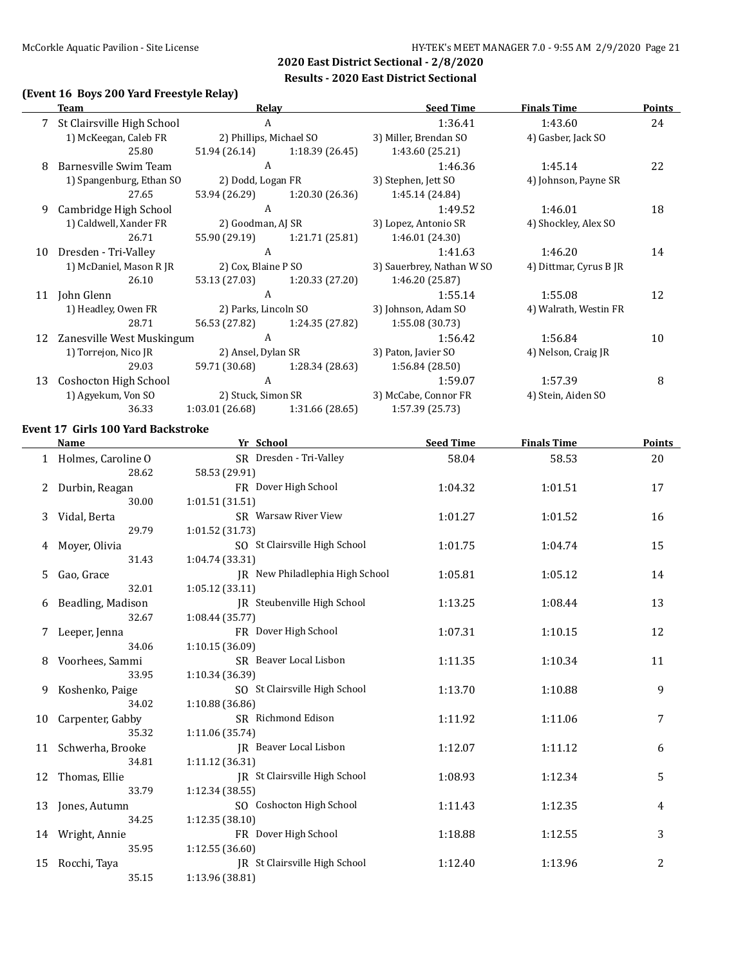### **(Event 16 Boys 200 Yard Freestyle Relay)**

|    | Team                       | Relav                   |                    | <b>Seed Time</b>          | <b>Finals Time</b>     | Points |
|----|----------------------------|-------------------------|--------------------|---------------------------|------------------------|--------|
|    | St Clairsville High School | A                       |                    | 1:36.41                   | 1:43.60                | 24     |
|    | 1) McKeegan, Caleb FR      | 2) Phillips, Michael SO |                    | 3) Miller, Brendan SO     | 4) Gasber, Jack SO     |        |
|    | 25.80                      | 51.94 (26.14)           | 1:18.39 (26.45)    | 1:43.60 (25.21)           |                        |        |
| 8  | Barnesville Swim Team      | A                       |                    | 1:46.36                   | 1:45.14                | 22     |
|    | 1) Spangenburg, Ethan SO   | 2) Dodd, Logan FR       |                    | 3) Stephen, Jett SO       | 4) Johnson, Payne SR   |        |
|    | 27.65                      | 53.94 (26.29)           | 1:20.30(26.36)     | 1:45.14 (24.84)           |                        |        |
| 9  | Cambridge High School      | A                       |                    | 1:49.52                   | 1:46.01                | 18     |
|    | 1) Caldwell, Xander FR     | 2) Goodman, AJ SR       |                    | 3) Lopez, Antonio SR      | 4) Shockley, Alex SO   |        |
|    | 26.71                      | 55.90 (29.19)           | 1:21.71 (25.81)    | 1:46.01(24.30)            |                        |        |
| 10 | Dresden - Tri-Valley       | A                       |                    | 1:41.63                   | 1:46.20                | 14     |
|    | 1) McDaniel, Mason R JR    | 2) Cox, Blaine P SO     |                    | 3) Sauerbrey, Nathan W SO | 4) Dittmar, Cyrus B JR |        |
|    | 26.10                      | 53.13 (27.03)           | 1:20.33 (27.20)    | 1:46.20 (25.87)           |                        |        |
| 11 | John Glenn                 | A                       |                    | 1:55.14                   | 1:55.08                | 12     |
|    | 1) Headley, Owen FR        | 2) Parks, Lincoln SO    |                    | 3) Johnson, Adam SO       | 4) Walrath, Westin FR  |        |
|    | 28.71                      | 56.53 (27.82)           | 1:24.35 (27.82)    | 1:55.08(30.73)            |                        |        |
| 12 | Zanesville West Muskingum  | A                       |                    | 1:56.42                   | 1:56.84                | 10     |
|    | 1) Torrejon, Nico JR       |                         | 2) Ansel, Dylan SR | 3) Paton, Javier SO       | 4) Nelson, Craig JR    |        |
|    | 29.03                      | 59.71 (30.68)           | 1:28.34 (28.63)    | 1:56.84 (28.50)           |                        |        |
| 13 | Coshocton High School      | A                       |                    | 1:59.07                   | 1:57.39                | 8      |
|    | 1) Agyekum, Von SO         |                         | 2) Stuck, Simon SR | 3) McCabe, Connor FR      | 4) Stein, Aiden SO     |        |
|    | 36.33                      | 1:03.01 (26.68)         | 1:31.66 (28.65)    | 1:57.39 (25.73)           |                        |        |

#### **Event 17 Girls 100 Yard Backstroke**

|    | <b>Name</b>          | Yr School                          | <b>Seed Time</b> | <b>Finals Time</b> | <b>Points</b>  |
|----|----------------------|------------------------------------|------------------|--------------------|----------------|
|    | 1 Holmes, Caroline O | SR Dresden - Tri-Valley            | 58.04            | 58.53              | 20             |
|    | 28.62                | 58.53 (29.91)                      |                  |                    |                |
| 2  | Durbin, Reagan       | FR Dover High School               | 1:04.32          | 1:01.51            | 17             |
|    | 30.00                | 1:01.51(31.51)                     |                  |                    |                |
| 3  | Vidal, Berta         | SR Warsaw River View               | 1:01.27          | 1:01.52            | 16             |
|    | 29.79                | 1:01.52 (31.73)                    |                  |                    |                |
| 4  | Moyer, Olivia        | SO St Clairsville High School      | 1:01.75          | 1:04.74            | 15             |
|    | 31.43                | 1:04.74 (33.31)                    |                  |                    |                |
| 5  | Gao, Grace           | JR New Philadlephia High School    | 1:05.81          | 1:05.12            | 14             |
|    | 32.01                | 1:05.12(33.11)                     |                  |                    |                |
| 6  | Beadling, Madison    | <b>IR</b> Steubenville High School | 1:13.25          | 1:08.44            | 13             |
|    | 32.67                | 1:08.44(35.77)                     |                  |                    |                |
| 7  | Leeper, Jenna        | FR Dover High School               | 1:07.31          | 1:10.15            | 12             |
|    | 34.06                | 1:10.15(36.09)                     |                  |                    |                |
| 8  | Voorhees, Sammi      | SR Beaver Local Lisbon             | 1:11.35          | 1:10.34            | 11             |
|    | 33.95                | 1:10.34 (36.39)                    |                  |                    |                |
| 9  | Koshenko, Paige      | SO St Clairsville High School      | 1:13.70          | 1:10.88            | 9              |
|    | 34.02                | 1:10.88 (36.86)                    |                  |                    |                |
| 10 | Carpenter, Gabby     | SR Richmond Edison                 | 1:11.92          | 1:11.06            | 7              |
|    | 35.32                | 1:11.06 (35.74)                    |                  |                    |                |
| 11 | Schwerha, Brooke     | IR Beaver Local Lisbon             | 1:12.07          | 1:11.12            | 6              |
|    | 34.81                | 1:11.12 (36.31)                    |                  |                    |                |
| 12 | Thomas, Ellie        | IR St Clairsville High School      | 1:08.93          | 1:12.34            | 5              |
|    | 33.79                | 1:12.34 (38.55)                    |                  |                    |                |
| 13 | Jones, Autumn        | SO Coshocton High School           | 1:11.43          | 1:12.35            | 4              |
|    | 34.25                | 1:12.35 (38.10)                    |                  |                    |                |
|    | 14 Wright, Annie     | FR Dover High School               | 1:18.88          | 1:12.55            | 3              |
|    | 35.95                | 1:12.55(36.60)                     |                  |                    |                |
| 15 | Rocchi, Taya         | JR St Clairsville High School      | 1:12.40          | 1:13.96            | $\overline{c}$ |
|    | 35.15                | 1:13.96 (38.81)                    |                  |                    |                |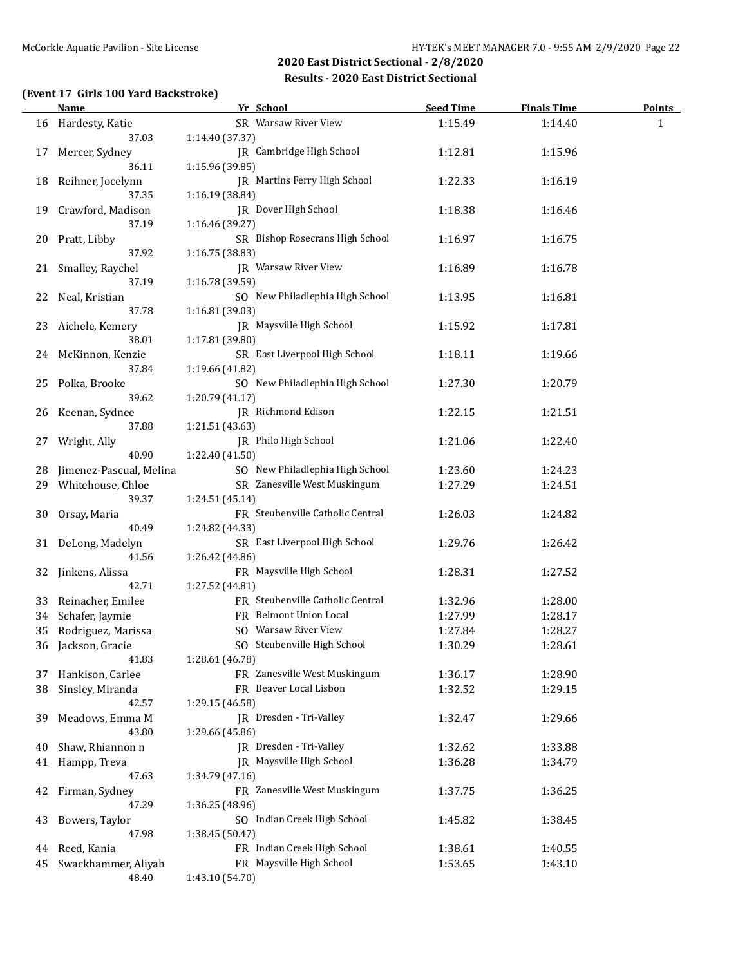### **(Event 17 Girls 100 Yard Backstroke)**

|    | <b>Name</b>             | Yr School                               | <b>Seed Time</b> | <b>Finals Time</b> | <b>Points</b> |
|----|-------------------------|-----------------------------------------|------------------|--------------------|---------------|
|    | 16 Hardesty, Katie      | SR Warsaw River View                    | 1:15.49          | 1:14.40            | 1             |
|    | 37.03                   | 1:14.40 (37.37)                         |                  |                    |               |
| 17 | Mercer, Sydney          | JR Cambridge High School                | 1:12.81          | 1:15.96            |               |
|    | 36.11                   | 1:15.96 (39.85)                         |                  |                    |               |
| 18 | Reihner, Jocelynn       | IR Martins Ferry High School            | 1:22.33          | 1:16.19            |               |
|    | 37.35                   | 1:16.19 (38.84)                         |                  |                    |               |
| 19 | Crawford, Madison       | JR Dover High School                    | 1:18.38          | 1:16.46            |               |
|    | 37.19                   | 1:16.46 (39.27)                         |                  |                    |               |
| 20 | Pratt, Libby            | SR Bishop Rosecrans High School         | 1:16.97          | 1:16.75            |               |
|    | 37.92                   | 1:16.75 (38.83)                         |                  |                    |               |
| 21 | Smalley, Raychel        | JR Warsaw River View                    | 1:16.89          | 1:16.78            |               |
|    | 37.19                   | 1:16.78 (39.59)                         |                  |                    |               |
| 22 | Neal, Kristian          | SO New Philadlephia High School         | 1:13.95          | 1:16.81            |               |
|    | 37.78                   | 1:16.81 (39.03)                         |                  |                    |               |
| 23 | Aichele, Kemery         | JR Maysville High School                | 1:15.92          | 1:17.81            |               |
|    | 38.01                   | 1:17.81 (39.80)                         |                  |                    |               |
|    | 24 McKinnon, Kenzie     | SR East Liverpool High School           | 1:18.11          | 1:19.66            |               |
|    | 37.84                   | 1:19.66 (41.82)                         |                  |                    |               |
|    |                         | SO New Philadlephia High School         | 1:27.30          |                    |               |
| 25 | Polka, Brooke<br>39.62  | 1:20.79 (41.17)                         |                  | 1:20.79            |               |
|    |                         | JR Richmond Edison                      |                  |                    |               |
| 26 | Keenan, Sydnee          |                                         | 1:22.15          | 1:21.51            |               |
|    | 37.88                   | 1:21.51 (43.63)<br>JR Philo High School |                  |                    |               |
| 27 | Wright, Ally            |                                         | 1:21.06          | 1:22.40            |               |
|    | 40.90                   | 1:22.40 (41.50)                         |                  |                    |               |
| 28 | Jimenez-Pascual, Melina | SO New Philadlephia High School         | 1:23.60          | 1:24.23            |               |
| 29 | Whitehouse, Chloe       | SR Zanesville West Muskingum            | 1:27.29          | 1:24.51            |               |
|    | 39.37                   | 1:24.51 (45.14)                         |                  |                    |               |
| 30 | Orsay, Maria            | FR Steubenville Catholic Central        | 1:26.03          | 1:24.82            |               |
|    | 40.49                   | 1:24.82 (44.33)                         |                  |                    |               |
| 31 | DeLong, Madelyn         | SR East Liverpool High School           | 1:29.76          | 1:26.42            |               |
|    | 41.56                   | 1:26.42 (44.86)                         |                  |                    |               |
| 32 | Jinkens, Alissa         | FR Maysville High School                | 1:28.31          | 1:27.52            |               |
|    | 42.71                   | 1:27.52 (44.81)                         |                  |                    |               |
| 33 | Reinacher, Emilee       | FR Steubenville Catholic Central        | 1:32.96          | 1:28.00            |               |
| 34 | Schafer, Jaymie         | FR Belmont Union Local                  | 1:27.99          | 1:28.17            |               |
| 35 | Rodriguez, Marissa      | SO Warsaw River View                    | 1:27.84          | 1:28.27            |               |
|    | 36 Jackson, Gracie      | SO Steubenville High School             | 1:30.29          | 1:28.61            |               |
|    | 41.83                   | 1:28.61 (46.78)                         |                  |                    |               |
| 37 | Hankison, Carlee        | FR Zanesville West Muskingum            | 1:36.17          | 1:28.90            |               |
| 38 | Sinsley, Miranda        | FR Beaver Local Lisbon                  | 1:32.52          | 1:29.15            |               |
|    | 42.57                   | 1:29.15 (46.58)                         |                  |                    |               |
| 39 | Meadows, Emma M         | JR Dresden - Tri-Valley                 | 1:32.47          | 1:29.66            |               |
|    | 43.80                   | 1:29.66 (45.86)                         |                  |                    |               |
| 40 | Shaw, Rhiannon n        | JR Dresden - Tri-Valley                 | 1:32.62          | 1:33.88            |               |
| 41 | Hampp, Treva            | JR Maysville High School                | 1:36.28          | 1:34.79            |               |
|    | 47.63                   | 1:34.79 (47.16)                         |                  |                    |               |
| 42 | Firman, Sydney          | FR Zanesville West Muskingum            | 1:37.75          | 1:36.25            |               |
|    | 47.29                   | 1:36.25 (48.96)                         |                  |                    |               |
| 43 | Bowers, Taylor          | SO Indian Creek High School             | 1:45.82          | 1:38.45            |               |
|    | 47.98                   | 1:38.45 (50.47)                         |                  |                    |               |
| 44 | Reed, Kania             | FR Indian Creek High School             | 1:38.61          | 1:40.55            |               |
| 45 | Swackhammer, Aliyah     | FR Maysville High School                | 1:53.65          | 1:43.10            |               |
|    | 48.40                   | 1:43.10 (54.70)                         |                  |                    |               |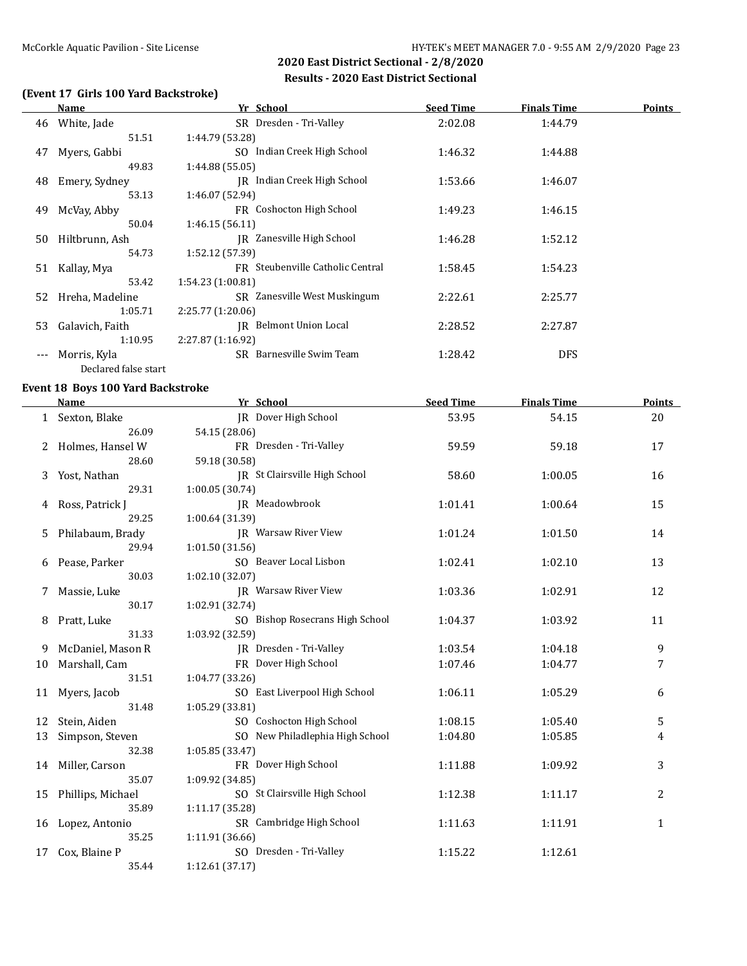### **(Event 17 Girls 100 Yard Backstroke)**

|       | Name                 | Yr School                        | <b>Seed Time</b> | <b>Finals Time</b> | Points |
|-------|----------------------|----------------------------------|------------------|--------------------|--------|
| 46    | White, Jade          | SR Dresden - Tri-Valley          | 2:02.08          | 1:44.79            |        |
|       | 51.51                | 1:44.79 (53.28)                  |                  |                    |        |
| 47    | Myers, Gabbi         | SO Indian Creek High School      | 1:46.32          | 1:44.88            |        |
|       | 49.83                | 1:44.88 (55.05)                  |                  |                    |        |
| 48    | Emery, Sydney        | IR Indian Creek High School      | 1:53.66          | 1:46.07            |        |
|       | 53.13                | 1:46.07 (52.94)                  |                  |                    |        |
| 49    | McVay, Abby          | FR Coshocton High School         | 1:49.23          | 1:46.15            |        |
|       | 50.04                | 1:46.15(56.11)                   |                  |                    |        |
| 50    | Hiltbrunn, Ash       | IR Zanesville High School        | 1:46.28          | 1:52.12            |        |
|       | 54.73                | 1:52.12 (57.39)                  |                  |                    |        |
| 51    | Kallay, Mya          | FR Steubenville Catholic Central | 1:58.45          | 1:54.23            |        |
|       | 53.42                | 1:54.23(1:00.81)                 |                  |                    |        |
| 52    | Hreha, Madeline      | SR Zanesville West Muskingum     | 2:22.61          | 2:25.77            |        |
|       | 1:05.71              | 2:25.77 (1:20.06)                |                  |                    |        |
| 53    | Galavich, Faith      | <b>IR</b> Belmont Union Local    | 2:28.52          | 2:27.87            |        |
|       | 1:10.95              | 2:27.87 (1:16.92)                |                  |                    |        |
| $---$ | Morris, Kyla         | SR Barnesville Swim Team         | 1:28.42          | <b>DFS</b>         |        |
|       | Declared false start |                                  |                  |                    |        |

#### **Event 18 Boys 100 Yard Backstroke**

| <b>Name</b>          | Yr School                       | <b>Seed Time</b> | <b>Finals Time</b> | <b>Points</b> |
|----------------------|---------------------------------|------------------|--------------------|---------------|
| 1 Sexton, Blake      | JR Dover High School            | 53.95            | 54.15              | 20            |
| 26.09                | 54.15 (28.06)                   |                  |                    |               |
| Holmes, Hansel W     | FR Dresden - Tri-Valley         | 59.59            | 59.18              | 17            |
| 28.60                | 59.18 (30.58)                   |                  |                    |               |
| Yost, Nathan         | JR St Clairsville High School   | 58.60            | 1:00.05            | 16            |
| 29.31                | 1:00.05 (30.74)                 |                  |                    |               |
| Ross, Patrick J<br>4 | IR Meadowbrook                  | 1:01.41          | 1:00.64            | 15            |
| 29.25                | 1:00.64 (31.39)                 |                  |                    |               |
| Philabaum, Brady     | <b>IR</b> Warsaw River View     | 1:01.24          | 1:01.50            | 14            |
| 29.94                | 1:01.50 (31.56)                 |                  |                    |               |
| Pease, Parker        | SO Beaver Local Lisbon          | 1:02.41          | 1:02.10            | 13            |
| 30.03                | 1:02.10(32.07)                  |                  |                    |               |
| Massie, Luke         | JR Warsaw River View            | 1:03.36          | 1:02.91            | 12            |
| 30.17                | 1:02.91 (32.74)                 |                  |                    |               |
| Pratt, Luke          | SO Bishop Rosecrans High School | 1:04.37          | 1:03.92            | 11            |
| 31.33                | 1:03.92 (32.59)                 |                  |                    |               |
| McDaniel, Mason R    | JR Dresden - Tri-Valley         | 1:03.54          | 1:04.18            | 9             |
| Marshall, Cam        | FR Dover High School            | 1:07.46          | 1:04.77            | 7             |
| 31.51                | 1:04.77 (33.26)                 |                  |                    |               |
| Myers, Jacob         | SO East Liverpool High School   | 1:06.11          | 1:05.29            | 6             |
| 31.48                | 1:05.29 (33.81)                 |                  |                    |               |
| Stein, Aiden         | SO Coshocton High School        | 1:08.15          | 1:05.40            | 5             |
| Simpson, Steven      | SO New Philadlephia High School | 1:04.80          | 1:05.85            | 4             |
| 32.38                | 1:05.85 (33.47)                 |                  |                    |               |
| Miller, Carson       | FR Dover High School            | 1:11.88          | 1:09.92            | 3             |
| 35.07                | 1:09.92 (34.85)                 |                  |                    |               |
| Phillips, Michael    | SO St Clairsville High School   | 1:12.38          | 1:11.17            | 2             |
| 35.89                | 1:11.17 (35.28)                 |                  |                    |               |
| Lopez, Antonio       | SR Cambridge High School        | 1:11.63          | 1:11.91            | $\mathbf{1}$  |
| 35.25                | 1:11.91 (36.66)                 |                  |                    |               |
| Cox, Blaine P        | SO Dresden - Tri-Valley         | 1:15.22          | 1:12.61            |               |
| 35.44                | 1:12.61(37.17)                  |                  |                    |               |
|                      |                                 |                  |                    |               |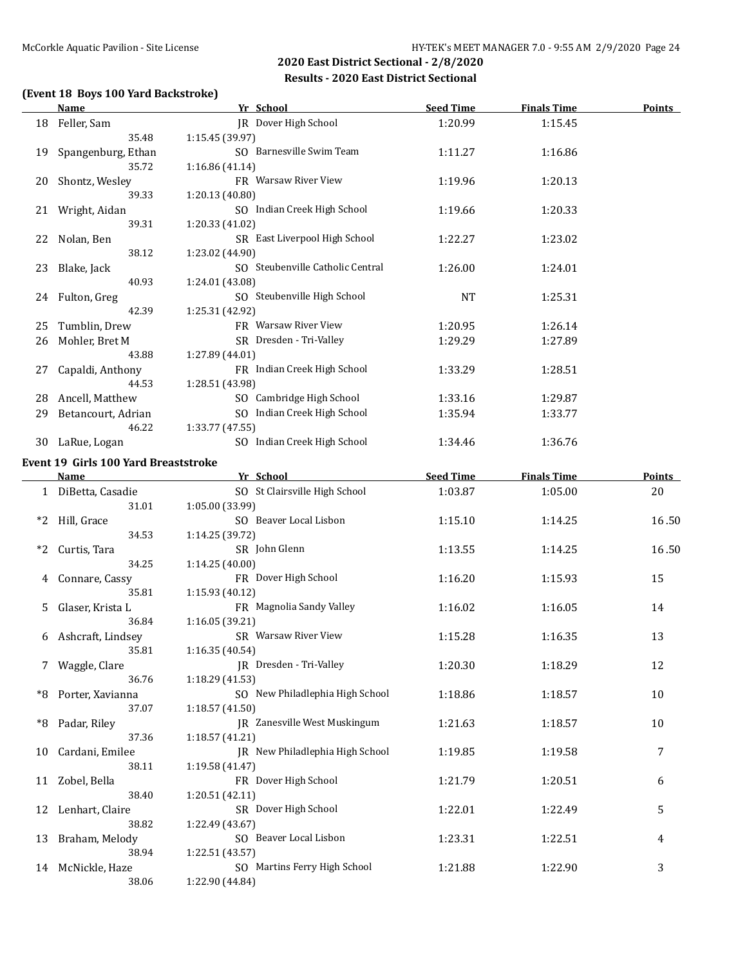### **(Event 18 Boys 100 Yard Backstroke)**

|    | <b>Name</b>                                 | Yr School                                           | <b>Seed Time</b> | <b>Finals Time</b> | <b>Points</b> |
|----|---------------------------------------------|-----------------------------------------------------|------------------|--------------------|---------------|
|    | 18 Feller, Sam<br>35.48                     | JR Dover High School<br>1:15.45 (39.97)             | 1:20.99          | 1:15.45            |               |
| 19 | Spangenburg, Ethan                          | SO Barnesville Swim Team                            | 1:11.27          | 1:16.86            |               |
| 20 | 35.72<br>Shontz, Wesley                     | 1:16.86 (41.14)<br>FR Warsaw River View             | 1:19.96          | 1:20.13            |               |
| 21 | 39.33<br>Wright, Aidan                      | 1:20.13 (40.80)<br>SO Indian Creek High School      | 1:19.66          | 1:20.33            |               |
| 22 | 39.31<br>Nolan, Ben                         | 1:20.33 (41.02)<br>SR East Liverpool High School    | 1:22.27          | 1:23.02            |               |
| 23 | 38.12<br>Blake, Jack                        | 1:23.02 (44.90)<br>SO Steubenville Catholic Central | 1:26.00          | 1:24.01            |               |
|    | 40.93                                       | 1:24.01 (43.08)                                     |                  |                    |               |
|    | 24 Fulton, Greg<br>42.39                    | SO Steubenville High School<br>1:25.31 (42.92)      | <b>NT</b>        | 1:25.31            |               |
| 25 | Tumblin, Drew                               | FR Warsaw River View                                | 1:20.95          | 1:26.14            |               |
| 26 | Mohler, Bret M                              | SR Dresden - Tri-Valley                             | 1:29.29          | 1:27.89            |               |
|    | 43.88                                       | 1:27.89 (44.01)<br>FR Indian Creek High School      |                  |                    |               |
| 27 | Capaldi, Anthony<br>44.53                   | 1:28.51 (43.98)                                     | 1:33.29          | 1:28.51            |               |
| 28 | Ancell, Matthew                             | SO Cambridge High School                            | 1:33.16          | 1:29.87            |               |
| 29 | Betancourt, Adrian<br>46.22                 | SO Indian Creek High School<br>1:33.77 (47.55)      | 1:35.94          | 1:33.77            |               |
|    | 30 LaRue, Logan                             | SO Indian Creek High School                         | 1:34.46          | 1:36.76            |               |
|    | <b>Event 19 Girls 100 Yard Breaststroke</b> |                                                     |                  |                    |               |
|    | <b>Name</b>                                 | Yr School                                           | <b>Seed Time</b> | <b>Finals Time</b> | <b>Points</b> |
|    | 1 DiBetta, Casadie<br>31.01                 | SO St Clairsville High School<br>1:05.00 (33.99)    | 1:03.87          | 1:05.00            | 20            |
| *2 | Hill, Grace<br>34.53                        | SO Beaver Local Lisbon<br>1:14.25 (39.72)           | 1:15.10          | 1:14.25            | 16.50         |
| *2 | Curtis, Tara<br>34.25                       | SR John Glenn<br>1:14.25 (40.00)                    | 1:13.55          | 1:14.25            | 16.50         |
| 4  | Connare, Cassy                              | FR Dover High School                                | 1:16.20          | 1:15.93            | 15            |
| 5  | 35.81<br>Glaser, Krista L                   | 1:15.93 (40.12)<br>FR Magnolia Sandy Valley         | 1:16.02          | 1:16.05            | 14            |
|    | 36.84                                       | 1:16.05 (39.21)                                     |                  |                    |               |
| 6  | Ashcraft, Lindsey<br>35.81                  | SR Warsaw River View<br>1:16.35 (40.54)             | 1:15.28          | 1:16.35            | 13            |
|    | Waggle, Clare<br>36.76                      | JR Dresden - Tri-Valley<br>1:18.29 (41.53)          | 1:20.30          | 1:18.29            | 12            |
| *8 | Porter, Xavianna<br>37.07                   | SO New Philadlephia High School<br>1:18.57 (41.50)  | 1:18.86          | 1:18.57            | 10            |
| *8 | Padar, Riley                                | JR Zanesville West Muskingum                        | 1:21.63          | 1:18.57            | 10            |
| 10 | 37.36<br>Cardani, Emilee                    | 1:18.57 (41.21)<br>JR New Philadlephia High School  | 1:19.85          | 1:19.58            | 7             |
| 11 | 38.11<br>Zobel, Bella                       | 1:19.58 (41.47)<br>FR Dover High School             | 1:21.79          | 1:20.51            | 6             |
| 12 | 38.40<br>Lenhart, Claire                    | 1:20.51 (42.11)<br>SR Dover High School             | 1:22.01          | 1:22.49            | 5             |
|    | 38.82                                       | 1:22.49 (43.67)                                     |                  |                    |               |
| 13 | Braham, Melody<br>38.94                     | SO Beaver Local Lisbon<br>1:22.51 (43.57)           | 1:23.31          | 1:22.51            | 4             |
|    | 14 McNickle, Haze<br>38.06                  | SO Martins Ferry High School<br>1:22.90 (44.84)     | 1:21.88          | 1:22.90            | 3             |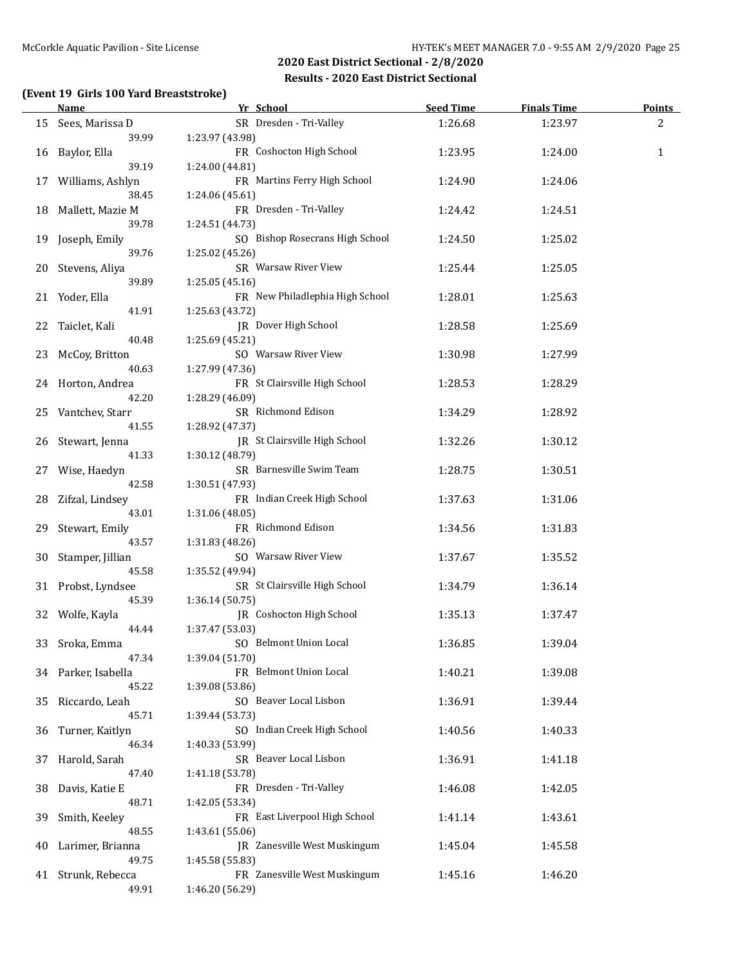### **(Event 19 Girls 100 Yard Breaststroke)**

|    | <b>Name</b>             | Yr School                       | <b>Seed Time</b> | <b>Finals Time</b> | <b>Points</b> |
|----|-------------------------|---------------------------------|------------------|--------------------|---------------|
|    | 15 Sees, Marissa D      | SR Dresden - Tri-Valley         | 1:26.68          | 1:23.97            | 2             |
|    | 39.99                   | 1:23.97 (43.98)                 |                  |                    |               |
| 16 | Baylor, Ella            | FR Coshocton High School        | 1:23.95          | 1:24.00            | $\mathbf{1}$  |
|    | 39.19                   | 1:24.00 (44.81)                 |                  |                    |               |
|    | 17 Williams, Ashlyn     | FR Martins Ferry High School    | 1:24.90          | 1:24.06            |               |
|    | 38.45                   | 1:24.06 (45.61)                 |                  |                    |               |
| 18 | Mallett, Mazie M        | FR Dresden - Tri-Valley         | 1:24.42          | 1:24.51            |               |
|    | 39.78                   | 1:24.51 (44.73)                 |                  |                    |               |
| 19 | Joseph, Emily           | SO Bishop Rosecrans High School | 1:24.50          | 1:25.02            |               |
|    | 39.76                   | 1:25.02 (45.26)                 |                  |                    |               |
| 20 | Stevens, Aliya          | SR Warsaw River View            | 1:25.44          | 1:25.05            |               |
|    | 39.89                   | 1:25.05 (45.16)                 |                  |                    |               |
|    | 21 Yoder, Ella          | FR New Philadlephia High School | 1:28.01          | 1:25.63            |               |
|    | 41.91                   | 1:25.63 (43.72)                 |                  |                    |               |
| 22 | Taiclet, Kali           | JR Dover High School            | 1:28.58          | 1:25.69            |               |
|    | 40.48                   | 1:25.69 (45.21)                 |                  |                    |               |
| 23 | McCoy, Britton          | SO Warsaw River View            | 1:30.98          | 1:27.99            |               |
|    | 40.63                   | 1:27.99 (47.36)                 |                  |                    |               |
|    |                         | FR St Clairsville High School   |                  |                    |               |
|    | 24 Horton, Andrea       |                                 | 1:28.53          | 1:28.29            |               |
|    | 42.20                   | 1:28.29 (46.09)                 |                  |                    |               |
|    | 25 Vantchev, Starr      | SR Richmond Edison              | 1:34.29          | 1:28.92            |               |
|    | 41.55                   | 1:28.92 (47.37)                 |                  |                    |               |
|    | 26 Stewart, Jenna       | JR St Clairsville High School   | 1:32.26          | 1:30.12            |               |
|    | 41.33                   | 1:30.12 (48.79)                 |                  |                    |               |
| 27 | Wise, Haedyn            | SR Barnesville Swim Team        | 1:28.75          | 1:30.51            |               |
|    | 42.58                   | 1:30.51 (47.93)                 |                  |                    |               |
|    | 28 Zifzal, Lindsey      | FR Indian Creek High School     | 1:37.63          | 1:31.06            |               |
|    | 43.01                   | 1:31.06 (48.05)                 |                  |                    |               |
| 29 | Stewart, Emily          | FR Richmond Edison              | 1:34.56          | 1:31.83            |               |
|    | 43.57                   | 1:31.83 (48.26)                 |                  |                    |               |
| 30 | Stamper, Jillian        | SO Warsaw River View            | 1:37.67          | 1:35.52            |               |
|    | 45.58                   | 1:35.52 (49.94)                 |                  |                    |               |
|    | 31 Probst, Lyndsee      | SR St Clairsville High School   | 1:34.79          | 1:36.14            |               |
|    | 45.39                   | 1:36.14 (50.75)                 |                  |                    |               |
| 32 | Wolfe, Kayla            | JR Coshocton High School        | 1:35.13          | 1:37.47            |               |
|    | 44.44                   | 1:37.47 (53.03)                 |                  |                    |               |
| 33 | Sroka, Emma             | SO Belmont Union Local          | 1:36.85          | 1:39.04            |               |
|    | 47.34                   | 1:39.04 (51.70)                 |                  |                    |               |
|    | 34 Parker, Isabella     | FR Belmont Union Local          | 1:40.21          | 1:39.08            |               |
|    | 45.22                   | 1:39.08 (53.86)                 |                  |                    |               |
| 35 | Riccardo, Leah          | SO Beaver Local Lisbon          | 1:36.91          | 1:39.44            |               |
|    | 45.71                   | 1:39.44 (53.73)                 |                  |                    |               |
| 36 | Turner, Kaitlyn         | SO Indian Creek High School     | 1:40.56          | 1:40.33            |               |
|    | 46.34                   | 1:40.33 (53.99)                 |                  |                    |               |
| 37 | Harold, Sarah           | SR Beaver Local Lisbon          | 1:36.91          | 1:41.18            |               |
|    | 47.40                   | 1:41.18 (53.78)                 |                  |                    |               |
|    |                         | FR Dresden - Tri-Valley         | 1:46.08          | 1:42.05            |               |
| 38 | Davis, Katie E<br>48.71 | 1:42.05 (53.34)                 |                  |                    |               |
|    |                         |                                 |                  |                    |               |
| 39 | Smith, Keeley           | FR East Liverpool High School   | 1:41.14          | 1:43.61            |               |
|    | 48.55                   | 1:43.61 (55.06)                 |                  |                    |               |
| 40 | Larimer, Brianna        | JR Zanesville West Muskingum    | 1:45.04          | 1:45.58            |               |
|    | 49.75                   | 1:45.58 (55.83)                 |                  |                    |               |
| 41 | Strunk, Rebecca         | FR Zanesville West Muskingum    | 1:45.16          | 1:46.20            |               |
|    | 49.91                   | 1:46.20 (56.29)                 |                  |                    |               |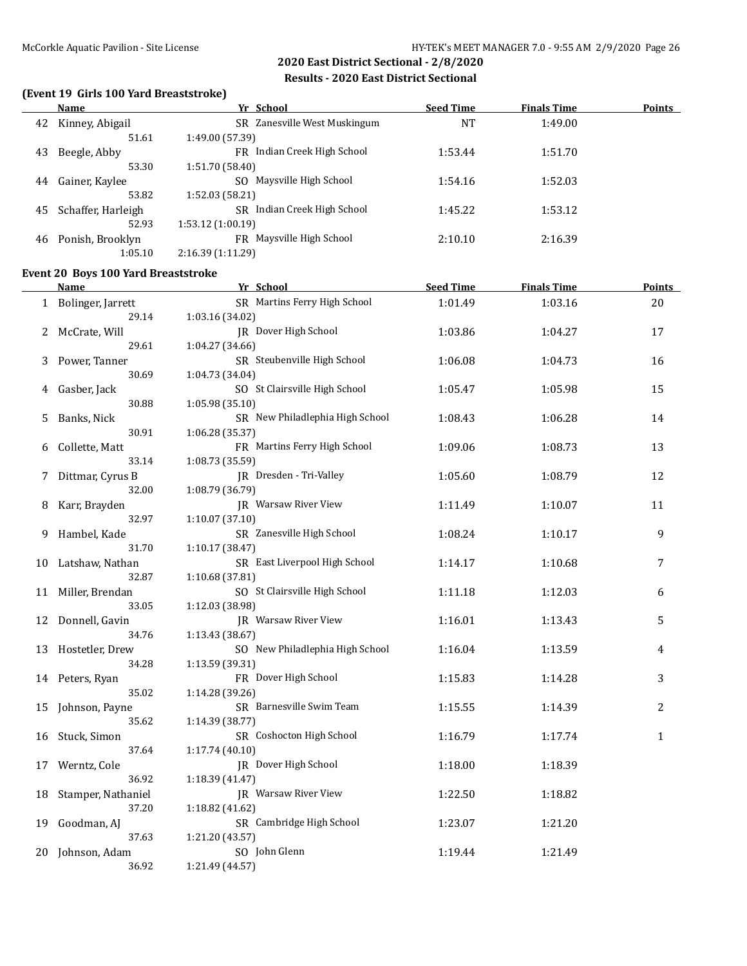### **(Event 19 Girls 100 Yard Breaststroke)**

|    | Name               | Yr School                       | <b>Seed Time</b> | <b>Finals Time</b> | <b>Points</b> |
|----|--------------------|---------------------------------|------------------|--------------------|---------------|
| 42 | Kinney, Abigail    | SR Zanesville West Muskingum    | <b>NT</b>        | 1:49.00            |               |
|    | 51.61              | 1:49.00 (57.39)                 |                  |                    |               |
| 43 | Beegle, Abby       | FR Indian Creek High School     | 1:53.44          | 1:51.70            |               |
|    | 53.30              | 1:51.70 (58.40)                 |                  |                    |               |
| 44 | Gainer, Kaylee     | SO Maysville High School        | 1:54.16          | 1:52.03            |               |
|    | 53.82              | 1:52.03(58.21)                  |                  |                    |               |
| 45 | Schaffer, Harleigh | Indian Creek High School<br>SR. | 1:45.22          | 1:53.12            |               |
|    | 52.93              | 1:53.12(1:00.19)                |                  |                    |               |
| 46 | Ponish, Brooklyn   | FR Maysville High School        | 2:10.10          | 2:16.39            |               |
|    | 1:05.10            | 2:16.39 (1:11.29)               |                  |                    |               |

### **Event 20 Boys 100 Yard Breaststroke**

|    | <b>Name</b>         | Yr School                       | <b>Seed Time</b> | <b>Finals Time</b> | <b>Points</b> |
|----|---------------------|---------------------------------|------------------|--------------------|---------------|
|    | 1 Bolinger, Jarrett | SR Martins Ferry High School    | 1:01.49          | 1:03.16            | 20            |
|    | 29.14               | 1:03.16 (34.02)                 |                  |                    |               |
| 2  | McCrate, Will       | JR Dover High School            | 1:03.86          | 1:04.27            | 17            |
|    | 29.61               | 1:04.27 (34.66)                 |                  |                    |               |
| 3  | Power, Tanner       | SR Steubenville High School     | 1:06.08          | 1:04.73            | 16            |
|    | 30.69               | 1:04.73 (34.04)                 |                  |                    |               |
| 4  | Gasber, Jack        | SO St Clairsville High School   | 1:05.47          | 1:05.98            | 15            |
|    | 30.88               | 1:05.98 (35.10)                 |                  |                    |               |
| 5  | Banks, Nick         | SR New Philadlephia High School | 1:08.43          | 1:06.28            | 14            |
|    | 30.91               | 1:06.28 (35.37)                 |                  |                    |               |
| 6  | Collette, Matt      | FR Martins Ferry High School    | 1:09.06          | 1:08.73            | 13            |
|    | 33.14               | 1:08.73 (35.59)                 |                  |                    |               |
| 7  | Dittmar, Cyrus B    | JR Dresden - Tri-Valley         | 1:05.60          | 1:08.79            | 12            |
|    | 32.00               | 1:08.79 (36.79)                 |                  |                    |               |
| 8  | Karr, Brayden       | <b>IR</b> Warsaw River View     | 1:11.49          | 1:10.07            | 11            |
|    | 32.97               | 1:10.07(37.10)                  |                  |                    |               |
| 9. | Hambel, Kade        | SR Zanesville High School       | 1:08.24          | 1:10.17            | 9             |
|    | 31.70               | 1:10.17 (38.47)                 |                  |                    |               |
|    | 10 Latshaw, Nathan  | SR East Liverpool High School   | 1:14.17          | 1:10.68            | 7             |
|    | 32.87               | 1:10.68 (37.81)                 |                  |                    |               |
| 11 | Miller, Brendan     | SO St Clairsville High School   | 1:11.18          | 1:12.03            | 6             |
|    | 33.05               | 1:12.03 (38.98)                 |                  |                    |               |
|    | 12 Donnell, Gavin   | JR Warsaw River View            | 1:16.01          | 1:13.43            | 5             |
|    | 34.76               | 1:13.43 (38.67)                 |                  |                    |               |
| 13 | Hostetler, Drew     | SO New Philadlephia High School | 1:16.04          | 1:13.59            | 4             |
|    | 34.28               | 1:13.59 (39.31)                 |                  |                    |               |
|    | 14 Peters, Ryan     | FR Dover High School            | 1:15.83          | 1:14.28            | 3             |
|    | 35.02               | 1:14.28 (39.26)                 |                  |                    |               |
| 15 | Johnson, Payne      | SR Barnesville Swim Team        | 1:15.55          | 1:14.39            | 2             |
|    | 35.62               | 1:14.39 (38.77)                 |                  |                    |               |
| 16 | Stuck, Simon        | SR Coshocton High School        | 1:16.79          | 1:17.74            | $\mathbf{1}$  |
|    | 37.64               | 1:17.74 (40.10)                 |                  |                    |               |
| 17 | Werntz, Cole        | JR Dover High School            | 1:18.00          | 1:18.39            |               |
|    | 36.92               | 1:18.39 (41.47)                 |                  |                    |               |
| 18 | Stamper, Nathaniel  | JR Warsaw River View            | 1:22.50          | 1:18.82            |               |
|    | 37.20               | 1:18.82 (41.62)                 |                  |                    |               |
| 19 | Goodman, AJ         | SR Cambridge High School        | 1:23.07          | 1:21.20            |               |
|    | 37.63               | 1:21.20 (43.57)                 |                  |                    |               |
| 20 | Johnson, Adam       | SO John Glenn                   | 1:19.44          | 1:21.49            |               |
|    | 36.92               | 1:21.49 (44.57)                 |                  |                    |               |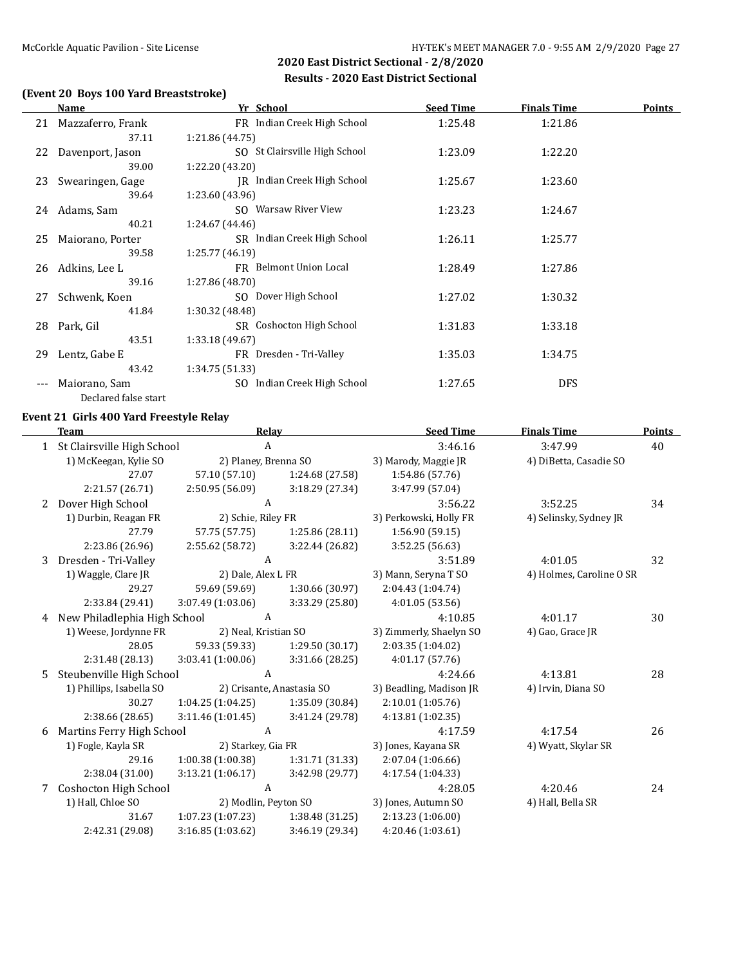### **(Event 20 Boys 100 Yard Breaststroke)**

|     | <b>Name</b>          | Yr School                       | <b>Seed Time</b> | <b>Finals Time</b> | <b>Points</b> |
|-----|----------------------|---------------------------------|------------------|--------------------|---------------|
| 21  | Mazzaferro, Frank    | FR Indian Creek High School     | 1:25.48          | 1:21.86            |               |
|     | 37.11                | 1:21.86 (44.75)                 |                  |                    |               |
|     | 22 Davenport, Jason  | SO St Clairsville High School   | 1:23.09          | 1:22.20            |               |
|     | 39.00                | 1:22.20 (43.20)                 |                  |                    |               |
| 23  | Swearingen, Gage     | IR Indian Creek High School     | 1:25.67          | 1:23.60            |               |
|     | 39.64                | 1:23.60 (43.96)                 |                  |                    |               |
| 24  | Adams, Sam           | SO Warsaw River View            | 1:23.23          | 1:24.67            |               |
|     | 40.21                | 1:24.67 (44.46)                 |                  |                    |               |
| 25  | Maiorano, Porter     | SR Indian Creek High School     | 1:26.11          | 1:25.77            |               |
|     | 39.58                | 1:25.77(46.19)                  |                  |                    |               |
| 26  | Adkins, Lee L        | FR Belmont Union Local          | 1:28.49          | 1:27.86            |               |
|     | 39.16                | 1:27.86 (48.70)                 |                  |                    |               |
| 27  | Schwenk, Koen        | SO Dover High School            | 1:27.02          | 1:30.32            |               |
|     | 41.84                | 1:30.32 (48.48)                 |                  |                    |               |
| 28  | Park, Gil            | SR Coshocton High School        | 1:31.83          | 1:33.18            |               |
|     | 43.51                | 1:33.18 (49.67)                 |                  |                    |               |
| 29  | Lentz, Gabe E        | FR Dresden - Tri-Valley         | 1:35.03          | 1:34.75            |               |
|     | 43.42                | 1:34.75(51.33)                  |                  |                    |               |
| --- | Maiorano, Sam        | Indian Creek High School<br>SO. | 1:27.65          | <b>DFS</b>         |               |
|     | Declared false start |                                 |                  |                    |               |

### **Event 21 Girls 400 Yard Freestyle Relay**

|   | <b>Team</b>                  | Relay                |                           | <b>Seed Time</b>        | <b>Finals Time</b>       | <b>Points</b> |
|---|------------------------------|----------------------|---------------------------|-------------------------|--------------------------|---------------|
|   | St Clairsville High School   | A                    |                           | 3:46.16                 | 3:47.99                  | 40            |
|   | 1) McKeegan, Kylie SO        | 2) Planey, Brenna SO |                           | 3) Marody, Maggie JR    | 4) DiBetta, Casadie SO   |               |
|   | 27.07                        | 57.10 (57.10)        | 1:24.68 (27.58)           | 1:54.86 (57.76)         |                          |               |
|   | 2:21.57 (26.71)              | 2:50.95 (56.09)      | 3:18.29 (27.34)           | 3:47.99 (57.04)         |                          |               |
| 2 | Dover High School            | A                    |                           | 3:56.22                 | 3:52.25                  | 34            |
|   | 1) Durbin, Reagan FR         | 2) Schie, Riley FR   |                           | 3) Perkowski, Holly FR  | 4) Selinsky, Sydney JR   |               |
|   | 27.79                        | 57.75 (57.75)        | 1:25.86(28.11)            | 1:56.90(59.15)          |                          |               |
|   | 2:23.86 (26.96)              | 2:55.62 (58.72)      | 3:22.44 (26.82)           | 3:52.25 (56.63)         |                          |               |
| 3 | Dresden - Tri-Valley         | A                    |                           | 3:51.89                 | 4:01.05                  | 32            |
|   | 1) Waggle, Clare JR          | 2) Dale, Alex L FR   |                           | 3) Mann, Seryna T SO    | 4) Holmes, Caroline O SR |               |
|   | 29.27                        | 59.69 (59.69)        | 1:30.66 (30.97)           | 2:04.43 (1:04.74)       |                          |               |
|   | 2:33.84 (29.41)              | 3:07.49 (1:03.06)    | 3:33.29 (25.80)           | 4:01.05(53.56)          |                          |               |
| 4 | New Philadlephia High School | A                    |                           | 4:10.85                 | 4:01.17                  | 30            |
|   | 1) Weese, Jordynne FR        | 2) Neal, Kristian SO |                           | 3) Zimmerly, Shaelyn SO | 4) Gao, Grace JR         |               |
|   | 28.05                        | 59.33 (59.33)        | 1:29.50 (30.17)           | 2:03.35 (1:04.02)       |                          |               |
|   | 2:31.48 (28.13)              | 3:03.41(1:00.06)     | 3:31.66 (28.25)           | 4:01.17 (57.76)         |                          |               |
| 5 | Steubenville High School     | A                    |                           | 4:24.66                 | 4:13.81                  | 28            |
|   | 1) Phillips, Isabella SO     |                      | 2) Crisante, Anastasia SO | 3) Beadling, Madison JR | 4) Irvin, Diana SO       |               |
|   | 30.27                        | 1:04.25(1:04.25)     | 1:35.09 (30.84)           | 2:10.01 (1:05.76)       |                          |               |
|   | 2:38.66 (28.65)              | 3:11.46(1:01.45)     | 3:41.24 (29.78)           | 4:13.81 (1:02.35)       |                          |               |
| 6 | Martins Ferry High School    | A                    |                           | 4:17.59                 | 4:17.54                  | 26            |
|   | 1) Fogle, Kayla SR           | 2) Starkey, Gia FR   |                           | 3) Jones, Kayana SR     | 4) Wyatt, Skylar SR      |               |
|   | 29.16                        | 1:00.38(1:00.38)     | 1:31.71 (31.33)           | 2:07.04 (1:06.66)       |                          |               |
|   | 2:38.04 (31.00)              | 3:13.21(1:06.17)     | 3:42.98 (29.77)           | 4:17.54 (1:04.33)       |                          |               |
| 7 | Coshocton High School        | A                    |                           | 4:28.05                 | 4:20.46                  | 24            |
|   | 1) Hall, Chloe SO            | 2) Modlin, Peyton SO |                           | 3) Jones, Autumn SO     | 4) Hall, Bella SR        |               |
|   | 31.67                        | 1:07.23(1:07.23)     | 1:38.48 (31.25)           | 2:13.23 (1:06.00)       |                          |               |
|   | 2:42.31 (29.08)              | 3:16.85 (1:03.62)    | 3:46.19 (29.34)           | 4:20.46 (1:03.61)       |                          |               |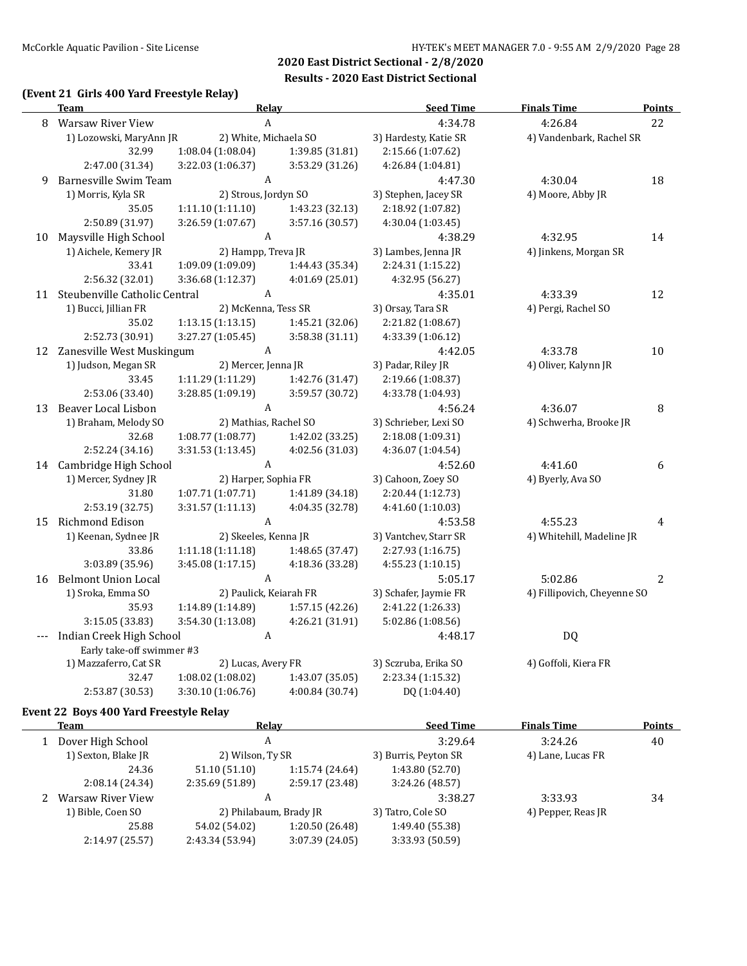### **(Event 21 Girls 400 Yard Freestyle Relay)**

|       | Team                                               | <b>Relay</b>                              |                 | <b>Seed Time</b>      | <b>Finals Time</b>          | <b>Points</b>  |
|-------|----------------------------------------------------|-------------------------------------------|-----------------|-----------------------|-----------------------------|----------------|
| 8     | <b>Warsaw River View</b>                           | A                                         |                 | 4:34.78               | 4:26.84                     | 22             |
|       | 1) Lozowski, MaryAnn JR                            | 2) White, Michaela SO                     |                 | 3) Hardesty, Katie SR | 4) Vandenbark, Rachel SR    |                |
|       | 32.99                                              | 1:08.04 (1:08.04)                         | 1:39.85 (31.81) | 2:15.66 (1:07.62)     |                             |                |
|       | 2:47.00 (31.34)                                    | 3:22.03 (1:06.37)                         | 3:53.29 (31.26) | 4:26.84(1:04.81)      |                             |                |
| 9     | Barnesville Swim Team                              | A                                         |                 | 4:47.30               | 4:30.04                     | 18             |
|       | 1) Morris, Kyla SR                                 | 2) Strous, Jordyn SO                      |                 | 3) Stephen, Jacey SR  | 4) Moore, Abby JR           |                |
|       | 35.05                                              | 1:11.10(1:11.10)                          | 1:43.23 (32.13) | 2:18.92 (1:07.82)     |                             |                |
|       | 2:50.89 (31.97)                                    | 3:26.59 (1:07.67)                         | 3:57.16 (30.57) | 4:30.04 (1:03.45)     |                             |                |
| 10    | Maysville High School                              | $\boldsymbol{A}$                          |                 | 4:38.29               | 4:32.95                     | 14             |
|       | 1) Aichele, Kemery JR                              | 2) Hampp, Treva JR                        |                 | 3) Lambes, Jenna JR   | 4) Jinkens, Morgan SR       |                |
|       | 33.41                                              | 1:09.09 (1:09.09)                         | 1:44.43 (35.34) | 2:24.31 (1:15.22)     |                             |                |
|       | 2:56.32 (32.01)                                    | 3:36.68 (1:12.37)                         | 4:01.69 (25.01) | 4:32.95 (56.27)       |                             |                |
| 11    | Steubenville Catholic Central                      | A                                         |                 | 4:35.01               | 4:33.39                     | 12             |
|       | 1) Bucci, Jillian FR                               | 2) McKenna, Tess SR                       |                 | 3) Orsay, Tara SR     | 4) Pergi, Rachel SO         |                |
|       | 35.02                                              | 1:13.15(1:13.15)                          | 1:45.21 (32.06) | 2:21.82 (1:08.67)     |                             |                |
|       | 2:52.73 (30.91)                                    | 3:27.27 (1:05.45)                         | 3:58.38(31.11)  | 4:33.39 (1:06.12)     |                             |                |
|       | 12 Zanesville West Muskingum                       | A                                         |                 | 4:42.05               | 4:33.78                     | 10             |
|       | 1) Judson, Megan SR                                | 2) Mercer, Jenna JR                       |                 | 3) Padar, Riley JR    | 4) Oliver, Kalynn JR        |                |
|       | 33.45                                              | 1:11.29 (1:11.29)                         | 1:42.76 (31.47) | 2:19.66 (1:08.37)     |                             |                |
|       | 2:53.06 (33.40)                                    | 3:28.85 (1:09.19)                         | 3:59.57 (30.72) | 4:33.78 (1:04.93)     |                             |                |
| 13    | Beaver Local Lisbon                                | $\boldsymbol{A}$                          |                 | 4:56.24               | 4:36.07                     | 8              |
|       | 1) Braham, Melody SO                               | 2) Mathias, Rachel SO                     |                 | 3) Schrieber, Lexi SO | 4) Schwerha, Brooke JR      |                |
|       | 32.68                                              | 1:08.77 (1:08.77)                         | 1:42.02 (33.25) | 2:18.08 (1:09.31)     |                             |                |
|       | 2:52.24 (34.16)                                    | 3:31.53(1:13.45)                          | 4:02.56 (31.03) | 4:36.07 (1:04.54)     |                             |                |
| 14    | Cambridge High School                              | A                                         |                 | 4:52.60               | 4:41.60                     | 6              |
|       | 1) Mercer, Sydney JR                               | 2) Harper, Sophia FR                      |                 | 3) Cahoon, Zoey SO    | 4) Byerly, Ava SO           |                |
|       | 31.80                                              | 1:07.71 (1:07.71)                         | 1:41.89 (34.18) | 2:20.44 (1:12.73)     |                             |                |
|       | 2:53.19 (32.75)                                    | 3:31.57(1:11.13)                          | 4:04.35 (32.78) | 4:41.60 (1:10.03)     |                             |                |
| 15    | Richmond Edison                                    | A                                         |                 | 4:53.58               | 4:55.23                     | 4              |
|       | 1) Keenan, Sydnee JR                               | 2) Skeeles, Kenna JR                      |                 | 3) Vantchev, Starr SR | 4) Whitehill, Madeline JR   |                |
|       | 33.86                                              | 1:11.18(1:11.18)                          | 1:48.65 (37.47) | 2:27.93 (1:16.75)     |                             |                |
|       | 3:03.89 (35.96)                                    | 3:45.08 (1:17.15)                         | 4:18.36 (33.28) | 4:55.23(1:10.15)      |                             |                |
| 16    | <b>Belmont Union Local</b>                         | A                                         |                 | 5:05.17               | 5:02.86                     | $\overline{2}$ |
|       | 1) Sroka, Emma SO                                  | 2) Paulick, Keiarah FR                    |                 | 3) Schafer, Jaymie FR | 4) Fillipovich, Cheyenne SO |                |
|       | 35.93                                              | 1:14.89 (1:14.89)                         | 1:57.15 (42.26) | 2:41.22 (1:26.33)     |                             |                |
|       | 3:15.05 (33.83)                                    | 3:54.30 (1:13.08)                         | 4:26.21 (31.91) | 5:02.86 (1:08.56)     |                             |                |
| $---$ | Indian Creek High School<br>A                      |                                           |                 | 4:48.17               | <b>DQ</b>                   |                |
|       | Early take-off swimmer #3<br>1) Mazzaferro, Cat SR |                                           |                 | 3) Sczruba, Erika SO  | 4) Goffoli, Kiera FR        |                |
|       | 32.47                                              | 2) Lucas, Avery FR<br>$1:08.02$ (1:08.02) | 1:43.07 (35.05) | 2:23.34 (1:15.32)     |                             |                |
|       | 2:53.87 (30.53)                                    | 3:30.10 (1:06.76)                         | 4:00.84 (30.74) | DQ (1:04.40)          |                             |                |
|       |                                                    |                                           |                 |                       |                             |                |

#### **Event 22 Boys 400 Yard Freestyle Relay**

| Team                | Relav                  |                 | <b>Seed Time</b>     | <b>Finals Time</b> | <b>Points</b> |
|---------------------|------------------------|-----------------|----------------------|--------------------|---------------|
| Dover High School   | A                      |                 | 3:29.64              | 3:24.26            | 40            |
| 1) Sexton, Blake JR | 2) Wilson, Ty SR       |                 | 3) Burris, Peyton SR | 4) Lane, Lucas FR  |               |
| 24.36               | 51.10 (51.10)          | 1:15.74 (24.64) | 1:43.80 (52.70)      |                    |               |
| 2:08.14(24.34)      | 2:35.69 (51.89)        | 2:59.17 (23.48) | 3:24.26 (48.57)      |                    |               |
| Warsaw River View   | A                      |                 | 3:38.27              | 3:33.93            | 34            |
| 1) Bible, Coen SO   | 2) Philabaum, Brady JR |                 | 3) Tatro, Cole SO    | 4) Pepper, Reas JR |               |
| 25.88               | 54.02 (54.02)          | 1:20.50 (26.48) | 1:49.40 (55.38)      |                    |               |
| 2:14.97 (25.57)     | 2:43.34 (53.94)        | 3:07.39 (24.05) | 3:33.93 (50.59)      |                    |               |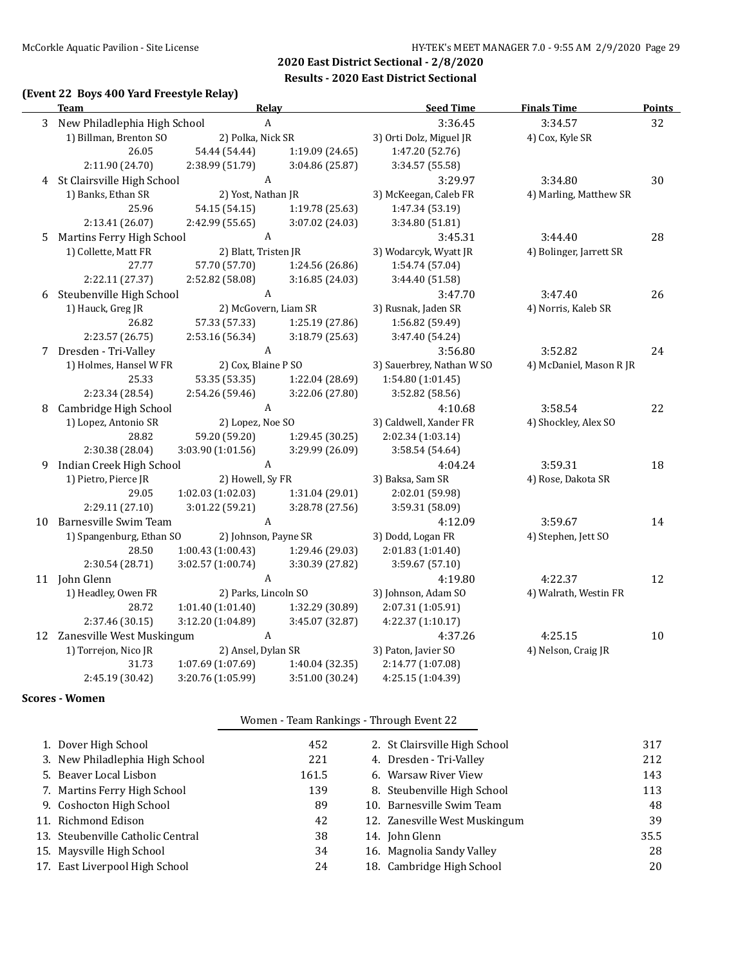### **(Event 22 Boys 400 Yard Freestyle Relay)**

|    | <b>Team</b>                    | <b>Relay</b>              |                 | <b>Seed Time</b>          | <b>Finals Time</b>      | <b>Points</b> |
|----|--------------------------------|---------------------------|-----------------|---------------------------|-------------------------|---------------|
|    | 3 New Philadlephia High School | $\boldsymbol{\mathsf{A}}$ |                 | 3:36.45                   | 3:34.57                 | 32            |
|    | 1) Billman, Brenton SO         | 2) Polka, Nick SR         |                 | 3) Orti Dolz, Miguel JR   | 4) Cox, Kyle SR         |               |
|    | 26.05                          | 54.44 (54.44)             | 1:19.09 (24.65) | 1:47.20 (52.76)           |                         |               |
|    | 2:11.90 (24.70)                | 2:38.99 (51.79)           | 3:04.86 (25.87) | 3:34.57 (55.58)           |                         |               |
|    | 4 St Clairsville High School   | A                         |                 | 3:29.97                   | 3:34.80                 | 30            |
|    | 1) Banks, Ethan SR             | 2) Yost, Nathan JR        |                 | 3) McKeegan, Caleb FR     | 4) Marling, Matthew SR  |               |
|    | 25.96                          | 54.15 (54.15)             | 1:19.78 (25.63) | 1:47.34 (53.19)           |                         |               |
|    | 2:13.41 (26.07)                | 2:42.99 (55.65)           | 3:07.02 (24.03) | 3:34.80 (51.81)           |                         |               |
| 5  | Martins Ferry High School      | A                         |                 | 3:45.31                   | 3:44.40                 | 28            |
|    | 1) Collette, Matt FR           | 2) Blatt, Tristen JR      |                 | 3) Wodarcyk, Wyatt JR     | 4) Bolinger, Jarrett SR |               |
|    | 27.77                          | 57.70 (57.70)             | 1:24.56 (26.86) | 1:54.74 (57.04)           |                         |               |
|    | 2:22.11 (27.37)                | 2:52.82 (58.08)           | 3:16.85 (24.03) | 3:44.40 (51.58)           |                         |               |
| 6  | Steubenville High School       | $\mathbf{A}$              |                 | 3:47.70                   | 3:47.40                 | 26            |
|    | 1) Hauck, Greg JR              | 2) McGovern, Liam SR      |                 | 3) Rusnak, Jaden SR       | 4) Norris, Kaleb SR     |               |
|    | 26.82                          | 57.33 (57.33)             | 1:25.19 (27.86) | 1:56.82 (59.49)           |                         |               |
|    | 2:23.57 (26.75)                | 2:53.16 (56.34)           | 3:18.79 (25.63) | 3:47.40 (54.24)           |                         |               |
| 7  | Dresden - Tri-Valley           | $\mathbf{A}$              |                 | 3:56.80                   | 3:52.82                 | 24            |
|    | 1) Holmes, Hansel W FR         | 2) Cox, Blaine P SO       |                 | 3) Sauerbrey, Nathan W SO | 4) McDaniel, Mason R JR |               |
|    | 25.33                          | 53.35 (53.35)             | 1:22.04 (28.69) | 1:54.80 (1:01.45)         |                         |               |
|    | 2:23.34 (28.54)                | 2:54.26 (59.46)           | 3:22.06 (27.80) | 3:52.82 (58.56)           |                         |               |
| 8  | Cambridge High School          | $\mathbf{A}$              |                 | 4:10.68                   | 3:58.54                 | 22            |
|    | 1) Lopez, Antonio SR           | 2) Lopez, Noe SO          |                 | 3) Caldwell, Xander FR    | 4) Shockley, Alex SO    |               |
|    | 28.82                          | 59.20 (59.20)             | 1:29.45 (30.25) | 2:02.34 (1:03.14)         |                         |               |
|    | 2:30.38 (28.04)                | 3:03.90 (1:01.56)         | 3:29.99 (26.09) | 3:58.54 (54.64)           |                         |               |
| 9  | Indian Creek High School       | $\boldsymbol{A}$          |                 | 4:04.24                   | 3:59.31                 | 18            |
|    | 1) Pietro, Pierce JR           | 2) Howell, Sy FR          |                 | 3) Baksa, Sam SR          | 4) Rose, Dakota SR      |               |
|    | 29.05                          | 1:02.03(1:02.03)          | 1:31.04 (29.01) | 2:02.01 (59.98)           |                         |               |
|    | 2:29.11 (27.10)                | 3:01.22 (59.21)           | 3:28.78 (27.56) | 3:59.31 (58.09)           |                         |               |
| 10 | Barnesville Swim Team          | $\boldsymbol{A}$          |                 | 4:12.09                   | 3:59.67                 | 14            |
|    | 1) Spangenburg, Ethan SO       | 2) Johnson, Payne SR      |                 | 3) Dodd, Logan FR         | 4) Stephen, Jett SO     |               |
|    | 28.50                          | 1:00.43 (1:00.43)         | 1:29.46 (29.03) | 2:01.83 (1:01.40)         |                         |               |
|    | 2:30.54 (28.71)                | 3:02.57 (1:00.74)         | 3:30.39 (27.82) | 3:59.67 (57.10)           |                         |               |
|    | 11 John Glenn                  | $\mathbf{A}$              |                 | 4:19.80                   | 4:22.37                 | 12            |
|    | 1) Headley, Owen FR            | 2) Parks, Lincoln SO      |                 | 3) Johnson, Adam SO       | 4) Walrath, Westin FR   |               |
|    | 28.72                          | 1:01.40 (1:01.40)         | 1:32.29 (30.89) | 2:07.31 (1:05.91)         |                         |               |
|    | 2:37.46 (30.15)                | 3:12.20 (1:04.89)         | 3:45.07 (32.87) | 4:22.37 (1:10.17)         |                         |               |
|    | 12 Zanesville West Muskingum   | $\mathbf{A}$              |                 | 4:37.26                   | 4:25.15                 | 10            |
|    | 1) Torrejon, Nico JR           | 2) Ansel, Dylan SR        |                 | 3) Paton, Javier SO       | 4) Nelson, Craig JR     |               |
|    | 31.73                          | 1:07.69 (1:07.69)         | 1:40.04 (32.35) | 2:14.77 (1:07.08)         |                         |               |
|    | 2:45.19 (30.42)                | 3:20.76 (1:05.99)         | 3:51.00 (30.24) | 4:25.15 (1:04.39)         |                         |               |

#### **Scores - Women**

### Women - Team Rankings - Through Event 22

| 1. Dover High School              | 452   | 2. St Clairsville High School | 317  |
|-----------------------------------|-------|-------------------------------|------|
| 3. New Philadlephia High School   | 221   | 4. Dresden - Tri-Valley       | 212  |
| 5. Beaver Local Lisbon            | 161.5 | 6. Warsaw River View          | 143  |
| 7. Martins Ferry High School      | 139   | 8. Steubenville High School   | 113  |
| 9. Coshocton High School          | 89    | 10. Barnesville Swim Team     | 48   |
| 11. Richmond Edison               | 42    | 12. Zanesville West Muskingum | 39   |
| 13. Steubenville Catholic Central | 38    | 14. John Glenn                | 35.5 |
| 15. Maysville High School         | 34    | 16. Magnolia Sandy Valley     | 28   |
| 17. East Liverpool High School    | 24    | 18. Cambridge High School     | 20   |